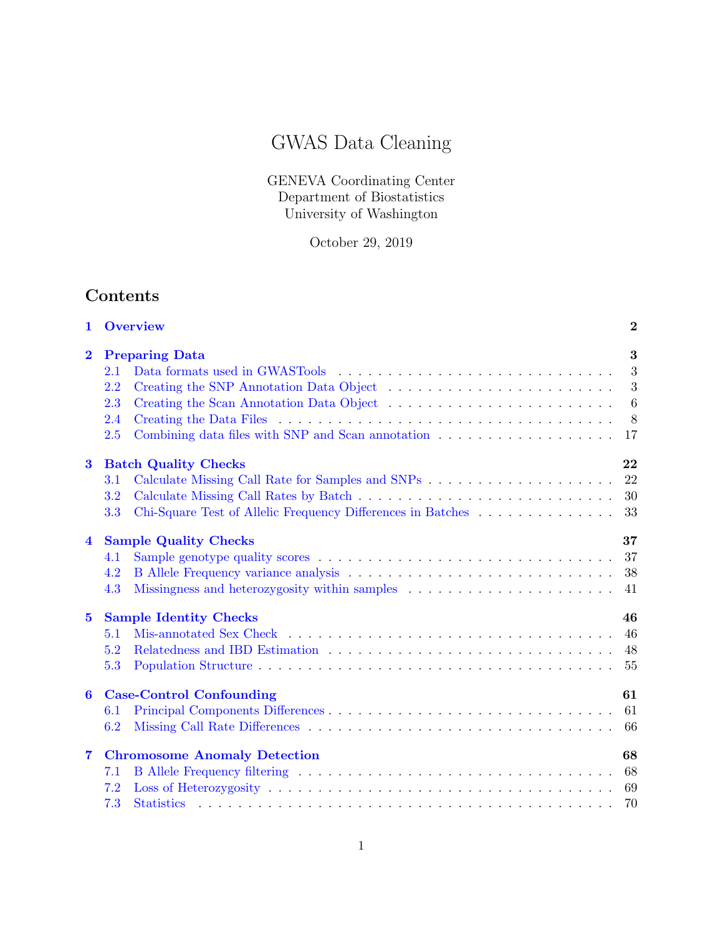# GWAS Data Cleaning

GENEVA Coordinating Center Department of Biostatistics University of Washington

October 29, 2019

# Contents

| 1                       | <b>Overview</b>                                                    | $\overline{2}$  |  |  |  |  |  |
|-------------------------|--------------------------------------------------------------------|-----------------|--|--|--|--|--|
| $\mathbf{2}$            | <b>Preparing Data</b>                                              |                 |  |  |  |  |  |
|                         | 2.1                                                                | -3              |  |  |  |  |  |
|                         | 2.2                                                                | 3               |  |  |  |  |  |
|                         | 2.3                                                                | $6\phantom{.}6$ |  |  |  |  |  |
|                         | 2.4                                                                | 8               |  |  |  |  |  |
|                         | 2.5                                                                | 17              |  |  |  |  |  |
| $\bf{3}$                | <b>Batch Quality Checks</b>                                        | 22              |  |  |  |  |  |
|                         | $3.1\,$                                                            | 22              |  |  |  |  |  |
|                         | 3.2                                                                | 30              |  |  |  |  |  |
|                         | Chi-Square Test of Allelic Frequency Differences in Batches<br>3.3 | 33              |  |  |  |  |  |
| $\overline{\mathbf{4}}$ | 37<br><b>Sample Quality Checks</b>                                 |                 |  |  |  |  |  |
|                         | 4.1                                                                | 37              |  |  |  |  |  |
|                         | 4.2                                                                | 38              |  |  |  |  |  |
|                         | 4.3                                                                | 41              |  |  |  |  |  |
| $5\phantom{.0}$         | <b>Sample Identity Checks</b><br>46                                |                 |  |  |  |  |  |
|                         | 5.1                                                                | 46              |  |  |  |  |  |
|                         | 5.2                                                                | 48              |  |  |  |  |  |
|                         | 5.3                                                                | 55              |  |  |  |  |  |
| 6                       | <b>Case-Control Confounding</b><br>61                              |                 |  |  |  |  |  |
|                         | 6.1                                                                | 61              |  |  |  |  |  |
|                         | 6.2                                                                | 66              |  |  |  |  |  |
| $\overline{\mathbf{7}}$ | <b>Chromosome Anomaly Detection</b><br>68                          |                 |  |  |  |  |  |
|                         | 7.1                                                                | 68              |  |  |  |  |  |
|                         | 7.2                                                                | 69              |  |  |  |  |  |
|                         | 7.3                                                                | 70              |  |  |  |  |  |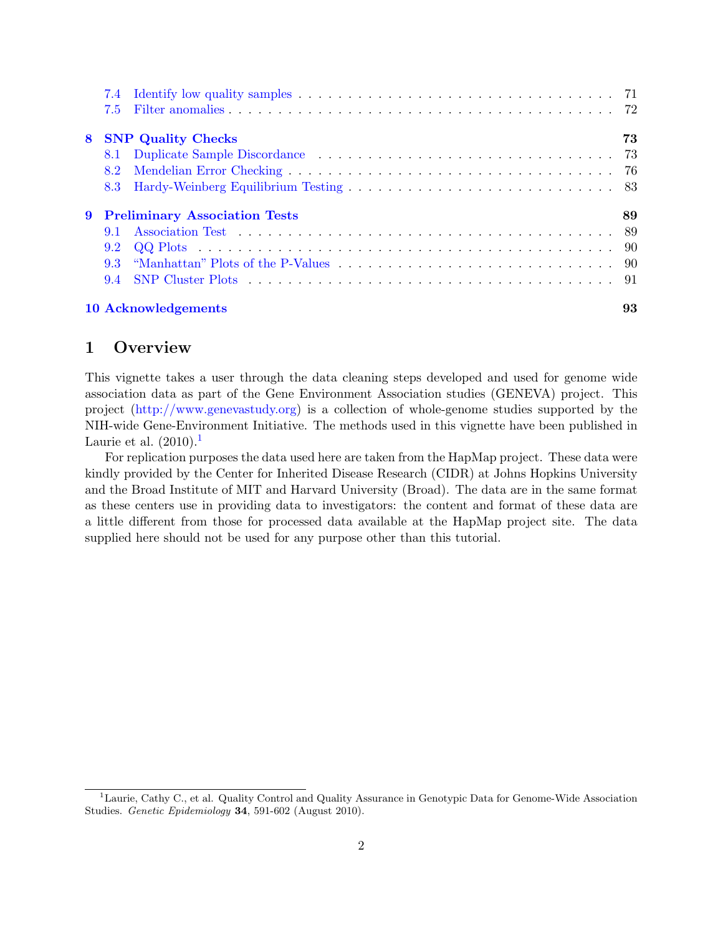|   | 7.5                                  |    |
|---|--------------------------------------|----|
| 8 | <b>SNP Quality Checks</b>            | 73 |
|   |                                      |    |
|   | 8.2                                  |    |
|   |                                      |    |
| 9 | <b>Preliminary Association Tests</b> | 89 |
|   | 9.1                                  |    |
|   |                                      |    |
|   |                                      |    |
|   |                                      |    |
|   | 10 Acknowledgements                  | 93 |

# <span id="page-1-0"></span>1 Overview

This vignette takes a user through the data cleaning steps developed and used for genome wide association data as part of the Gene Environment Association studies (GENEVA) project. This project [\(http://www.genevastudy.org\)](http://www.genevastudy.org) is a collection of whole-genome studies supported by the NIH-wide Gene-Environment Initiative. The methods used in this vignette have been published in Laurie et al.  $(2010).<sup>1</sup>$  $(2010).<sup>1</sup>$  $(2010).<sup>1</sup>$ 

For replication purposes the data used here are taken from the HapMap project. These data were kindly provided by the Center for Inherited Disease Research (CIDR) at Johns Hopkins University and the Broad Institute of MIT and Harvard University (Broad). The data are in the same format as these centers use in providing data to investigators: the content and format of these data are a little different from those for processed data available at the HapMap project site. The data supplied here should not be used for any purpose other than this tutorial.

<span id="page-1-1"></span><sup>&</sup>lt;sup>1</sup>Laurie, Cathy C., et al. Quality Control and Quality Assurance in Genotypic Data for Genome-Wide Association Studies. Genetic Epidemiology 34, 591-602 (August 2010).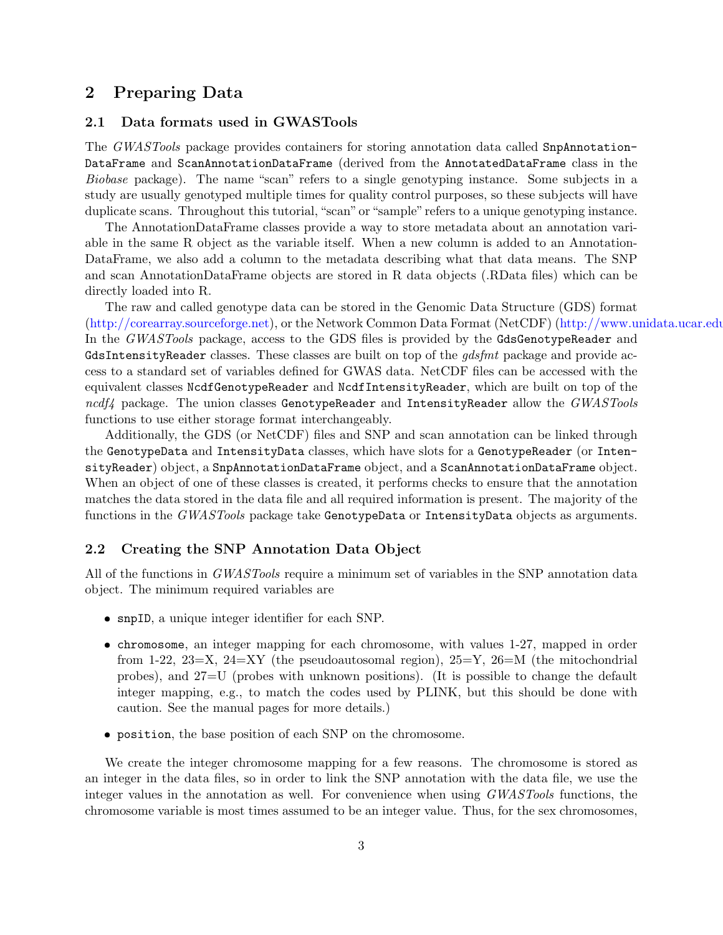# <span id="page-2-0"></span>2 Preparing Data

# <span id="page-2-1"></span>2.1 Data formats used in GWASTools

The GWASTools package provides containers for storing annotation data called SnpAnnotation-DataFrame and ScanAnnotationDataFrame (derived from the AnnotatedDataFrame class in the Biobase package). The name "scan" refers to a single genotyping instance. Some subjects in a study are usually genotyped multiple times for quality control purposes, so these subjects will have duplicate scans. Throughout this tutorial, "scan" or "sample" refers to a unique genotyping instance.

The AnnotationDataFrame classes provide a way to store metadata about an annotation variable in the same R object as the variable itself. When a new column is added to an Annotation-DataFrame, we also add a column to the metadata describing what that data means. The SNP and scan AnnotationDataFrame objects are stored in R data objects (.RData files) which can be directly loaded into R.

The raw and called genotype data can be stored in the Genomic Data Structure (GDS) format  $(\text{http://corearray.sourceforge.net}),$  or the Network Common Data Format (NetCDF)  $(\text{http://www.unidata.ucar.edu/10.016}$ In the *GWASTools* package, access to the GDS files is provided by the **GdsGenotypeReader** and GdsIntensityReader classes. These classes are built on top of the *gdsfmt* package and provide access to a standard set of variables defined for GWAS data. NetCDF files can be accessed with the equivalent classes NcdfGenotypeReader and NcdfIntensityReader, which are built on top of the  $ncdf4$  package. The union classes GenotypeReader and IntensityReader allow the  $GWASTools$ functions to use either storage format interchangeably.

Additionally, the GDS (or NetCDF) files and SNP and scan annotation can be linked through the GenotypeData and IntensityData classes, which have slots for a GenotypeReader (or IntensityReader) object, a SnpAnnotationDataFrame object, and a ScanAnnotationDataFrame object. When an object of one of these classes is created, it performs checks to ensure that the annotation matches the data stored in the data file and all required information is present. The majority of the functions in the *GWASTools* package take GenotypeData or IntensityData objects as arguments.

#### <span id="page-2-2"></span>2.2 Creating the SNP Annotation Data Object

All of the functions in *GWASTools* require a minimum set of variables in the SNP annotation data object. The minimum required variables are

- snpID, a unique integer identifier for each SNP.
- chromosome, an integer mapping for each chromosome, with values 1-27, mapped in order from 1-22, 23=X, 24=XY (the pseudoautosomal region),  $25=Y$ ,  $26=$ M (the mitochondrial probes), and 27=U (probes with unknown positions). (It is possible to change the default integer mapping, e.g., to match the codes used by PLINK, but this should be done with caution. See the manual pages for more details.)
- position, the base position of each SNP on the chromosome.

We create the integer chromosome mapping for a few reasons. The chromosome is stored as an integer in the data files, so in order to link the SNP annotation with the data file, we use the integer values in the annotation as well. For convenience when using GWASTools functions, the chromosome variable is most times assumed to be an integer value. Thus, for the sex chromosomes,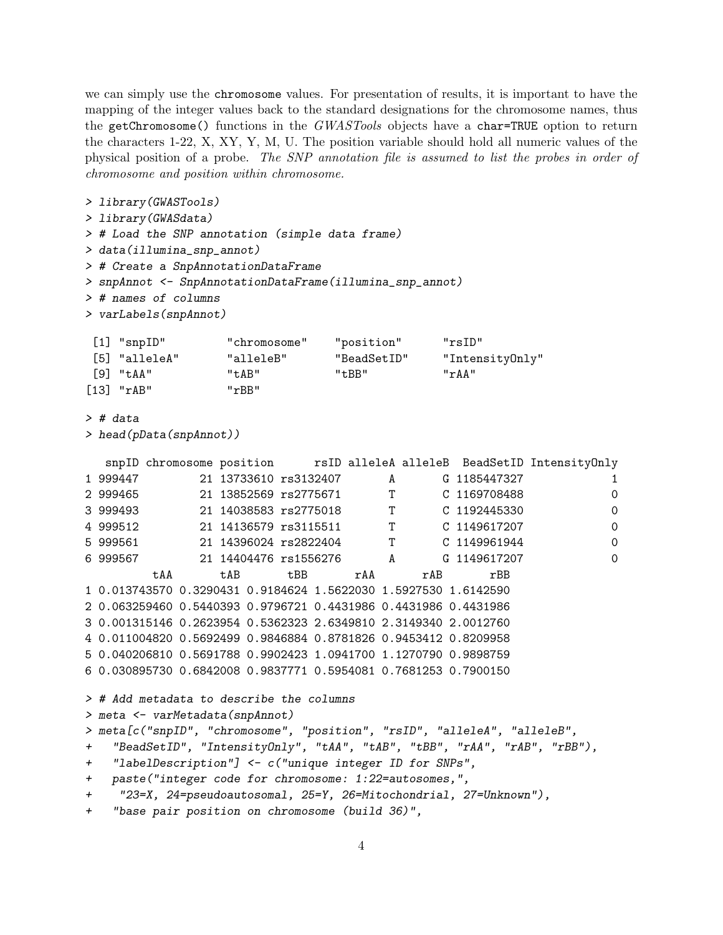we can simply use the chromosome values. For presentation of results, it is important to have the mapping of the integer values back to the standard designations for the chromosome names, thus the getChromosome() functions in the GWASTools objects have a char=TRUE option to return the characters 1-22, X, XY, Y, M, U. The position variable should hold all numeric values of the physical position of a probe. The SNP annotation file is assumed to list the probes in order of chromosome and position within chromosome.

```
> library(GWASTools)
> library(GWASdata)
> # Load the SNP annotation (simple data frame)
> data(illumina_snp_annot)
> # Create a SnpAnnotationDataFrame
> snpAnnot <- SnpAnnotationDataFrame(illumina_snp_annot)
> # names of columns
> varLabels(snpAnnot)
 [1] "snpID" "chromosome" "position" "rsID"
 [5] "alleleA" "alleleB" "BeadSetID" "IntensityOnly"
 [9] "tAA" "tAB" "tBB" "rAA"
[13] "rAB" "rBB"
> # data
> head(pData(snpAnnot))
  snpID chromosome position rsID alleleA alleleB BeadSetID IntensityOnly
1 999447 21 13733610 rs3132407 A G 1185447327 1
2 999465 21 13852569 rs2775671 T C 1169708488 0
3 999493 21 14038583 rs2775018 T C 1192445330 0
4 999512 21 14136579 rs3115511 T C 1149617207 0
5 999561 21 14396024 rs2822404 T C 1149961944 0
6 999567 21 14404476 rs1556276 A G 1149617207 0
        tAA tAB tBB rAA rAB rBB
1 0.013743570 0.3290431 0.9184624 1.5622030 1.5927530 1.6142590
2 0.063259460 0.5440393 0.9796721 0.4431986 0.4431986 0.4431986
3 0.001315146 0.2623954 0.5362323 2.6349810 2.3149340 2.0012760
4 0.011004820 0.5692499 0.9846884 0.8781826 0.9453412 0.8209958
5 0.040206810 0.5691788 0.9902423 1.0941700 1.1270790 0.9898759
6 0.030895730 0.6842008 0.9837771 0.5954081 0.7681253 0.7900150
> # Add metadata to describe the columns
> meta <- varMetadata(snpAnnot)
> meta[c("snpID", "chromosome", "position", "rsID", "alleleA", "alleleB",
+ "BeadSetID", "IntensityOnly", "tAA", "tAB", "tBB", "rAA", "rAB", "rBB"),
+ "labelDescription"] <- c("unique integer ID for SNPs",
+ paste("integer code for chromosome: 1:22=autosomes,",
+ "23=X, 24=pseudoautosomal, 25=Y, 26=Mitochondrial, 27=Unknown"),
+ "base pair position on chromosome (build 36)",
```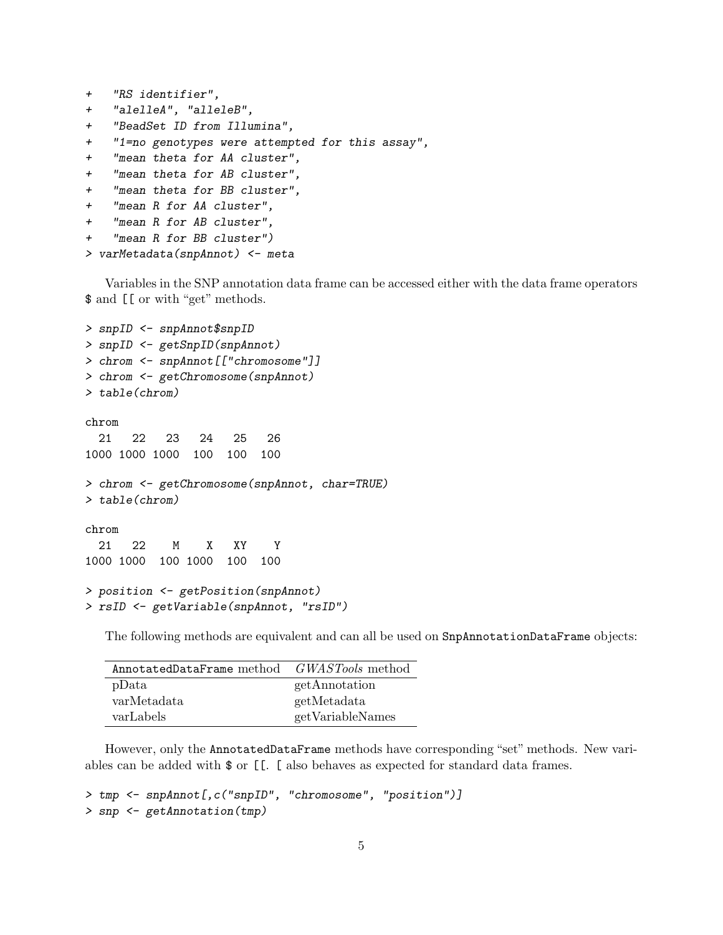```
+ "RS identifier",
+ "alelleA", "alleleB",
+ "BeadSet ID from Illumina",
+ "1=no genotypes were attempted for this assay",
+ "mean theta for AA cluster",
+ "mean theta for AB cluster",
+ "mean theta for BB cluster",
+ "mean R for AA cluster",
+ "mean R for AB cluster",
+ "mean R for BB cluster")
```

```
> varMetadata(snpAnnot) <- meta
```
Variables in the SNP annotation data frame can be accessed either with the data frame operators \$ and [[ or with "get" methods.

```
> snpID <- snpAnnot$snpID
> snpID <- getSnpID(snpAnnot)
> chrom <- snpAnnot[["chromosome"]]
> chrom <- getChromosome(snpAnnot)
> table(chrom)
chrom
  21 22 23 24 25 26
1000 1000 1000 100 100 100
> chrom <- getChromosome(snpAnnot, char=TRUE)
> table(chrom)
chrom
  21 22 M X XY Y
1000 1000 100 1000 100 100
> position <- getPosition(snpAnnot)
> rsID <- getVariable(snpAnnot, "rsID")
```
The following methods are equivalent and can all be used on SnpAnnotationDataFrame objects:

| AnnotatedDataFrame method | <i>GWASTools</i> method |
|---------------------------|-------------------------|
| pData                     | getAnnotation           |
| varMetadata               | getMetadata             |
| varLabels                 | getVariableNames        |

However, only the AnnotatedDataFrame methods have corresponding "set" methods. New variables can be added with \$ or [[. [ also behaves as expected for standard data frames.

```
> tmp <- snpAnnot[,c("snpID", "chromosome", "position")]
> snp <- getAnnotation(tmp)
```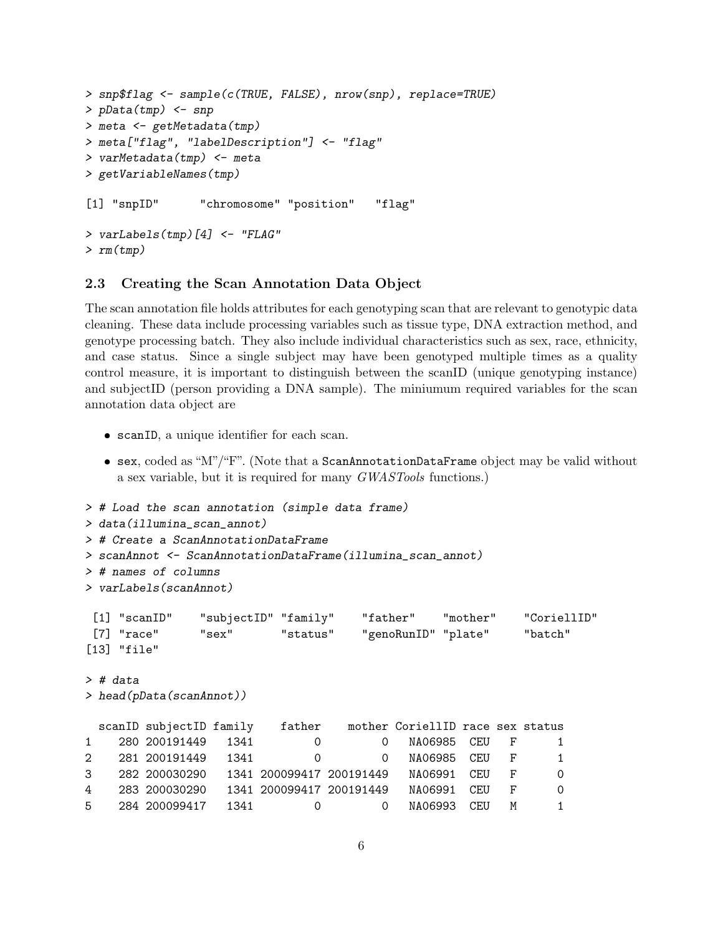```
> snp$flag <- sample(c(TRUE, FALSE), nrow(snp), replace=TRUE)
> pData(tmp) <- snp
> meta <- getMetadata(tmp)
> meta["flag", "labelDescription"] <- "flag"
> varMetadata(tmp) <- meta
> getVariableNames(tmp)
[1] "snpID" "chromosome" "position" "flag"
> varLabels(tmp)[4] <- "FLAG"
> rm(tmp)
```
#### <span id="page-5-0"></span>2.3 Creating the Scan Annotation Data Object

The scan annotation file holds attributes for each genotyping scan that are relevant to genotypic data cleaning. These data include processing variables such as tissue type, DNA extraction method, and genotype processing batch. They also include individual characteristics such as sex, race, ethnicity, and case status. Since a single subject may have been genotyped multiple times as a quality control measure, it is important to distinguish between the scanID (unique genotyping instance) and subjectID (person providing a DNA sample). The miniumum required variables for the scan annotation data object are

- scanID, a unique identifier for each scan.
- sex, coded as "M"/"F". (Note that a ScanAnnotationDataFrame object may be valid without a sex variable, but it is required for many GWASTools functions.)

```
> # Load the scan annotation (simple data frame)
> data(illumina_scan_annot)
> # Create a ScanAnnotationDataFrame
> scanAnnot <- ScanAnnotationDataFrame(illumina_scan_annot)
> # names of columns
> varLabels(scanAnnot)
[1] "scanID" "subjectID" "family" "father" "mother" "CoriellID"
[7] "race" "sex" "status" "genoRunID" "plate" "batch"
[13] "file"
> # data
> head(pData(scanAnnot))
 scanID subjectID family father mother CoriellID race sex status
1 280 200191449 1341 0 0 NA06985 CEU F 1
2 281 200191449 1341 0 0 NA06985 CEU F 1
3 282 200030290 1341 200099417 200191449 NA06991 CEU F 0
4 283 200030290 1341 200099417 200191449 NA06991 CEU F 0
5 284 200099417 1341 0 0 NA06993 CEU M 1
```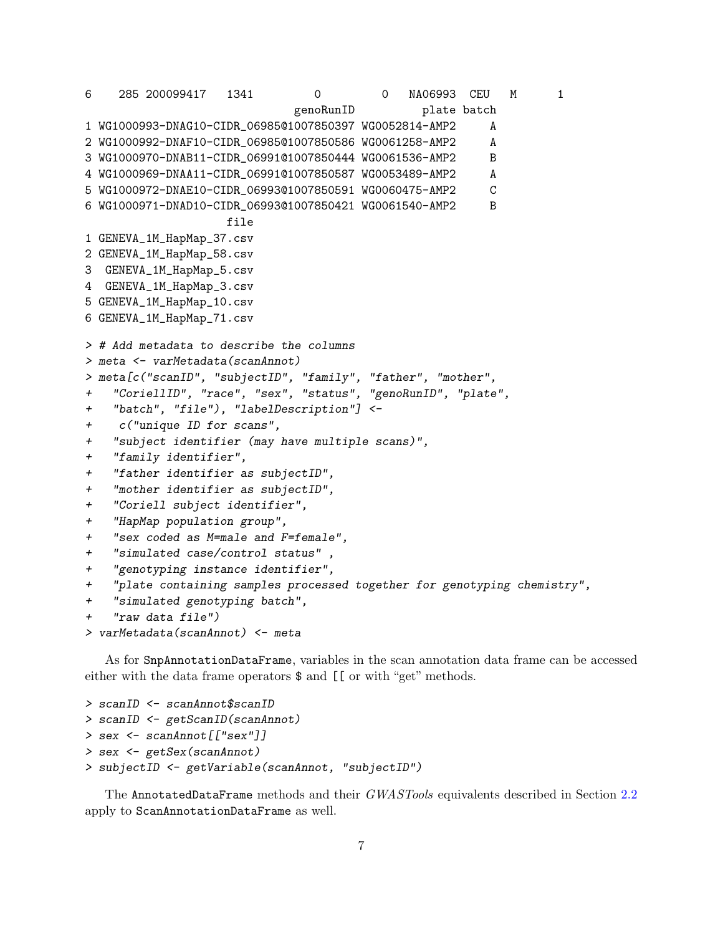6 285 200099417 1341 0 0 NA06993 CEU M 1 genoRunID plate batch 1 WG1000993-DNAG10-CIDR\_06985@1007850397 WG0052814-AMP2 A 2 WG1000992-DNAF10-CIDR\_06985@1007850586 WG0061258-AMP2 A 3 WG1000970-DNAB11-CIDR\_06991@1007850444 WG0061536-AMP2 B 4 WG1000969-DNAA11-CIDR\_06991@1007850587 WG0053489-AMP2 A 5 WG1000972-DNAE10-CIDR\_06993@1007850591 WG0060475-AMP2 C 6 WG1000971-DNAD10-CIDR\_06993@1007850421 WG0061540-AMP2 B file 1 GENEVA\_1M\_HapMap\_37.csv 2 GENEVA\_1M\_HapMap\_58.csv 3 GENEVA\_1M\_HapMap\_5.csv 4 GENEVA\_1M\_HapMap\_3.csv 5 GENEVA\_1M\_HapMap\_10.csv 6 GENEVA\_1M\_HapMap\_71.csv > # Add metadata to describe the columns > meta <- varMetadata(scanAnnot) > meta[c("scanID", "subjectID", "family", "father", "mother", + "CoriellID", "race", "sex", "status", "genoRunID", "plate", + "batch", "file"), "labelDescription"] <- + c("unique ID for scans", + "subject identifier (may have multiple scans)", + "family identifier", + "father identifier as subjectID", + "mother identifier as subjectID", + "Coriell subject identifier", + "HapMap population group", + "sex coded as M=male and F=female", + "simulated case/control status" , + "genotyping instance identifier", + "plate containing samples processed together for genotyping chemistry", + "simulated genotyping batch",  $" raw data file"$ > varMetadata(scanAnnot) <- meta

As for SnpAnnotationDataFrame, variables in the scan annotation data frame can be accessed either with the data frame operators  $\$  and  $\lfloor \cdot \rfloor$  or with "get" methods.

```
> scanID <- scanAnnot$scanID
> scanID <- getScanID(scanAnnot)
> sex <- scanAnnot[["sex"]]
> sex <- getSex(scanAnnot)
> subjectID <- getVariable(scanAnnot, "subjectID")
```
The AnnotatedDataFrame methods and their GWASTools equivalents described in Section [2.2](#page-2-2) apply to ScanAnnotationDataFrame as well.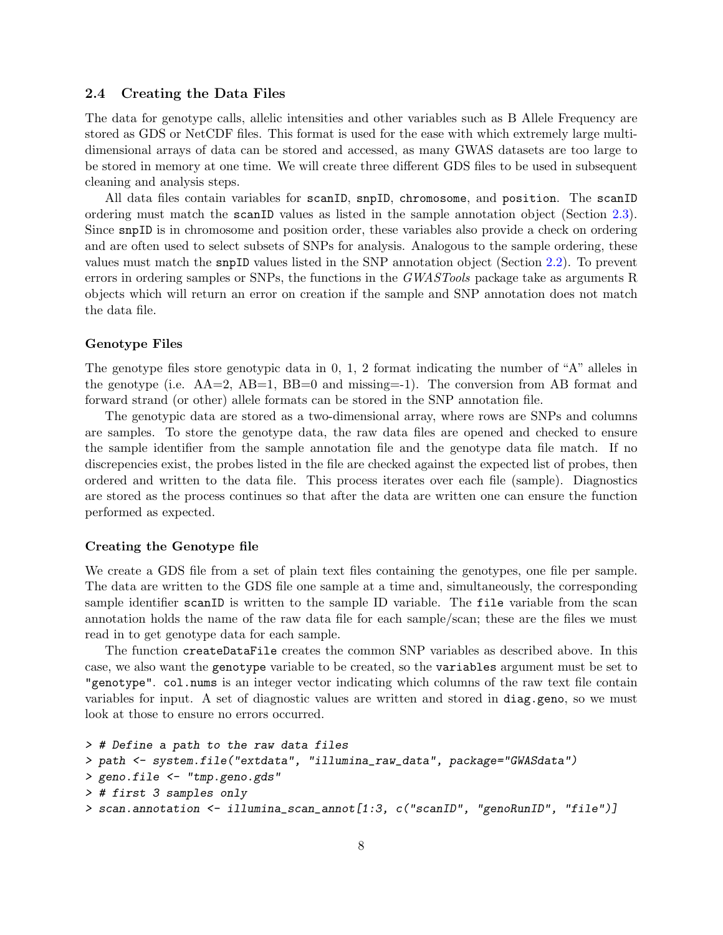#### <span id="page-7-0"></span>2.4 Creating the Data Files

The data for genotype calls, allelic intensities and other variables such as B Allele Frequency are stored as GDS or NetCDF files. This format is used for the ease with which extremely large multidimensional arrays of data can be stored and accessed, as many GWAS datasets are too large to be stored in memory at one time. We will create three different GDS files to be used in subsequent cleaning and analysis steps.

All data files contain variables for scanID, snpID, chromosome, and position. The scanID ordering must match the scanID values as listed in the sample annotation object (Section [2.3\)](#page-5-0). Since snpID is in chromosome and position order, these variables also provide a check on ordering and are often used to select subsets of SNPs for analysis. Analogous to the sample ordering, these values must match the snpID values listed in the SNP annotation object (Section [2.2\)](#page-2-2). To prevent errors in ordering samples or SNPs, the functions in the GWASTools package take as arguments R objects which will return an error on creation if the sample and SNP annotation does not match the data file.

#### Genotype Files

The genotype files store genotypic data in 0, 1, 2 format indicating the number of "A" alleles in the genotype (i.e.  $AA=2$ ,  $AB=1$ ,  $BB=0$  and missing  $=1$ ). The conversion from AB format and forward strand (or other) allele formats can be stored in the SNP annotation file.

The genotypic data are stored as a two-dimensional array, where rows are SNPs and columns are samples. To store the genotype data, the raw data files are opened and checked to ensure the sample identifier from the sample annotation file and the genotype data file match. If no discrepencies exist, the probes listed in the file are checked against the expected list of probes, then ordered and written to the data file. This process iterates over each file (sample). Diagnostics are stored as the process continues so that after the data are written one can ensure the function performed as expected.

#### Creating the Genotype file

We create a GDS file from a set of plain text files containing the genotypes, one file per sample. The data are written to the GDS file one sample at a time and, simultaneously, the corresponding sample identifier scanID is written to the sample ID variable. The file variable from the scan annotation holds the name of the raw data file for each sample/scan; these are the files we must read in to get genotype data for each sample.

The function createDataFile creates the common SNP variables as described above. In this case, we also want the genotype variable to be created, so the variables argument must be set to "genotype". col.nums is an integer vector indicating which columns of the raw text file contain variables for input. A set of diagnostic values are written and stored in diag.geno, so we must look at those to ensure no errors occurred.

```
> # Define a path to the raw data files
> path <- system.file("extdata", "illumina_raw_data", package="GWASdata")
> geno.file <- "tmp.geno.gds"
> # first 3 samples only
> scan.annotation <- illumina_scan_annot[1:3, c("scanID", "genoRunID", "file")]
```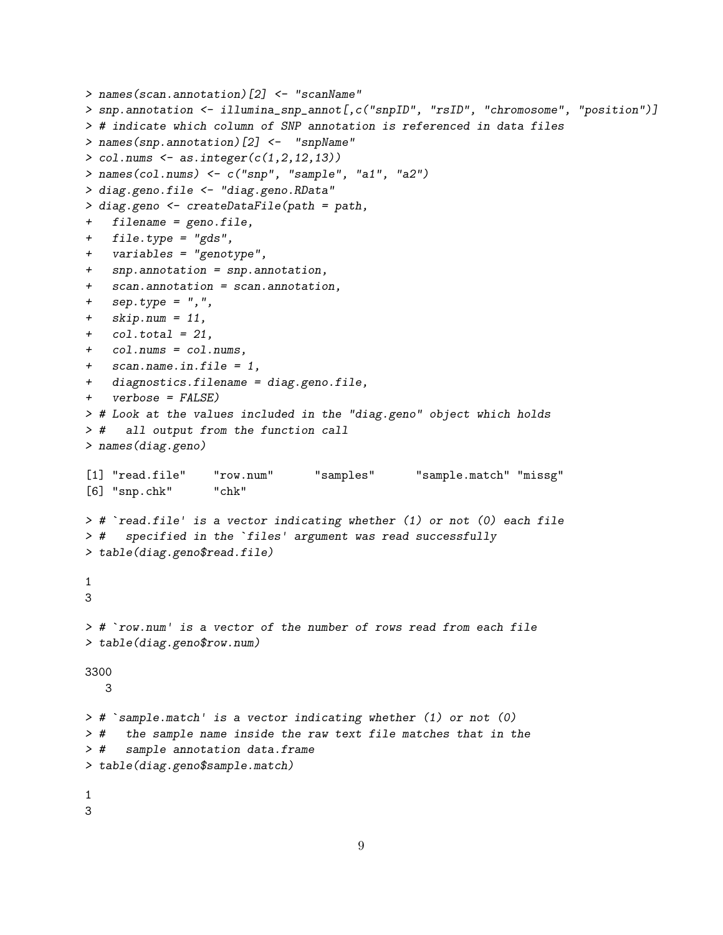```
> names(scan.annotation)[2] <- "scanName"
> snp.annotation <- illumina_snp_annot[,c("snpID", "rsID", "chromosome", "position")]
> # indicate which column of SNP annotation is referenced in data files
> names(snp.annotation)[2] <- "snpName"
> col.nums \leq as.integer(c(1,2,12,13))
> names(col.nums) <- c("snp", "sample", "a1", "a2")
> diag.geno.file <- "diag.geno.RData"
> diag.geno <- createDataFile(path = path,
+ filename = geno.file,
+ file.type = "gds",
+ variables = "genotype",
+ snp.annotation = snp.annotation,
+ scan.annotation = scan.annotation,
+ sep.type = ", "+ skip.num = 11,
+ col.total = 21,
+ col.nums = col.nums,
+ scan.name.in.file = 1,
+ diagnostics.filename = diag.geno.file,
+ verbose = FALSE)
> # Look at the values included in the "diag.geno" object which holds
> # all output from the function call
> names(diag.geno)
[1] "read.file" "row.num" "samples" "sample.match" "missg"
[6] "snp.chk" "chk"
> # `read.file' is a vector indicating whether (1) or not (0) each file
> # `read.file' is a vector indicating whether (1) or not (0)<br>> # specified in the `files' argument was read successfully
> table(diag.geno$read.file)
1
3
> # `row.num' is a vector of the number of rows read from each file
> table(diag.geno$row.num)
3300
  3
> # `sample.match' is a vector indicating whether (1) or not (0)
> # the sample name inside the raw text file matches that in the
> # sample annotation data.frame
> table(diag.geno$sample.match)
1
3
```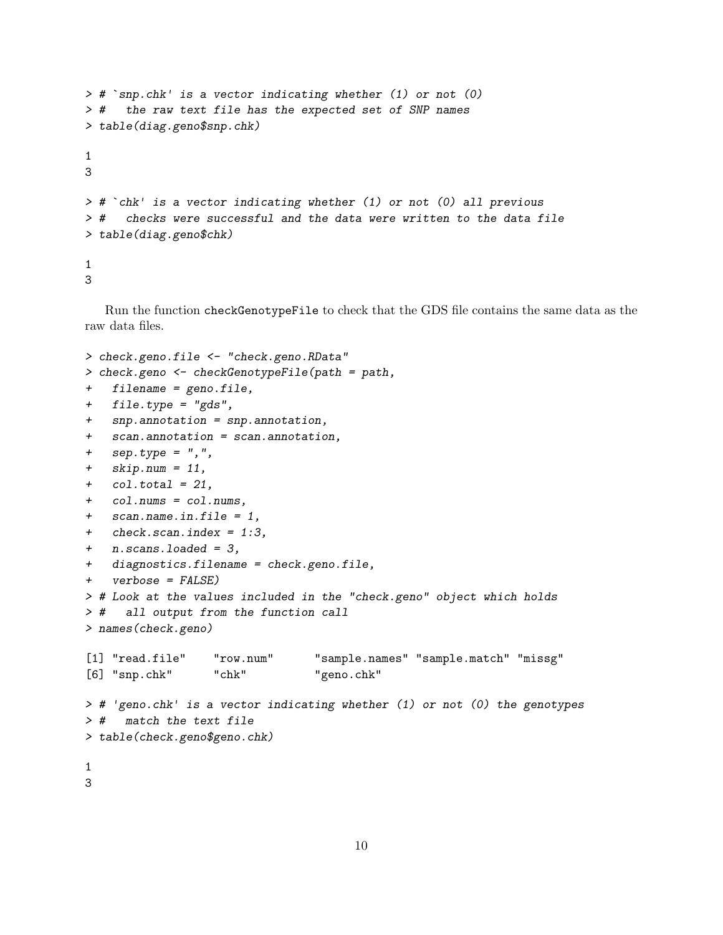```
> # `snp.chk' is a vector indicating whether (1) or not (0)
> # the raw text file has the expected set of SNP names
> table(diag.geno$snp.chk)
1
3
> # `chk' is a vector indicating whether (1) or not (0) all previous
> # checks were successful and the data were written to the data file
> table(diag.geno$chk)
1
3
```
Run the function checkGenotypeFile to check that the GDS file contains the same data as the raw data files.

```
> check.geno.file <- "check.geno.RData"
> check.geno <- checkGenotypeFile(path = path,
+ filename = geno.file,
+ file.type = "gds",
+ snp.annotation = snp.annotation,
+ scan.annotation = scan.annotation,
+ sep.type = ",",
+ skip.num = 11,
+ col.total = 21,
+ col.nums = col.nums,
+ scan.name.in.file = 1,
+ check.scan.index = 1:3,
+ n.scans.loaded = 3,
+ diagnostics.filename = check.geno.file,
+ verbose = FALSE)
> # Look at the values included in the "check.geno" object which holds
> # all output from the function call
> names(check.geno)
[1] "read.file" "row.num" "sample.names" "sample.match" "missg"
[6] "snp.chk" "chk" "geno.chk"
> # 'geno.chk' is a vector indicating whether (1) or not (0) the genotypes
> # match the text file
> table(check.geno$geno.chk)
1
3
```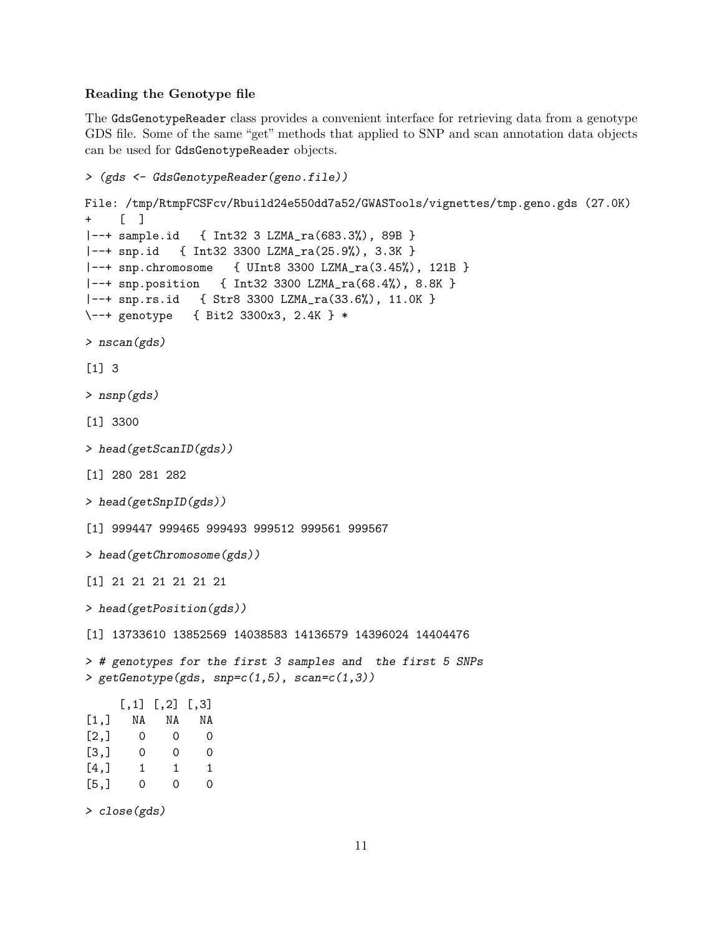## Reading the Genotype file

The GdsGenotypeReader class provides a convenient interface for retrieving data from a genotype GDS file. Some of the same "get" methods that applied to SNP and scan annotation data objects can be used for GdsGenotypeReader objects.

```
> (gds <- GdsGenotypeReader(geno.file))
File: /tmp/RtmpFCSFcv/Rbuild24e550dd7a52/GWASTools/vignettes/tmp.geno.gds (27.0K)
+ [ ]
|--+ sample.id { Int32 3 LZMA_ra(683.3%), 89B }
|--+ snp.id { Int32 3300 LZMA_ra(25.9%), 3.3K }
|--+ snp.chromosome { UInt8 3300 LZMA_ra(3.45%), 121B }
|--+ snp.position { Int32 3300 LZMA_ra(68.4%), 8.8K }
|--+ snp.rs.id { Str8 3300 LZMA_ra(33.6%), 11.0K }
\--+ genotype { Bit2 3300x3, 2.4K } *
> nscan(gds)
[1] 3
> nsnp(gds)
[1] 3300
> head(getScanID(gds))
[1] 280 281 282
> head(getSnpID(gds))
[1] 999447 999465 999493 999512 999561 999567
> head(getChromosome(gds))
[1] 21 21 21 21 21 21
> head(getPosition(gds))
[1] 13733610 13852569 14038583 14136579 14396024 14404476
> # genotypes for the first 3 samples and the first 5 SNPs
> getGenotype(gds, snp=c(1,5), scan=c(1,3))
     [,1] [,2] [,3][1,] NA NA NA
[2,] 0 0 0[3,] 0 0 0[4,] 1 1 1
[5,] 0 0 0
```
> close(gds)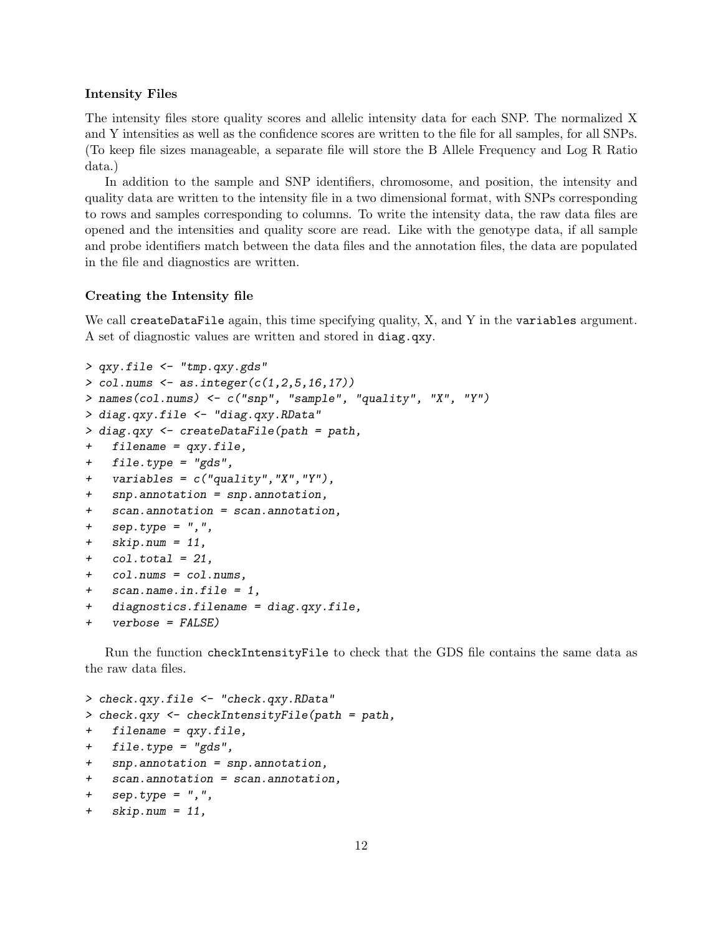#### Intensity Files

The intensity files store quality scores and allelic intensity data for each SNP. The normalized X and Y intensities as well as the confidence scores are written to the file for all samples, for all SNPs. (To keep file sizes manageable, a separate file will store the B Allele Frequency and Log R Ratio data.)

In addition to the sample and SNP identifiers, chromosome, and position, the intensity and quality data are written to the intensity file in a two dimensional format, with SNPs corresponding to rows and samples corresponding to columns. To write the intensity data, the raw data files are opened and the intensities and quality score are read. Like with the genotype data, if all sample and probe identifiers match between the data files and the annotation files, the data are populated in the file and diagnostics are written.

#### Creating the Intensity file

We call createDataFile again, this time specifying quality, X, and Y in the variables argument. A set of diagnostic values are written and stored in diag.qxy.

```
> qxy.file <- "tmp.qxy.gds"
> col.nums \leq as.integer(c(1, 2, 5, 16, 17))
> names(col.nums) <- c("snp", "sample", "quality", "X", "Y")
> diag.qxy.file <- "diag.qxy.RData"
> diag.qxy <- createDataFile(path = path,
+ filename = qxy.file,
+ file.type = "gds",
+ variables = c("quality","X","Y"),
+ snp.annotation = snp.annotation,
+ scan.annotation = scan.annotation,
+ sep.type = ",",
+ skip.num = 11,
+ col.total = 21,
+ col.nums = col.nums,
+ scan.name.in.file = 1,
+ diagnostics.filename = diag.qxy.file,
+ verbose = FALSE)
```
Run the function checkIntensityFile to check that the GDS file contains the same data as the raw data files.

```
> check.qxy.file <- "check.qxy.RData"
> check.qxy <- checkIntensityFile(path = path,
+ filename = qxy.file,
+ file.type = "gds",
+ snp.annotation = snp.annotation,
+ scan.annotation = scan.annotation,
+ sep.type = ",",
+ skip.num = 11,
```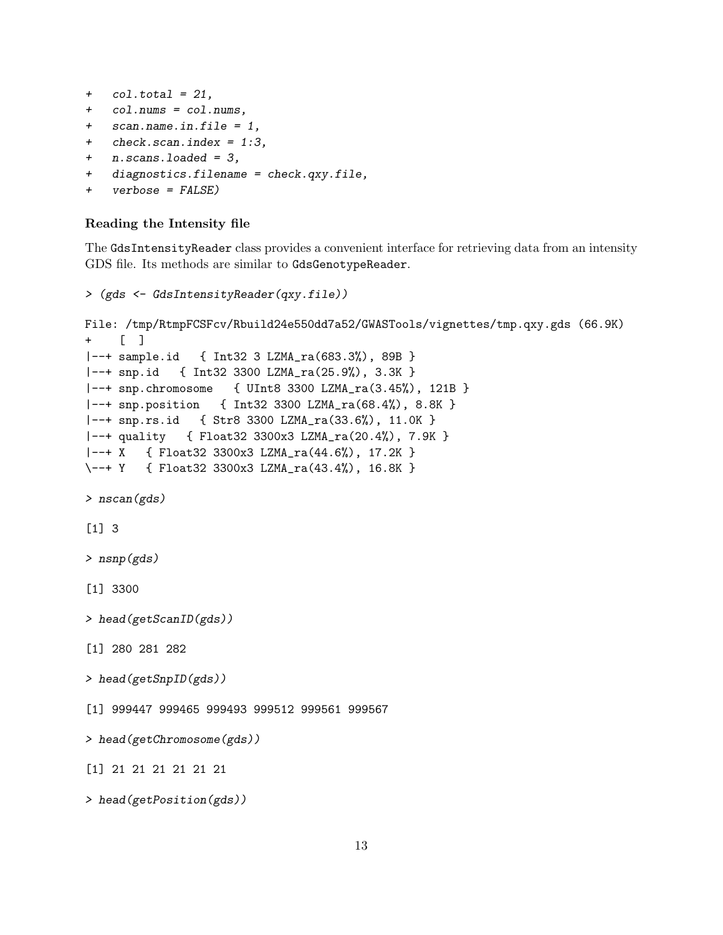```
+ col.total = 21,
```
- + col.nums = col.nums,
- + scan.name.in.file = 1,
- + check.scan.index = 1:3,
- + n.scans.loaded = 3,
- + diagnostics.filename = check.qxy.file,
- + verbose = FALSE)

#### Reading the Intensity file

The GdsIntensityReader class provides a convenient interface for retrieving data from an intensity GDS file. Its methods are similar to GdsGenotypeReader.

```
> (gds <- GdsIntensityReader(qxy.file))
File: /tmp/RtmpFCSFcv/Rbuild24e550dd7a52/GWASTools/vignettes/tmp.qxy.gds (66.9K)
+ [ ]
|--+ sample.id { Int32 3 LZMA_ra(683.3%), 89B }
|--+ snp.id { Int32 3300 LZMA_ra(25.9%), 3.3K }
|--+ snp.chromosome { UInt8 3300 LZMA_ra(3.45%), 121B }
|--+ snp.position { Int32 3300 LZMA_ra(68.4%), 8.8K }
|--+ snp.rs.id { Str8 3300 LZMA_ra(33.6%), 11.0K }
|--+ quality { Float32 3300x3 LZMA_ra(20.4%), 7.9K }
|--+ X { Float32 3300x3 LZMA_ra(44.6%), 17.2K }
\--+ Y { Float32 3300x3 LZMA_ra(43.4%), 16.8K }
> nscan(gds)
[1] 3
> nsnp(gds)
[1] 3300
> head(getScanID(gds))
[1] 280 281 282
> head(getSnpID(gds))
[1] 999447 999465 999493 999512 999561 999567
> head(getChromosome(gds))
[1] 21 21 21 21 21 21
> head(getPosition(gds))
```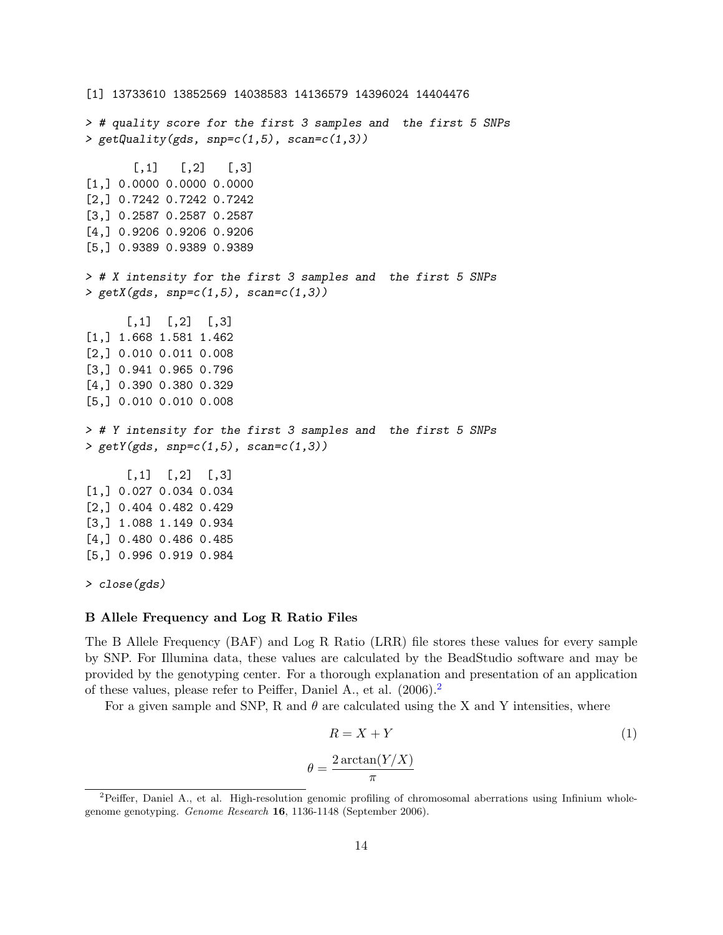[1] 13733610 13852569 14038583 14136579 14396024 14404476 > # quality score for the first 3 samples and the first 5 SNPs >  $getQuality(gds, snp=c(1,5), scan=c(1,3))$  $[,1]$   $[,2]$   $[,3]$ [1,] 0.0000 0.0000 0.0000 [2,] 0.7242 0.7242 0.7242 [3,] 0.2587 0.2587 0.2587 [4,] 0.9206 0.9206 0.9206 [5,] 0.9389 0.9389 0.9389 > # X intensity for the first 3 samples and the first 5 SNPs > getX(gds, snp= $c(1,5)$ , scan= $c(1,3)$ )  $[,1]$   $[,2]$   $[,3]$ [1,] 1.668 1.581 1.462 [2,] 0.010 0.011 0.008 [3,] 0.941 0.965 0.796 [4,] 0.390 0.380 0.329 [5,] 0.010 0.010 0.008 > # Y intensity for the first 3 samples and the first 5 SNPs > getY(gds, snp= $c(1,5)$ , scan= $c(1,3)$ )  $[0,1]$   $[0,2]$   $[0,3]$ [1,] 0.027 0.034 0.034 [2,] 0.404 0.482 0.429 [3,] 1.088 1.149 0.934 [4,] 0.480 0.486 0.485 [5,] 0.996 0.919 0.984 > close(gds)

#### B Allele Frequency and Log R Ratio Files

The B Allele Frequency (BAF) and Log R Ratio (LRR) file stores these values for every sample by SNP. For Illumina data, these values are calculated by the BeadStudio software and may be provided by the genotyping center. For a thorough explanation and presentation of an application of these values, please refer to Peiffer, Daniel A., et al. (2006).[2](#page-13-0)

For a given sample and SNP, R and  $\theta$  are calculated using the X and Y intensities, where

$$
R = X + Y \tag{1}
$$
\n
$$
\theta = \frac{2 \arctan(Y/X)}{\pi}
$$

<span id="page-13-0"></span><sup>&</sup>lt;sup>2</sup>Peiffer, Daniel A., et al. High-resolution genomic profiling of chromosomal aberrations using Infinium wholegenome genotyping. Genome Research 16, 1136-1148 (September 2006).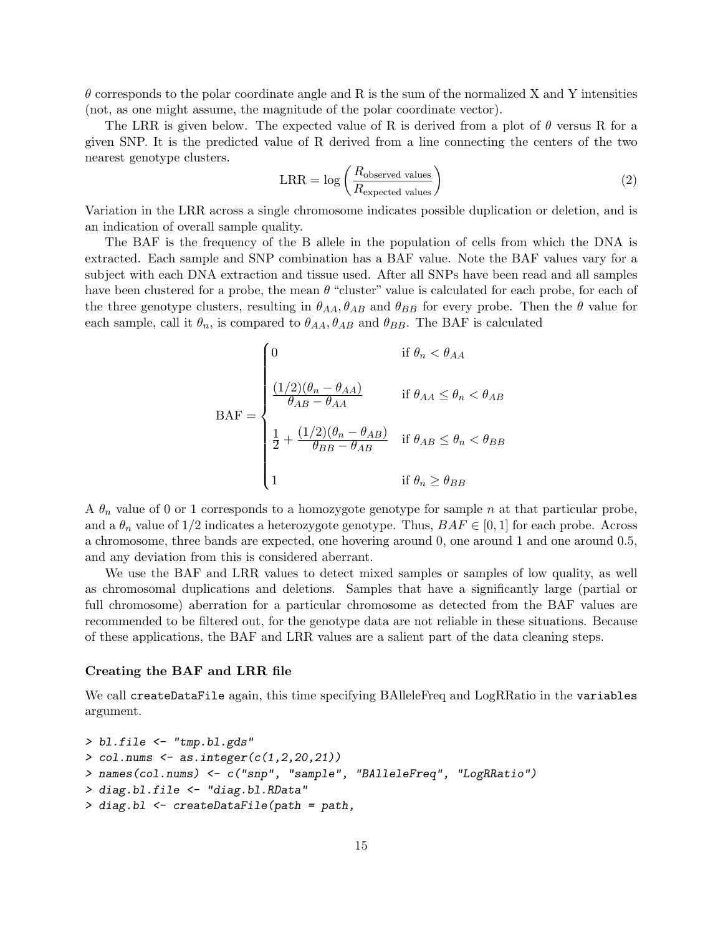$\theta$  corresponds to the polar coordinate angle and R is the sum of the normalized X and Y intensities (not, as one might assume, the magnitude of the polar coordinate vector).

The LRR is given below. The expected value of R is derived from a plot of  $\theta$  versus R for a given SNP. It is the predicted value of R derived from a line connecting the centers of the two nearest genotype clusters.

$$
LRR = \log\left(\frac{R_{\text{observed values}}}{R_{\text{expected values}}}\right)
$$
 (2)

Variation in the LRR across a single chromosome indicates possible duplication or deletion, and is an indication of overall sample quality.

The BAF is the frequency of the B allele in the population of cells from which the DNA is extracted. Each sample and SNP combination has a BAF value. Note the BAF values vary for a subject with each DNA extraction and tissue used. After all SNPs have been read and all samples have been clustered for a probe, the mean  $\theta$  "cluster" value is calculated for each probe, for each of the three genotype clusters, resulting in  $\theta_{AA}$ ,  $\theta_{AB}$  and  $\theta_{BB}$  for every probe. Then the  $\theta$  value for each sample, call it  $\theta_n$ , is compared to  $\theta_{AA}$ ,  $\theta_{AB}$  and  $\theta_{BB}$ . The BAF is calculated

$$
\text{BAF} = \begin{cases} 0 & \text{if } \theta_n < \theta_{AA} \\ \frac{(1/2)(\theta_n - \theta_{AA})}{\theta_{AB} - \theta_{AA}} & \text{if } \theta_{AA} \le \theta_n < \theta_{AB} \\ \frac{1}{2} + \frac{(1/2)(\theta_n - \theta_{AB})}{\theta_{BB} - \theta_{AB}} & \text{if } \theta_{AB} \le \theta_n < \theta_{BB} \\ 1 & \text{if } \theta_n \ge \theta_{BB} \end{cases}
$$

A  $\theta_n$  value of 0 or 1 corresponds to a homozygote genotype for sample n at that particular probe, and a  $\theta_n$  value of 1/2 indicates a heterozygote genotype. Thus,  $BAF \in [0,1]$  for each probe. Across a chromosome, three bands are expected, one hovering around 0, one around 1 and one around 0.5, and any deviation from this is considered aberrant.

We use the BAF and LRR values to detect mixed samples or samples of low quality, as well as chromosomal duplications and deletions. Samples that have a significantly large (partial or full chromosome) aberration for a particular chromosome as detected from the BAF values are recommended to be filtered out, for the genotype data are not reliable in these situations. Because of these applications, the BAF and LRR values are a salient part of the data cleaning steps.

#### Creating the BAF and LRR file

We call createDataFile again, this time specifying BAlleleFreq and LogRRatio in the variables argument.

```
> bl.file <- "tmp.bl.gds"
> col.nums <- as.integer(c(1, 2, 20, 21))> names(col.nums) <- c("snp", "sample", "BAlleleFreq", "LogRRatio")
> diag.bl.file <- "diag.bl.RData"
> diag.bl <- createDataFile(path = path,
```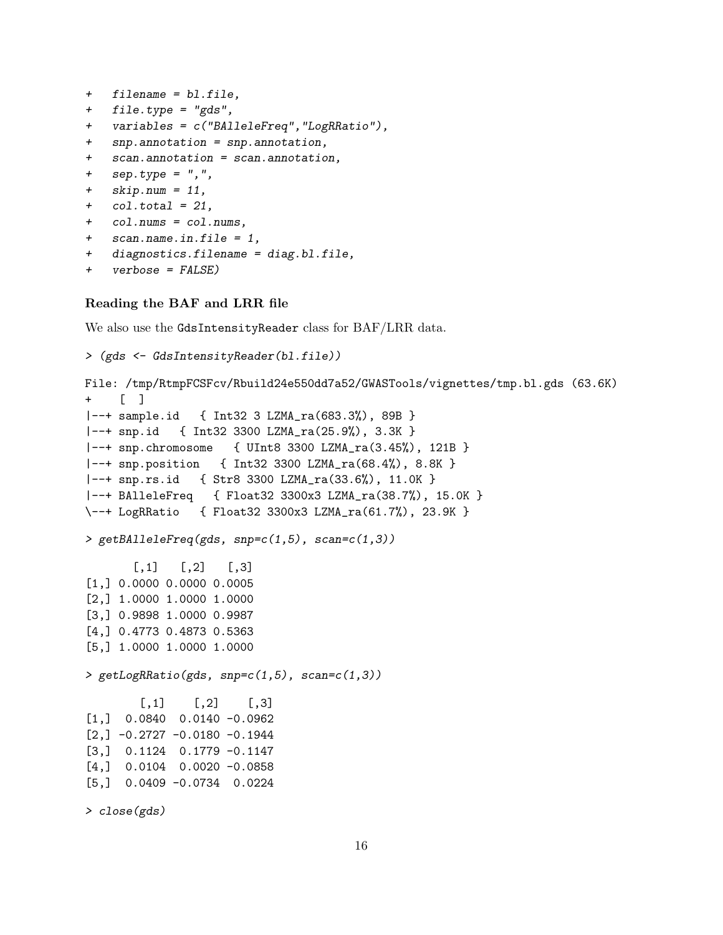```
+ filename = bl.file,
```
- + file.type = "gds",
- + variables = c("BAlleleFreq","LogRRatio"),
- + snp.annotation = snp.annotation,
- + scan.annotation = scan.annotation,
- + sep.type = ",",
- + skip.num = 11,
- $+$  col.total = 21,
- + col.nums = col.nums,
- + scan.name.in.file = 1,
- + diagnostics.filename = diag.bl.file,
- + verbose = FALSE)

#### Reading the BAF and LRR file

We also use the GdsIntensityReader class for BAF/LRR data.

```
> (gds <- GdsIntensityReader(bl.file))
File: /tmp/RtmpFCSFcv/Rbuild24e550dd7a52/GWASTools/vignettes/tmp.bl.gds (63.6K)
+ [ ]
|--+ sample.id { Int32 3 LZMA_ra(683.3%), 89B }
|--+ snp.id { Int32 3300 LZMA_ra(25.9%), 3.3K }
|--+ snp.chromosome { UInt8 3300 LZMA_ra(3.45%), 121B }
|--+ snp.position { Int32 3300 LZMA_ra(68.4%), 8.8K }
|--+ snp.rs.id { Str8 3300 LZMA_ra(33.6%), 11.0K }
|--+ BAlleleFreq { Float32 3300x3 LZMA_ra(38.7%), 15.0K }
\--+ LogRRatio { Float32 3300x3 LZMA_ra(61.7%), 23.9K }
> getBAlleleFreq(gds, snp=c(1,5), scan=c(1,3))
       [,1] [,2] [,3][1,] 0.0000 0.0000 0.0005
[2,] 1.0000 1.0000 1.0000
[3,] 0.9898 1.0000 0.9987
[4,] 0.4773 0.4873 0.5363
[5,] 1.0000 1.0000 1.0000
> getLogRRatio(gds, snp=c(1,5), scan=c(1,3))
        [0,1] [0,2] [0,3][1,] 0.0840 0.0140 -0.0962
[2,] -0.2727 -0.0180 -0.1944[3,] 0.1124 0.1779 -0.1147
[4,] 0.0104 0.0020 -0.0858
[5,] 0.0409 -0.0734 0.0224
> close(gds)
```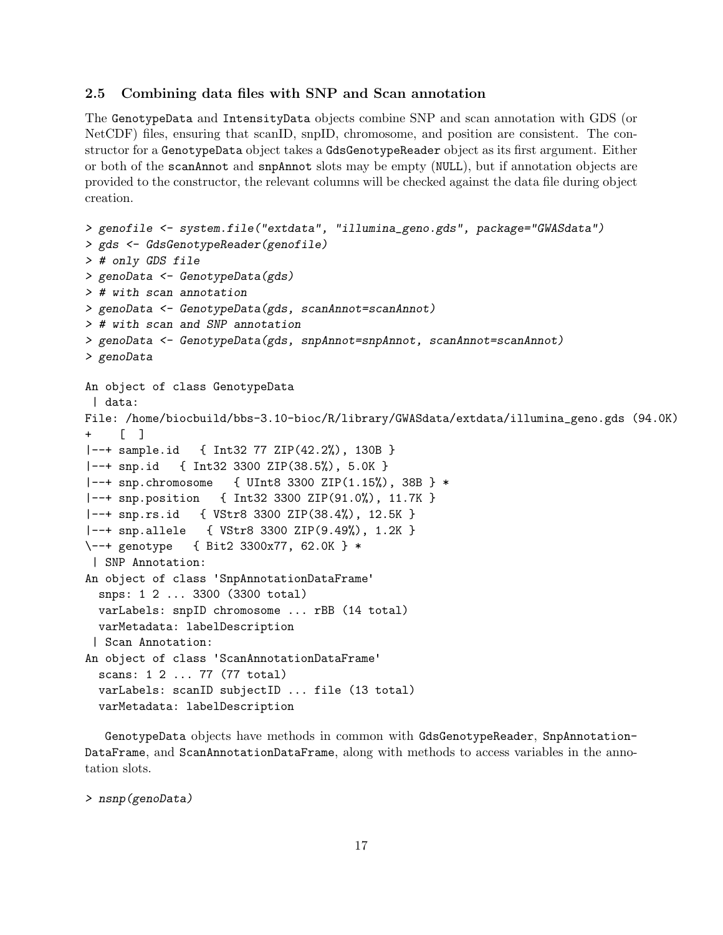#### <span id="page-16-0"></span>2.5 Combining data files with SNP and Scan annotation

The GenotypeData and IntensityData objects combine SNP and scan annotation with GDS (or NetCDF) files, ensuring that scanID, snpID, chromosome, and position are consistent. The constructor for a GenotypeData object takes a GdsGenotypeReader object as its first argument. Either or both of the scanAnnot and snpAnnot slots may be empty (NULL), but if annotation objects are provided to the constructor, the relevant columns will be checked against the data file during object creation.

```
> genofile <- system.file("extdata", "illumina_geno.gds", package="GWASdata")
> gds <- GdsGenotypeReader(genofile)
> # only GDS file
> genoData <- GenotypeData(gds)
> # with scan annotation
> genoData <- GenotypeData(gds, scanAnnot=scanAnnot)
> # with scan and SNP annotation
> genoData <- GenotypeData(gds, snpAnnot=snpAnnot, scanAnnot=scanAnnot)
> genoData
An object of class GenotypeData
 | data:
File: /home/biocbuild/bbs-3.10-bioc/R/library/GWASdata/extdata/illumina_geno.gds (94.0K)
+ [ ]
|--+ sample.id { Int32 77 ZIP(42.2%), 130B }
|--+ snp.id { Int32 3300 ZIP(38.5%), 5.0K }
|--+ snp.chromosome { UInt8 3300 ZIP(1.15%), 38B } *
|--+ snp.position { Int32 3300 ZIP(91.0%), 11.7K }
|--+ snp.rs.id { VStr8 3300 ZIP(38.4%), 12.5K }
|--+ snp.allele { VStr8 3300 ZIP(9.49%), 1.2K }
\--+ genotype { Bit2 3300x77, 62.0K } *
| SNP Annotation:
An object of class 'SnpAnnotationDataFrame'
  snps: 1 2 ... 3300 (3300 total)
 varLabels: snpID chromosome ... rBB (14 total)
 varMetadata: labelDescription
 | Scan Annotation:
An object of class 'ScanAnnotationDataFrame'
  scans: 1 2 ... 77 (77 total)
  varLabels: scanID subjectID ... file (13 total)
 varMetadata: labelDescription
```
GenotypeData objects have methods in common with GdsGenotypeReader, SnpAnnotation-DataFrame, and ScanAnnotationDataFrame, along with methods to access variables in the annotation slots.

> nsnp(genoData)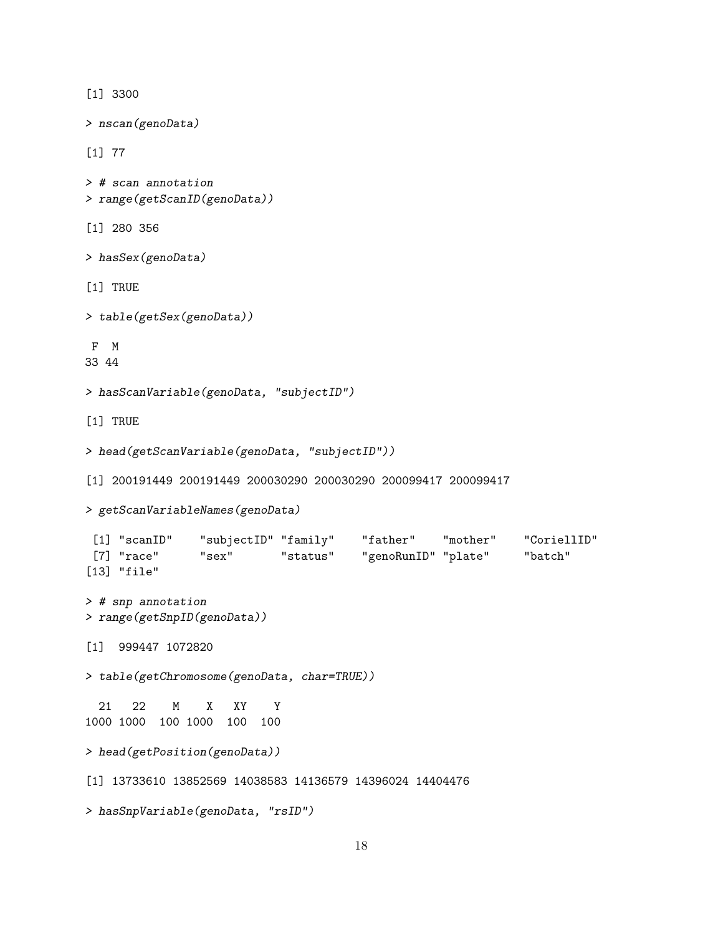[1] 3300 > nscan(genoData) [1] 77 > # scan annotation > range(getScanID(genoData)) [1] 280 356 > hasSex(genoData) [1] TRUE > table(getSex(genoData)) F M 33 44 > hasScanVariable(genoData, "subjectID") [1] TRUE > head(getScanVariable(genoData, "subjectID")) [1] 200191449 200191449 200030290 200030290 200099417 200099417 > getScanVariableNames(genoData) [1] "scanID" "subjectID" "family" "father" "mother" "CoriellID" [7] "race" "sex" "status" "genoRunID" "plate" "batch" [13] "file" > # snp annotation > range(getSnpID(genoData)) [1] 999447 1072820 > table(getChromosome(genoData, char=TRUE)) 21 22 M X XY Y 1000 1000 100 1000 100 100 > head(getPosition(genoData)) [1] 13733610 13852569 14038583 14136579 14396024 14404476 > hasSnpVariable(genoData, "rsID")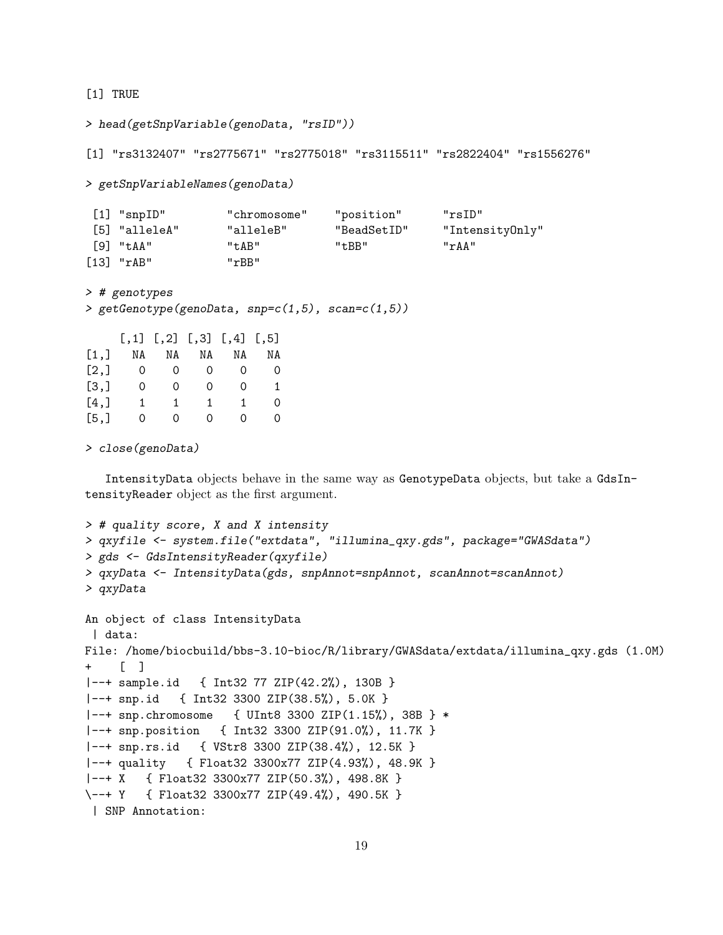[1] TRUE

```
> head(getSnpVariable(genoData, "rsID"))
```
[1] "rs3132407" "rs2775671" "rs2775018" "rs3115511" "rs2822404" "rs1556276"

> getSnpVariableNames(genoData)

| $[1]$ "snp $ID$ " | "chromosome" | "position"  | "rsID"          |
|-------------------|--------------|-------------|-----------------|
| [5] "alleleA"     | "alleleB"    | "BeadSetID" | "IntensityOnly" |
| $[9]$ "taa"       | "t.AB"       | "t.BB"      | "rAA"           |
| $[13]$ "rAB"      | "rBB"        |             |                 |

```
> # genotypes
```

```
> getGenotype(genoData, snp=c(1,5), scan=c(1,5))
```

|      |    |          | $[, 1]$ $[, 2]$ $[, 3]$ $[, 4]$ $[, 5]$ |          |    |
|------|----|----------|-----------------------------------------|----------|----|
| [1,] | NA | NA       | NA                                      | NA       | ΝA |
| [2,] | O  | $\Omega$ | $\Omega$                                | $\Omega$ | 0  |
| [3,] | 0  | Ω        | Ω                                       | 0        | 1. |
| [4,] | 1  | 1        | 1                                       | 1        | 0  |
| [5,] | Ω  | 0        | $\Omega$                                | 0        | O. |

> close(genoData)

IntensityData objects behave in the same way as GenotypeData objects, but take a GdsIntensityReader object as the first argument.

```
> # quality score, X and X intensity
> qxyfile <- system.file("extdata", "illumina_qxy.gds", package="GWASdata")
> gds <- GdsIntensityReader(qxyfile)
> qxyData <- IntensityData(gds, snpAnnot=snpAnnot, scanAnnot=scanAnnot)
> qxyData
An object of class IntensityData
| data:
File: /home/biocbuild/bbs-3.10-bioc/R/library/GWASdata/extdata/illumina_qxy.gds (1.0M)
+ [ ]
|--+ sample.id { Int32 77 ZIP(42.2%), 130B }
|--+ snp.id { Int32 3300 ZIP(38.5%), 5.0K }
|--+ snp.chromosome { UInt8 3300 ZIP(1.15%), 38B } *
|--+ snp.position { Int32 3300 ZIP(91.0%), 11.7K }
|--+ snp.rs.id { VStr8 3300 ZIP(38.4%), 12.5K }
|--+ quality { Float32 3300x77 ZIP(4.93%), 48.9K }
|--+ X { Float32 3300x77 ZIP(50.3%), 498.8K }
\--+ Y { Float32 3300x77 ZIP(49.4%), 490.5K }
| SNP Annotation:
```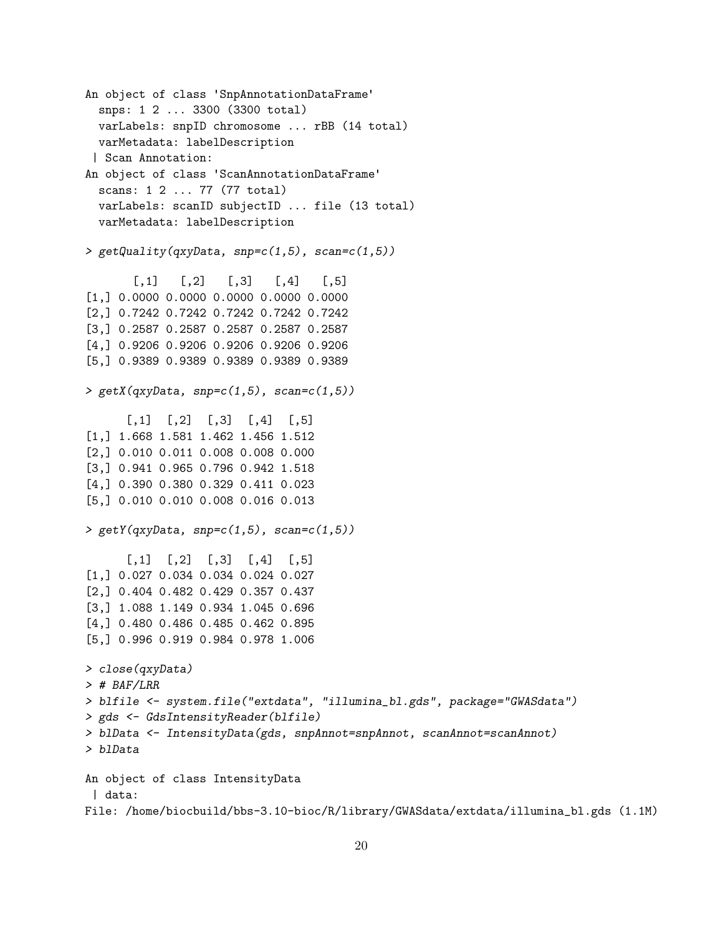```
An object of class 'SnpAnnotationDataFrame'
 snps: 1 2 ... 3300 (3300 total)
 varLabels: snpID chromosome ... rBB (14 total)
 varMetadata: labelDescription
 | Scan Annotation:
An object of class 'ScanAnnotationDataFrame'
  scans: 1 2 ... 77 (77 total)
 varLabels: scanID subjectID ... file (13 total)
 varMetadata: labelDescription
> getQuality(qxyData, snp=c(1,5), scan=c(1,5))
       [0,1] [0,2] [0,3] [0,4] [0,5][1,] 0.0000 0.0000 0.0000 0.0000 0.0000
[2,] 0.7242 0.7242 0.7242 0.7242 0.7242
[3,] 0.2587 0.2587 0.2587 0.2587 0.2587
[4,] 0.9206 0.9206 0.9206 0.9206 0.9206
[5,] 0.9389 0.9389 0.9389 0.9389 0.9389
> getX(qxyData,3np=c(1,5),scan=c(1,5))[0,1] [0,2] [0,3] [0,4] [0,5][1,] 1.668 1.581 1.462 1.456 1.512
[2,] 0.010 0.011 0.008 0.008 0.000
[3,] 0.941 0.965 0.796 0.942 1.518
[4,] 0.390 0.380 0.329 0.411 0.023
[5,] 0.010 0.010 0.008 0.016 0.013
> getY(qxyData, snp=c(1,5), scan=c(1,5))[0,1] [0,2] [0,3] [0,4] [0,5][1,] 0.027 0.034 0.034 0.024 0.027
[2,] 0.404 0.482 0.429 0.357 0.437
[3,] 1.088 1.149 0.934 1.045 0.696
[4,] 0.480 0.486 0.485 0.462 0.895
[5,] 0.996 0.919 0.984 0.978 1.006
> close(qxyData)
> # BAF/LRR
> blfile <- system.file("extdata", "illumina_bl.gds", package="GWASdata")
> gds <- GdsIntensityReader(blfile)
> blData <- IntensityData(gds, snpAnnot=snpAnnot, scanAnnot=scanAnnot)
> blData
An object of class IntensityData
| data:
File: /home/biocbuild/bbs-3.10-bioc/R/library/GWASdata/extdata/illumina_bl.gds (1.1M)
```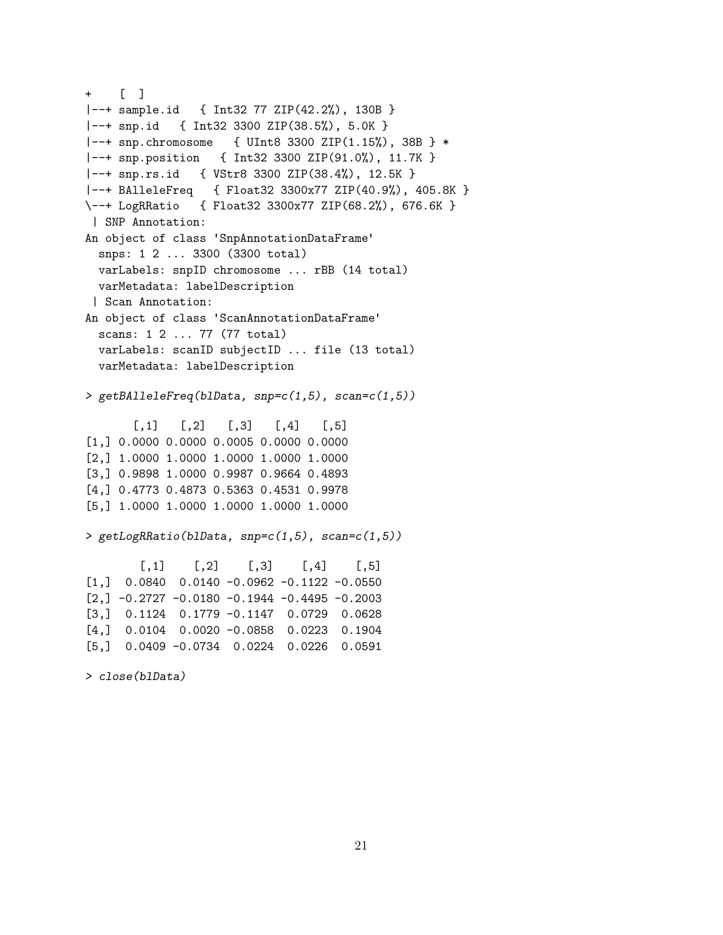```
+ [ ]
|--+ sample.id { Int32 77 ZIP(42.2%), 130B }
|--+ snp.id { Int32 3300 ZIP(38.5%), 5.0K }
|--+ snp.chromosome { UInt8 3300 ZIP(1.15%), 38B } *
|--+ snp.position { Int32 3300 ZIP(91.0%), 11.7K }
|--+ snp.rs.id { VStr8 3300 ZIP(38.4%), 12.5K }
|--+ BAlleleFreq { Float32 3300x77 ZIP(40.9%), 405.8K }
\--+ LogRRatio { Float32 3300x77 ZIP(68.2%), 676.6K }
| SNP Annotation:
An object of class 'SnpAnnotationDataFrame'
  snps: 1 2 ... 3300 (3300 total)
 varLabels: snpID chromosome ... rBB (14 total)
 varMetadata: labelDescription
 | Scan Annotation:
An object of class 'ScanAnnotationDataFrame'
 scans: 1 2 ... 77 (77 total)
 varLabels: scanID subjectID ... file (13 total)
 varMetadata: labelDescription
> getBAlleleFreq(blData, snp=c(1,5), scan=c(1,5))
       [0,1] [0,2] [0,3] [0,4] [0,5][1,] 0.0000 0.0000 0.0005 0.0000 0.0000
[2,] 1.0000 1.0000 1.0000 1.0000 1.0000
[3,] 0.9898 1.0000 0.9987 0.9664 0.4893
[4,] 0.4773 0.4873 0.5363 0.4531 0.9978
[5,] 1.0000 1.0000 1.0000 1.0000 1.0000
> getLogRRatio(blData, snp=c(1,5), scan=c(1,5))
        [0,1] [0,2] [0,3] [0,4] [0,5][1,] 0.0840 0.0140 -0.0962 -0.1122 -0.0550
[2,] -0.2727 -0.0180 -0.1944 -0.4495 -0.2003[3,] 0.1124 0.1779 -0.1147 0.0729 0.0628
[4,] 0.0104 0.0020 -0.0858 0.0223 0.1904
[5,] 0.0409 -0.0734 0.0224 0.0226 0.0591
> close(blData)
```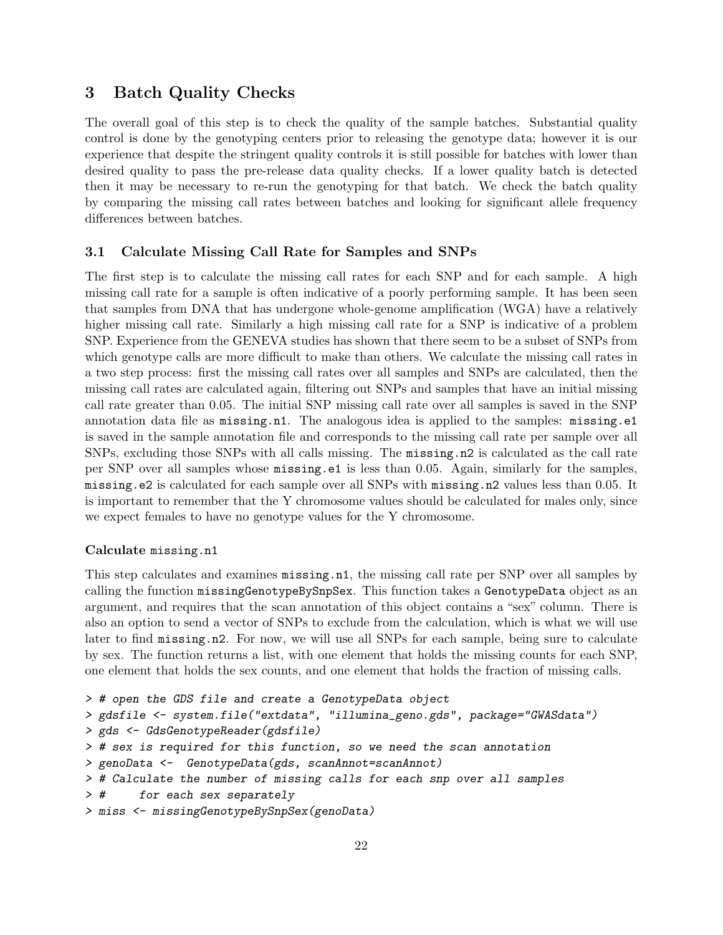# <span id="page-21-0"></span>3 Batch Quality Checks

The overall goal of this step is to check the quality of the sample batches. Substantial quality control is done by the genotyping centers prior to releasing the genotype data; however it is our experience that despite the stringent quality controls it is still possible for batches with lower than desired quality to pass the pre-release data quality checks. If a lower quality batch is detected then it may be necessary to re-run the genotyping for that batch. We check the batch quality by comparing the missing call rates between batches and looking for significant allele frequency differences between batches.

## <span id="page-21-1"></span>3.1 Calculate Missing Call Rate for Samples and SNPs

The first step is to calculate the missing call rates for each SNP and for each sample. A high missing call rate for a sample is often indicative of a poorly performing sample. It has been seen that samples from DNA that has undergone whole-genome amplification (WGA) have a relatively higher missing call rate. Similarly a high missing call rate for a SNP is indicative of a problem SNP. Experience from the GENEVA studies has shown that there seem to be a subset of SNPs from which genotype calls are more difficult to make than others. We calculate the missing call rates in a two step process: first the missing call rates over all samples and SNPs are calculated, then the missing call rates are calculated again, filtering out SNPs and samples that have an initial missing call rate greater than 0.05. The initial SNP missing call rate over all samples is saved in the SNP annotation data file as missing.n1. The analogous idea is applied to the samples: missing.e1 is saved in the sample annotation file and corresponds to the missing call rate per sample over all SNPs, excluding those SNPs with all calls missing. The missing.n2 is calculated as the call rate per SNP over all samples whose missing.e1 is less than 0.05. Again, similarly for the samples, missing.e2 is calculated for each sample over all SNPs with missing.n2 values less than 0.05. It is important to remember that the Y chromosome values should be calculated for males only, since we expect females to have no genotype values for the Y chromosome.

#### Calculate missing.n1

This step calculates and examines missing.n1, the missing call rate per SNP over all samples by calling the function missingGenotypeBySnpSex. This function takes a GenotypeData object as an argument, and requires that the scan annotation of this object contains a "sex" column. There is also an option to send a vector of SNPs to exclude from the calculation, which is what we will use later to find missing.n2. For now, we will use all SNPs for each sample, being sure to calculate by sex. The function returns a list, with one element that holds the missing counts for each SNP, one element that holds the sex counts, and one element that holds the fraction of missing calls.

```
> # open the GDS file and create a GenotypeData object
> gdsfile <- system.file("extdata", "illumina_geno.gds", package="GWASdata")
> gds <- GdsGenotypeReader(gdsfile)
> # sex is required for this function, so we need the scan annotation
> genoData <- GenotypeData(gds, scanAnnot=scanAnnot)
> # Calculate the number of missing calls for each snp over all samples
> # for each sex separately
> miss <- missingGenotypeBySnpSex(genoData)
```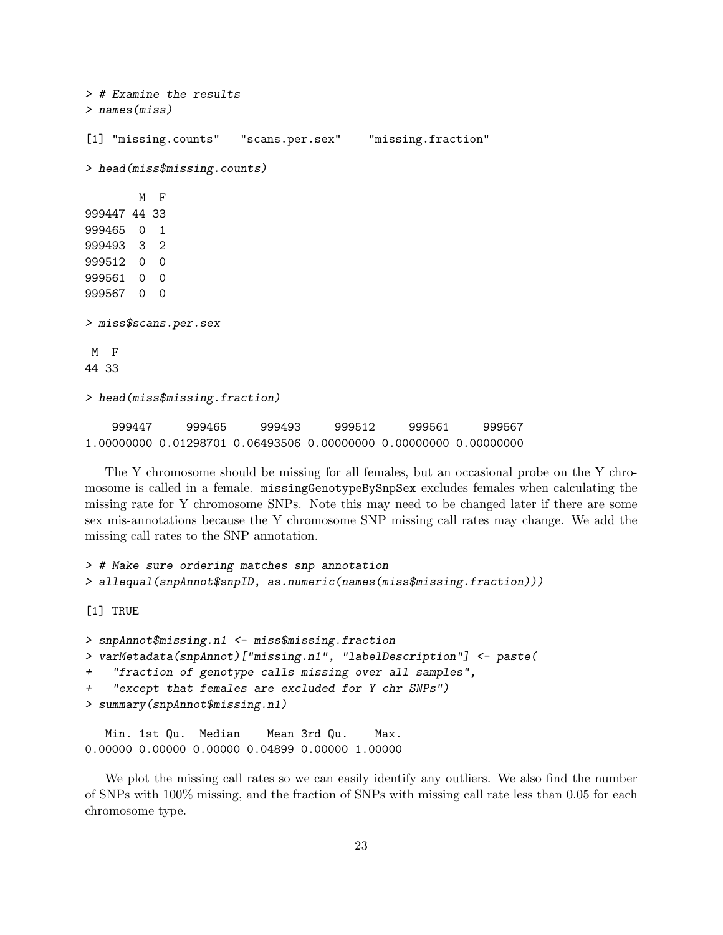> # Examine the results > names(miss) [1] "missing.counts" "scans.per.sex" "missing.fraction" > head(miss\$missing.counts) M F 999447 44 33 999465 0 1 999493 3 2 999512 0 0 999561 0 0 999567 0 0 > miss\$scans.per.sex M F 44 33 > head(miss\$missing.fraction) 999447 999465 999493 999512 999561 999567 1.00000000 0.01298701 0.06493506 0.00000000 0.00000000 0.00000000

The Y chromosome should be missing for all females, but an occasional probe on the Y chromosome is called in a female. missingGenotypeBySnpSex excludes females when calculating the missing rate for Y chromosome SNPs. Note this may need to be changed later if there are some sex mis-annotations because the Y chromosome SNP missing call rates may change. We add the missing call rates to the SNP annotation.

```
> # Make sure ordering matches snp annotation
> allequal(snpAnnot$snpID, as.numeric(names(miss$missing.fraction)))
```
[1] TRUE

```
> snpAnnot$missing.n1 <- miss$missing.fraction
> varMetadata(snpAnnot)["missing.n1", "labelDescription"] <- paste(
+ "fraction of genotype calls missing over all samples",
    "except that females are excluded for Y chr SNPs")
> summary(snpAnnot$missing.n1)
```
Min. 1st Qu. Median Mean 3rd Qu. Max. 0.00000 0.00000 0.00000 0.04899 0.00000 1.00000

We plot the missing call rates so we can easily identify any outliers. We also find the number of SNPs with 100% missing, and the fraction of SNPs with missing call rate less than 0.05 for each chromosome type.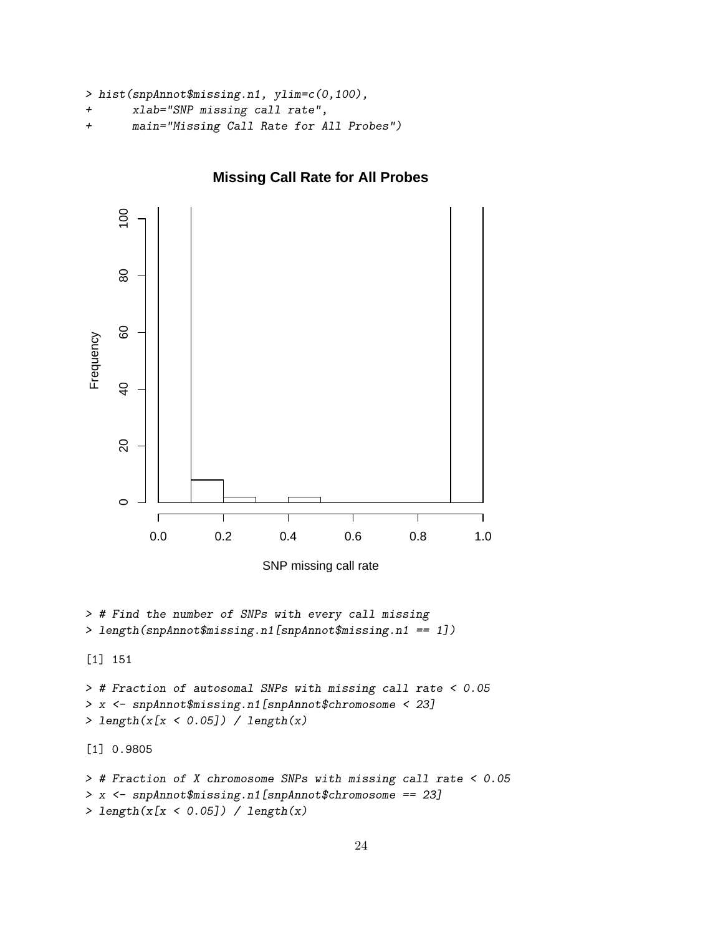```
> hist(snpAnnot$missing.n1, ylim=c(0,100),
```

```
+ xlab="SNP missing call rate",
```

```
+ main="Missing Call Rate for All Probes")
```


# **Missing Call Rate for All Probes**

SNP missing call rate

```
> # Find the number of SNPs with every call missing
> length(snpAnnot$missing.n1[snpAnnot$missing.n1 == 1])
```
[1] 151

```
> # Fraction of autosomal SNPs with missing call rate < 0.05
> x <- snpAnnot$missing.n1[snpAnnot$chromosome < 23]
> length(x[x < 0.05]) / length(x)
```
[1] 0.9805

```
> # Fraction of X chromosome SNPs with missing call rate < 0.05
> x <- snpAnnot$missing.n1[snpAnnot$chromosome == 23]
> length(x[x < 0.05]) / length(x)
```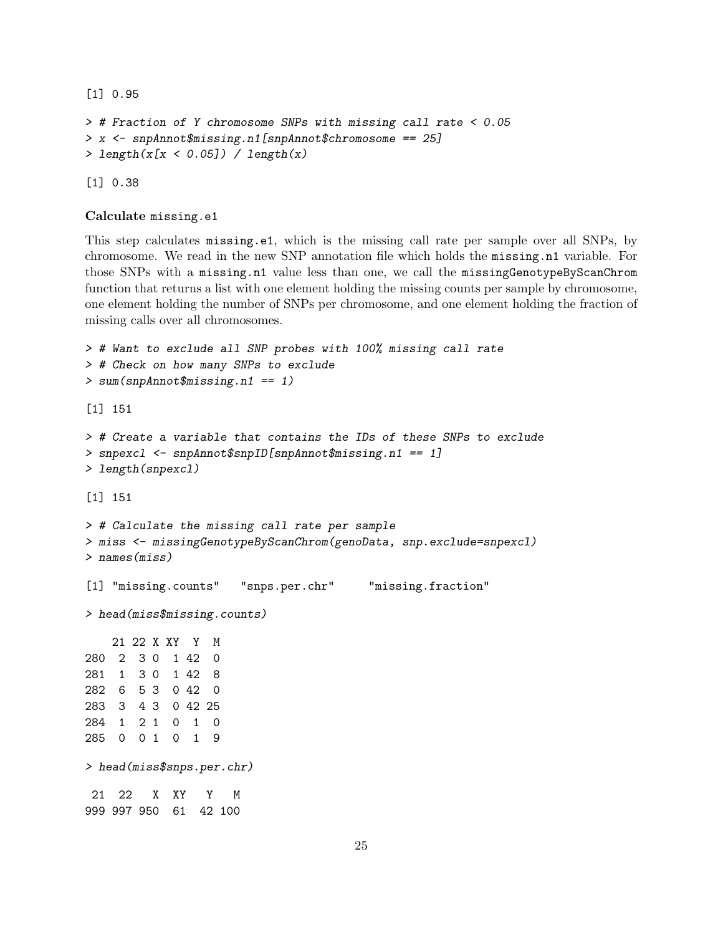[1] 0.95

```
> # Fraction of Y chromosome SNPs with missing call rate < 0.05
> x <- snpAnnot$missing.n1[snpAnnot$chromosome == 25]
> length(x[x < 0.05]) / length(x)
```
[1] 0.38

```
Calculate missing.e1
```
This step calculates missing.e1, which is the missing call rate per sample over all SNPs, by chromosome. We read in the new SNP annotation file which holds the missing.n1 variable. For those SNPs with a missing.n1 value less than one, we call the missingGenotypeByScanChrom function that returns a list with one element holding the missing counts per sample by chromosome, one element holding the number of SNPs per chromosome, and one element holding the fraction of missing calls over all chromosomes.

```
> # Want to exclude all SNP probes with 100% missing call rate
> # Check on how many SNPs to exclude
> sum(snpAnnot$missing.n1 == 1)
[1] 151
> # Create a variable that contains the IDs of these SNPs to exclude
> snpexcl <- snpAnnot$snpID[snpAnnot$missing.n1 == 1]
> length(snpexcl)
[1] 151
> # Calculate the missing call rate per sample
> miss <- missingGenotypeByScanChrom(genoData, snp.exclude=snpexcl)
> names(miss)
[1] "missing.counts" "snps.per.chr" "missing.fraction"
> head(miss$missing.counts)
   21 22 X XY Y M
280 2 3 0 1 42 0
281 1 3 0 1 42 8
282 6 5 3 0 42 0
283 3 4 3 0 42 25
284 1 2 1 0 1 0
285 0 0 1 0 1 9
> head(miss$snps.per.chr)
21 22 X XY Y M
999 997 950 61 42 100
```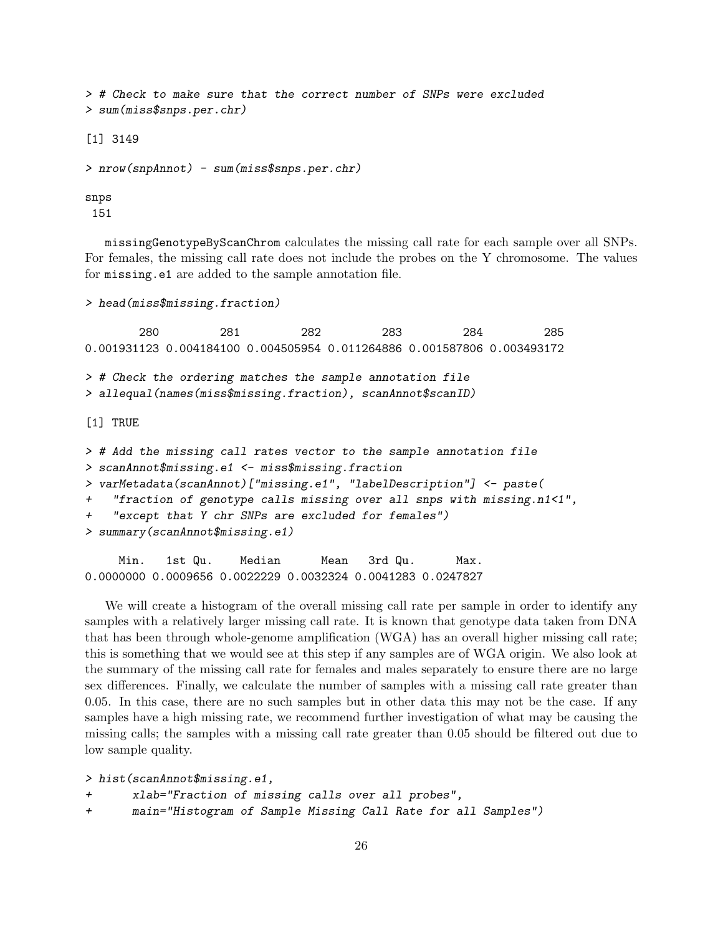> # Check to make sure that the correct number of SNPs were excluded > sum(miss\$snps.per.chr)

[1] 3149

```
> nrow(snpAnnot) - sum(miss$snps.per.chr)
```
snps

151

missingGenotypeByScanChrom calculates the missing call rate for each sample over all SNPs. For females, the missing call rate does not include the probes on the Y chromosome. The values for missing.e1 are added to the sample annotation file.

> head(miss\$missing.fraction)

280 281 282 283 284 285 0.001931123 0.004184100 0.004505954 0.011264886 0.001587806 0.003493172 > # Check the ordering matches the sample annotation file > allequal(names(miss\$missing.fraction), scanAnnot\$scanID) [1] TRUE > # Add the missing call rates vector to the sample annotation file > scanAnnot\$missing.e1 <- miss\$missing.fraction > varMetadata(scanAnnot)["missing.e1", "labelDescription"] <- paste( + "fraction of genotype calls missing over all snps with missing.n1<1", + "except that Y chr SNPs are excluded for females") > summary(scanAnnot\$missing.e1) Min. 1st Qu. Median Mean 3rd Qu. Max.

0.0000000 0.0009656 0.0022229 0.0032324 0.0041283 0.0247827

We will create a histogram of the overall missing call rate per sample in order to identify any samples with a relatively larger missing call rate. It is known that genotype data taken from DNA that has been through whole-genome amplification (WGA) has an overall higher missing call rate; this is something that we would see at this step if any samples are of WGA origin. We also look at the summary of the missing call rate for females and males separately to ensure there are no large sex differences. Finally, we calculate the number of samples with a missing call rate greater than 0.05. In this case, there are no such samples but in other data this may not be the case. If any samples have a high missing rate, we recommend further investigation of what may be causing the missing calls; the samples with a missing call rate greater than 0.05 should be filtered out due to low sample quality.

```
> hist(scanAnnot$missing.e1,
+ xlab="Fraction of missing calls over all probes",
```
+ main="Histogram of Sample Missing Call Rate for all Samples")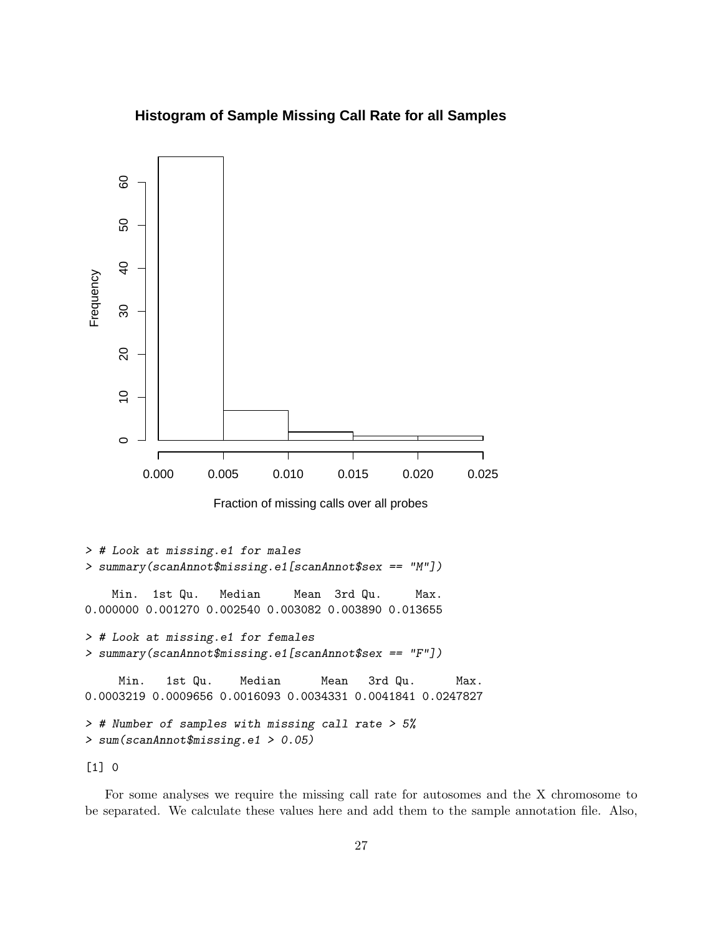

# **Histogram of Sample Missing Call Rate for all Samples**

```
Min. 1st Qu. Median Mean 3rd Qu. Max.
0.0003219 0.0009656 0.0016093 0.0034331 0.0041841 0.0247827
```

```
> # Number of samples with missing call rate > 5%
> sum(scanAnnot$missing.e1 > 0.05)
```
[1] 0

For some analyses we require the missing call rate for autosomes and the X chromosome to be separated. We calculate these values here and add them to the sample annotation file. Also,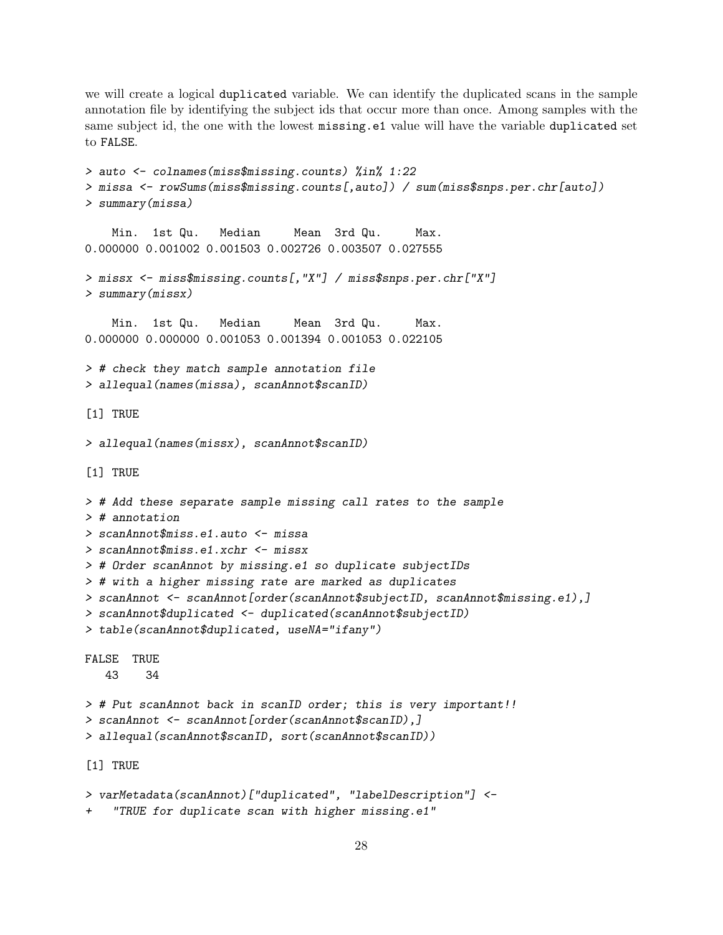we will create a logical duplicated variable. We can identify the duplicated scans in the sample annotation file by identifying the subject ids that occur more than once. Among samples with the same subject id, the one with the lowest missing.e1 value will have the variable duplicated set to FALSE.

```
> auto <- colnames(miss$missing.counts) %in% 1:22
> missa <- rowSums(miss$missing.counts[,auto]) / sum(miss$snps.per.chr[auto])
> summary(missa)
    Min. 1st Qu. Median Mean 3rd Qu. Max.
0.000000 0.001002 0.001503 0.002726 0.003507 0.027555
> missx <- miss$missing.counts[,"X"] / miss$snps.per.chr["X"]
> summary(missx)
    Min. 1st Qu. Median Mean 3rd Qu. Max.
0.000000 0.000000 0.001053 0.001394 0.001053 0.022105
> # check they match sample annotation file
> allequal(names(missa), scanAnnot$scanID)
[1] TRUE
> allequal(names(missx), scanAnnot$scanID)
[1] TRUE
> # Add these separate sample missing call rates to the sample
> # annotation
> scanAnnot$miss.e1.auto <- missa
> scanAnnot$miss.e1.xchr <- missx
> # Order scanAnnot by missing.e1 so duplicate subjectIDs
> # with a higher missing rate are marked as duplicates
> scanAnnot <- scanAnnot[order(scanAnnot$subjectID, scanAnnot$missing.e1),]
> scanAnnot$duplicated <- duplicated(scanAnnot$subjectID)
> table(scanAnnot$duplicated, useNA="ifany")
FALSE TRUE
   43 34
> # Put scanAnnot back in scanID order; this is very important!!
> scanAnnot <- scanAnnot[order(scanAnnot$scanID),]
> allequal(scanAnnot$scanID, sort(scanAnnot$scanID))
[1] TRUE
> varMetadata(scanAnnot)["duplicated", "labelDescription"] <-
```

```
"TRUE for duplicate scan with higher missing.e1"
```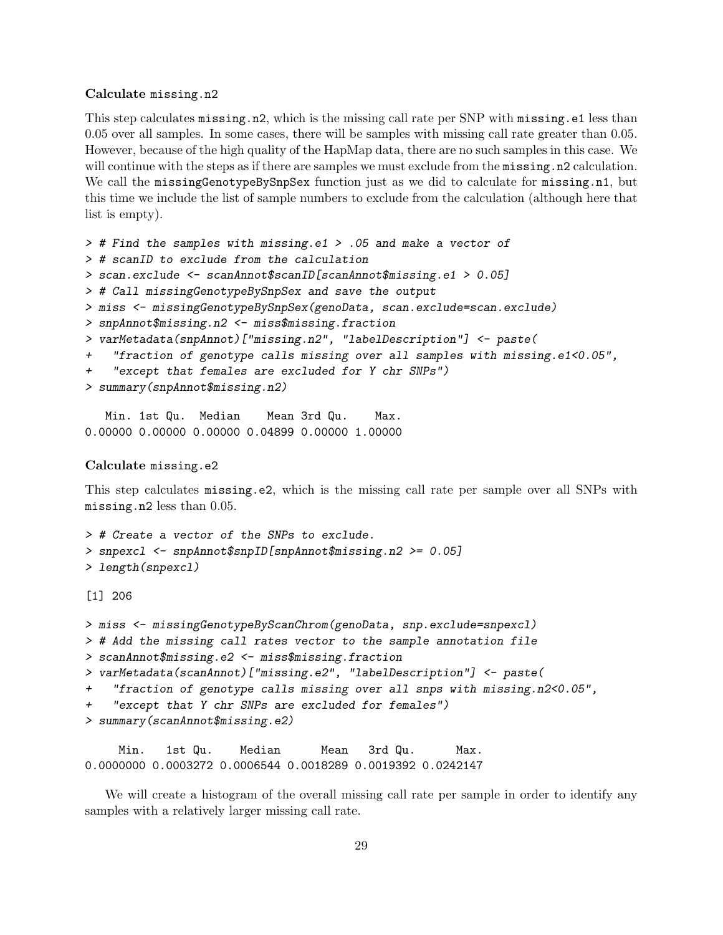#### Calculate missing.n2

This step calculates missing.n2, which is the missing call rate per SNP with missing.e1 less than 0.05 over all samples. In some cases, there will be samples with missing call rate greater than 0.05. However, because of the high quality of the HapMap data, there are no such samples in this case. We will continue with the steps as if there are samples we must exclude from the missing.n2 calculation. We call the missingGenotypeBySnpSex function just as we did to calculate for missing.n1, but this time we include the list of sample numbers to exclude from the calculation (although here that list is empty).

```
> # Find the samples with missing.e1 > .05 and make a vector of
```

```
> # scanID to exclude from the calculation
```

```
> scan.exclude <- scanAnnot$scanID[scanAnnot$missing.e1 > 0.05]
```
> # Call missingGenotypeBySnpSex and save the output

```
> miss <- missingGenotypeBySnpSex(genoData, scan.exclude=scan.exclude)
```
- > snpAnnot\$missing.n2 <- miss\$missing.fraction
- > varMetadata(snpAnnot)["missing.n2", "labelDescription"] <- paste(
- + "fraction of genotype calls missing over all samples with missing.e1<0.05",
- + "except that females are excluded for Y chr SNPs")
- > summary(snpAnnot\$missing.n2)

Min. 1st Qu. Median Mean 3rd Qu. Max. 0.00000 0.00000 0.00000 0.04899 0.00000 1.00000

#### Calculate missing.e2

This step calculates missing.e2, which is the missing call rate per sample over all SNPs with missing.n2 less than 0.05.

```
> # Create a vector of the SNPs to exclude.
> snpexcl <- snpAnnot$snpID[snpAnnot$missing.n2 >= 0.05]
> length(snpexcl)
```
[1] 206

```
> miss <- missingGenotypeByScanChrom(genoData, snp.exclude=snpexcl)
> # Add the missing call rates vector to the sample annotation file
> scanAnnot$missing.e2 <- miss$missing.fraction
> varMetadata(scanAnnot)["missing.e2", "labelDescription"] <- paste(
+ "fraction of genotype calls missing over all snps with missing.n2<0.05",
+ "except that Y chr SNPs are excluded for females")
> summary(scanAnnot$missing.e2)
```
Min. 1st Qu. Median Mean 3rd Qu. Max. 0.0000000 0.0003272 0.0006544 0.0018289 0.0019392 0.0242147

We will create a histogram of the overall missing call rate per sample in order to identify any samples with a relatively larger missing call rate.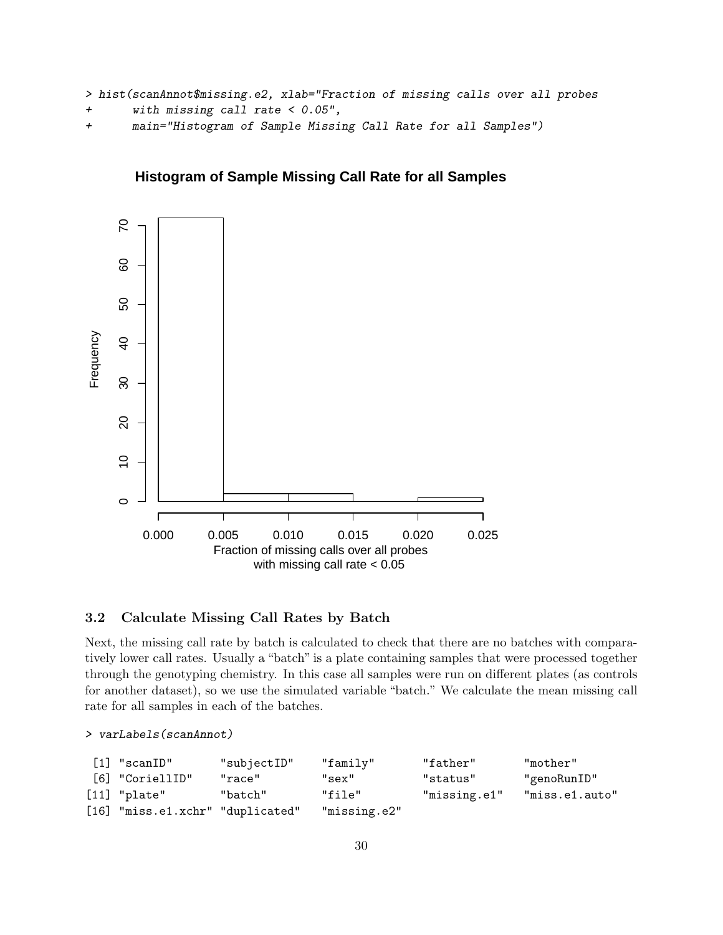```
> hist(scanAnnot$missing.e2, xlab="Fraction of missing calls over all probes
```

```
+ with missing call rate < 0.05",
```

```
+ main="Histogram of Sample Missing Call Rate for all Samples")
```
# **Histogram of Sample Missing Call Rate for all Samples**



# <span id="page-29-0"></span>3.2 Calculate Missing Call Rates by Batch

Next, the missing call rate by batch is calculated to check that there are no batches with comparatively lower call rates. Usually a "batch" is a plate containing samples that were processed together through the genotyping chemistry. In this case all samples were run on different plates (as controls for another dataset), so we use the simulated variable "batch." We calculate the mean missing call rate for all samples in each of the batches.

#### > varLabels(scanAnnot)

| $[1]$ "scanID"                   | "subjectID" | "family"     | "father"     | "mother"       |
|----------------------------------|-------------|--------------|--------------|----------------|
| [6] "CoriellID"                  | "race"      | "sex"        | "status"     | "genoRunID"    |
| $[11]$ "plate"                   | "batch"     | "file"       | "missing.e1" | "miss.e1.auto" |
| [16] "miss.e1.xchr" "duplicated" |             | "missing.e2" |              |                |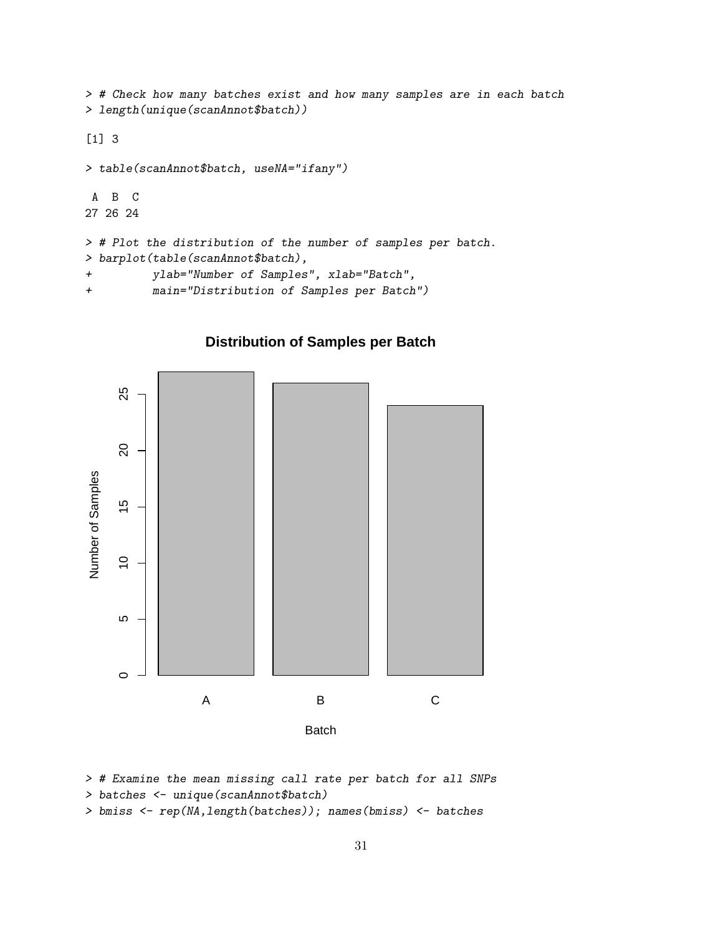> # Check how many batches exist and how many samples are in each batch > length(unique(scanAnnot\$batch))

# [1] 3

```
> table(scanAnnot$batch, useNA="ifany")
A B C
27 26 24
> # Plot the distribution of the number of samples per batch.
> barplot(table(scanAnnot$batch),
+ ylab="Number of Samples", xlab="Batch",
```
+ main="Distribution of Samples per Batch")



# **Distribution of Samples per Batch**

```
> # Examine the mean missing call rate per batch for all SNPs
```

```
> batches <- unique(scanAnnot$batch)
```

```
> bmiss <- rep(NA,length(batches)); names(bmiss) <- batches
```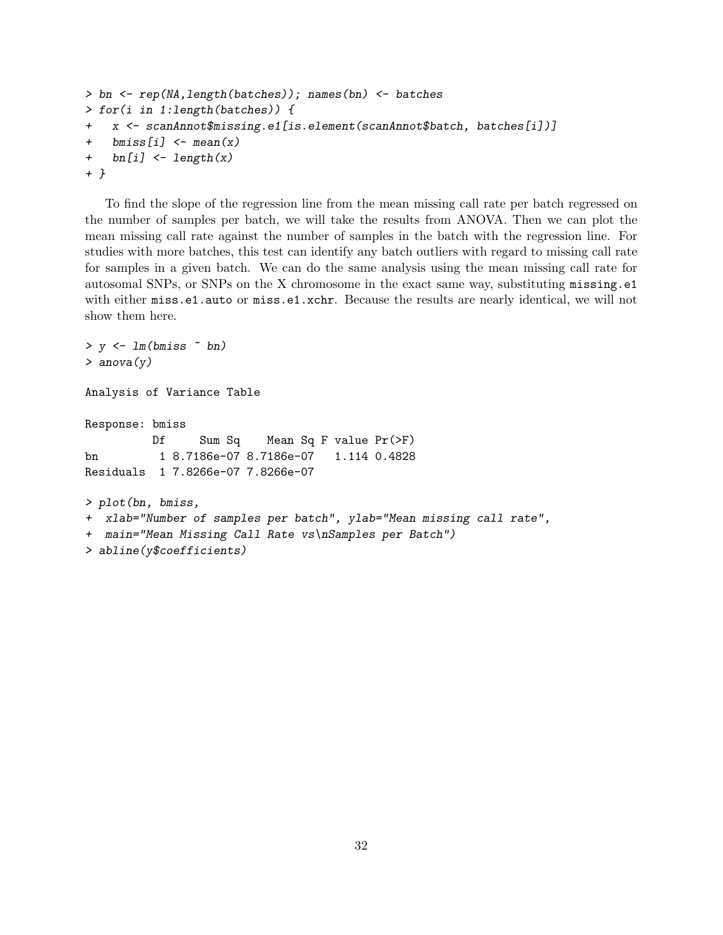```
> bn <- rep(NA,length(batches)); names(bn) <- batches
> for(i in 1:length(batches)) {
+ x <- scanAnnot$missing.e1[is.element(scanAnnot$batch, batches[i])]
+ bmiss[i] <- mean(x)+ bn[i] <- length(x)+ }
```
To find the slope of the regression line from the mean missing call rate per batch regressed on the number of samples per batch, we will take the results from ANOVA. Then we can plot the mean missing call rate against the number of samples in the batch with the regression line. For studies with more batches, this test can identify any batch outliers with regard to missing call rate for samples in a given batch. We can do the same analysis using the mean missing call rate for autosomal SNPs, or SNPs on the X chromosome in the exact same way, substituting missing.e1 with either miss.e1.auto or miss.e1.xchr. Because the results are nearly identical, we will not show them here.

```
> y \leftarrow \text{lm(bmiss} \sim \text{bn})> anova(y)
Analysis of Variance Table
Response: bmiss
          Df Sum Sq Mean Sq F value Pr(>F)
bn 1 8.7186e-07 8.7186e-07 1.114 0.4828
Residuals 1 7.8266e-07 7.8266e-07
> plot(bn, bmiss,
+ xlab="Number of samples per batch", ylab="Mean missing call rate",
+ main="Mean Missing Call Rate vs\nSamples per Batch")
> abline(y$coefficients)
```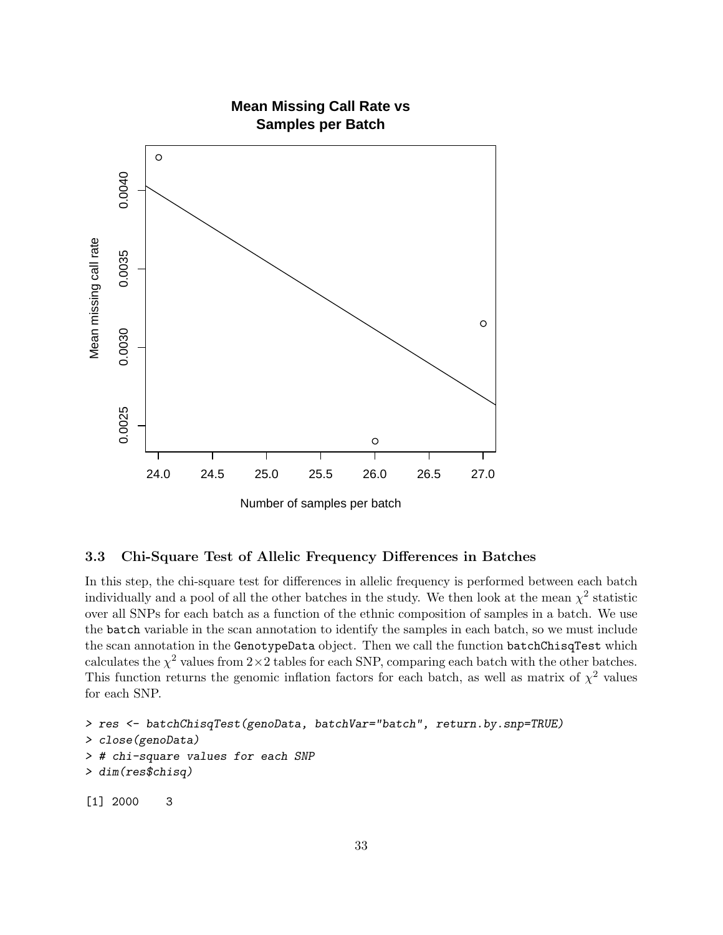

# <span id="page-32-0"></span>3.3 Chi-Square Test of Allelic Frequency Differences in Batches

In this step, the chi-square test for differences in allelic frequency is performed between each batch individually and a pool of all the other batches in the study. We then look at the mean  $\chi^2$  statistic over all SNPs for each batch as a function of the ethnic composition of samples in a batch. We use the batch variable in the scan annotation to identify the samples in each batch, so we must include the scan annotation in the GenotypeData object. Then we call the function batchChisqTest which calculates the  $\chi^2$  values from  $2 \times 2$  tables for each SNP, comparing each batch with the other batches. This function returns the genomic inflation factors for each batch, as well as matrix of  $\chi^2$  values for each SNP.

```
> res <- batchChisqTest(genoData, batchVar="batch", return.by.snp=TRUE)
> close(genoData)
> # chi-square values for each SNP
> dim(res$chisq)
[1] 2000 3
```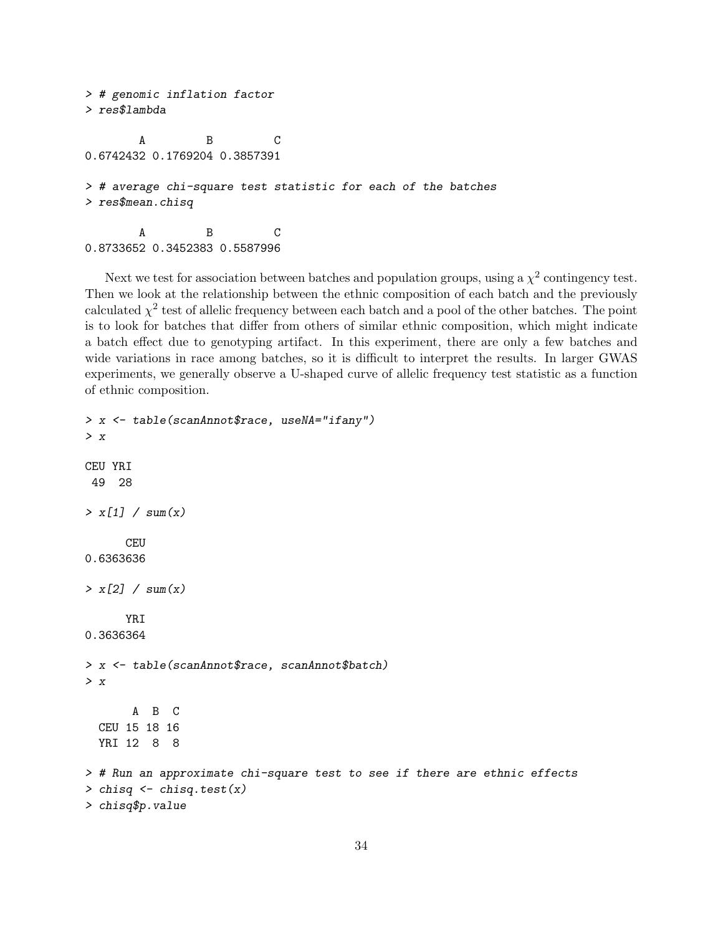```
> # genomic inflation factor
> res$lambda
       A B C
0.6742432 0.1769204 0.3857391
> # average chi-square test statistic for each of the batches
> res$mean.chisq
       A B C
0.8733652 0.3452383 0.5587996
```
Next we test for association between batches and population groups, using a  $\chi^2$  contingency test. Then we look at the relationship between the ethnic composition of each batch and the previously calculated  $\chi^2$  test of allelic frequency between each batch and a pool of the other batches. The point is to look for batches that differ from others of similar ethnic composition, which might indicate a batch effect due to genotyping artifact. In this experiment, there are only a few batches and wide variations in race among batches, so it is difficult to interpret the results. In larger GWAS experiments, we generally observe a U-shaped curve of allelic frequency test statistic as a function of ethnic composition.

```
> x <- table(scanAnnot$race, useNA="ifany")
> x
CEU YRI
49 28
> x[1] / sum(x)CEU
0.6363636
> x[2] / sum(x)YRI
0.3636364
> x <- table(scanAnnot$race, scanAnnot$batch)
> x
       A B C
  CEU 15 18 16
  YRI 12 8 8
> # Run an approximate chi-square test to see if there are ethnic effects
> chisq \leq chisq.test(x)
> chisq$p.value
```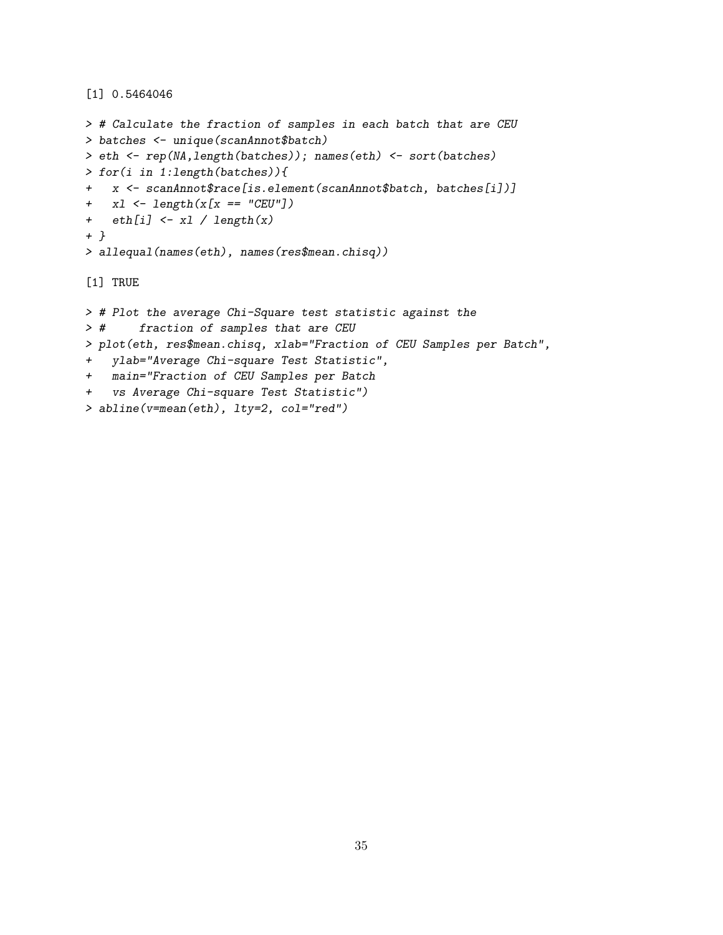[1] 0.5464046

```
> # Calculate the fraction of samples in each batch that are CEU
> batches <- unique(scanAnnot$batch)
> eth <- rep(NA,length(batches)); names(eth) <- sort(batches)
> for(i in 1:length(batches)){
+ x <- scanAnnot$race[is.element(scanAnnot$batch, batches[i])]
+ x1 \leftarrow \text{length}(x[x == "CEU"])+ eth[i] <- xl / length(x)
+ }
> allequal(names(eth), names(res$mean.chisq))
[1] TRUE
> # Plot the average Chi-Square test statistic against the
> # fraction of samples that are CEU
> plot(eth, res$mean.chisq, xlab="Fraction of CEU Samples per Batch",
+ ylab="Average Chi-square Test Statistic",
+ main="Fraction of CEU Samples per Batch
+ vs Average Chi-square Test Statistic")
> abline(v=mean(eth), lty=2, col="red")
```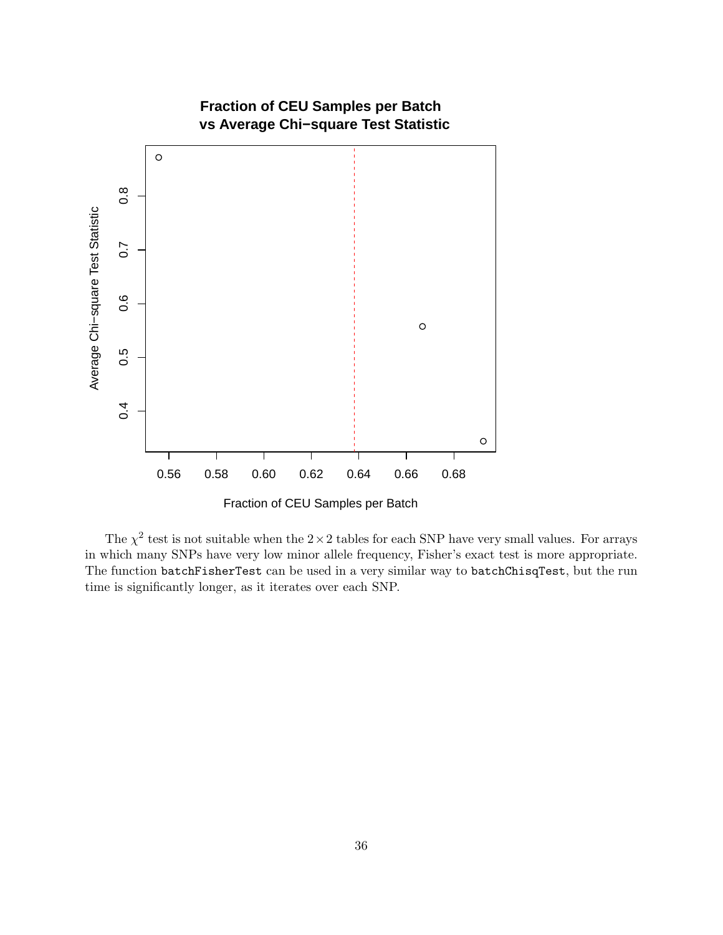

The  $\chi^2$  test is not suitable when the 2 × 2 tables for each SNP have very small values. For arrays in which many SNPs have very low minor allele frequency, Fisher's exact test is more appropriate. The function batchFisherTest can be used in a very similar way to batchChisqTest, but the run time is significantly longer, as it iterates over each SNP.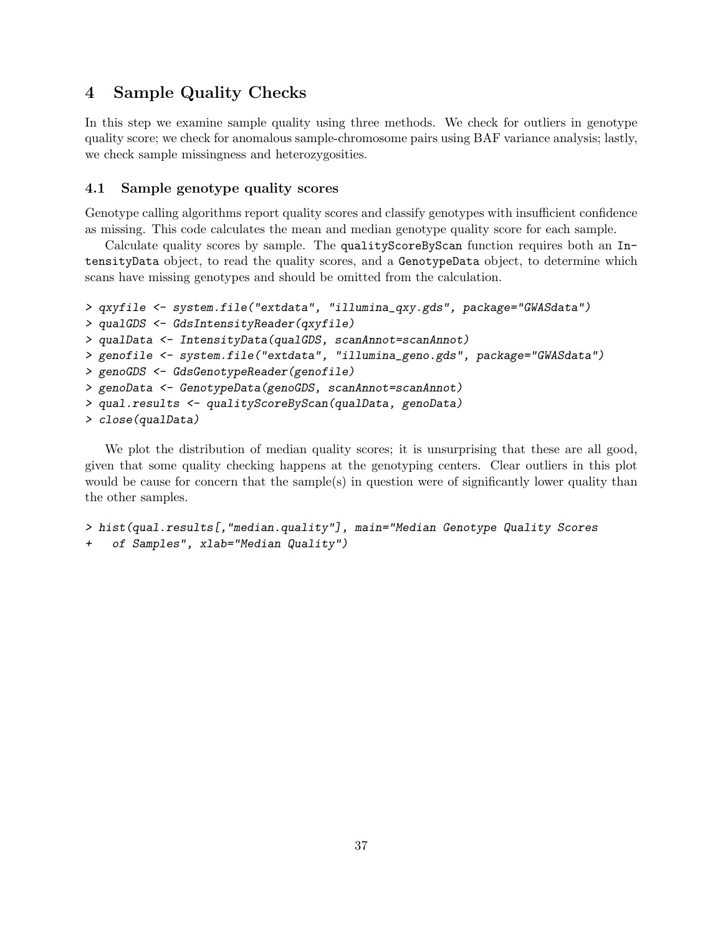# 4 Sample Quality Checks

In this step we examine sample quality using three methods. We check for outliers in genotype quality score; we check for anomalous sample-chromosome pairs using BAF variance analysis; lastly, we check sample missingness and heterozygosities.

# 4.1 Sample genotype quality scores

Genotype calling algorithms report quality scores and classify genotypes with insufficient confidence as missing. This code calculates the mean and median genotype quality score for each sample.

Calculate quality scores by sample. The qualityScoreByScan function requires both an IntensityData object, to read the quality scores, and a GenotypeData object, to determine which scans have missing genotypes and should be omitted from the calculation.

```
> qxyfile <- system.file("extdata", "illumina_qxy.gds", package="GWASdata")
> qualGDS <- GdsIntensityReader(qxyfile)
> qualData <- IntensityData(qualGDS, scanAnnot=scanAnnot)
> genofile <- system.file("extdata", "illumina_geno.gds", package="GWASdata")
> genoGDS <- GdsGenotypeReader(genofile)
> genoData <- GenotypeData(genoGDS, scanAnnot=scanAnnot)
> qual.results <- qualityScoreByScan(qualData, genoData)
> close(qualData)
```
We plot the distribution of median quality scores; it is unsurprising that these are all good, given that some quality checking happens at the genotyping centers. Clear outliers in this plot would be cause for concern that the sample(s) in question were of significantly lower quality than the other samples.

```
> hist(qual.results[,"median.quality"], main="Median Genotype Quality Scores
+ of Samples", xlab="Median Quality")
```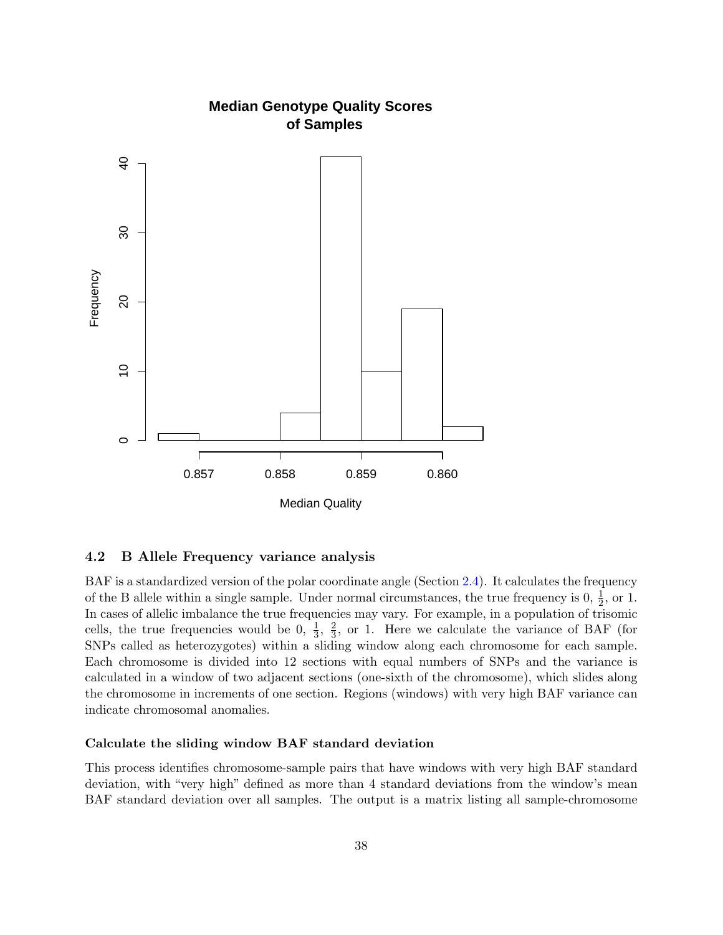

#### 4.2 B Allele Frequency variance analysis

BAF is a standardized version of the polar coordinate angle (Section [2.4\)](#page-13-0). It calculates the frequency of the B allele within a single sample. Under normal circumstances, the true frequency is  $0, \frac{1}{2}$ , or 1. In cases of allelic imbalance the true frequencies may vary. For example, in a population of trisomic cells, the true frequencies would be 0,  $\frac{1}{3}$ ,  $\frac{2}{3}$  $\frac{2}{3}$ , or 1. Here we calculate the variance of BAF (for SNPs called as heterozygotes) within a sliding window along each chromosome for each sample. Each chromosome is divided into 12 sections with equal numbers of SNPs and the variance is calculated in a window of two adjacent sections (one-sixth of the chromosome), which slides along the chromosome in increments of one section. Regions (windows) with very high BAF variance can indicate chromosomal anomalies.

#### Calculate the sliding window BAF standard deviation

This process identifies chromosome-sample pairs that have windows with very high BAF standard deviation, with "very high" defined as more than 4 standard deviations from the window's mean BAF standard deviation over all samples. The output is a matrix listing all sample-chromosome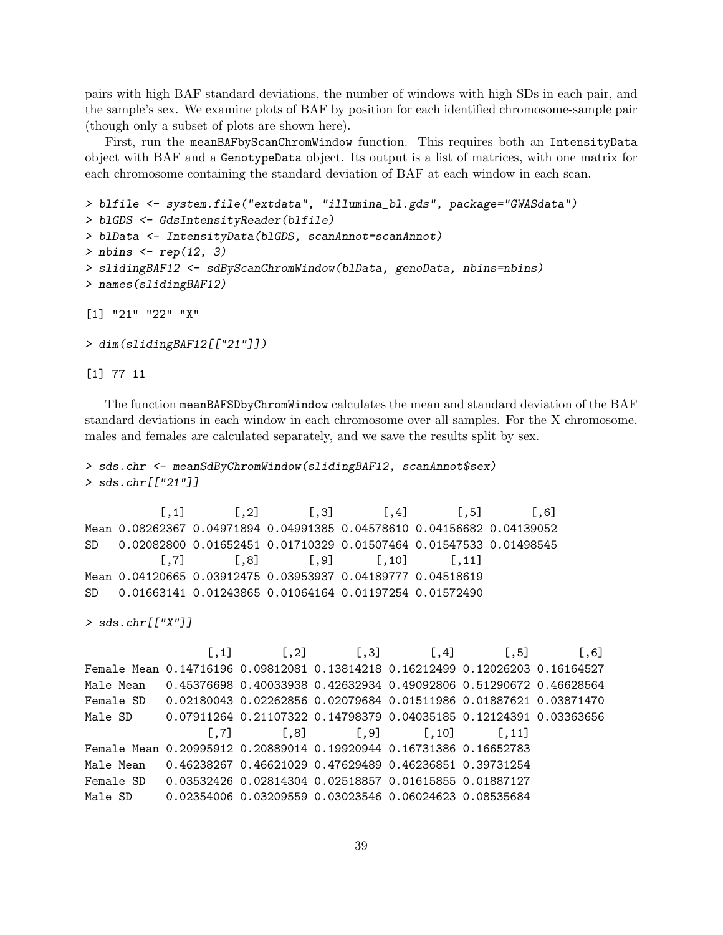pairs with high BAF standard deviations, the number of windows with high SDs in each pair, and the sample's sex. We examine plots of BAF by position for each identified chromosome-sample pair (though only a subset of plots are shown here).

First, run the meanBAFbyScanChromWindow function. This requires both an IntensityData object with BAF and a GenotypeData object. Its output is a list of matrices, with one matrix for each chromosome containing the standard deviation of BAF at each window in each scan.

```
> blfile <- system.file("extdata", "illumina_bl.gds", package="GWASdata")
> blGDS <- GdsIntensityReader(blfile)
> blData <- IntensityData(blGDS, scanAnnot=scanAnnot)
> nbins \leq rep(12, 3)
> slidingBAF12 <- sdByScanChromWindow(blData, genoData, nbins=nbins)
> names(slidingBAF12)
[1] "21" "22" "X"
```

```
> dim(slidingBAF12[["21"]])
```
[1] 77 11

The function meanBAFSDbyChromWindow calculates the mean and standard deviation of the BAF standard deviations in each window in each chromosome over all samples. For the X chromosome, males and females are calculated separately, and we save the results split by sex.

```
> sds.chr <- meanSdByChromWindow(slidingBAF12, scanAnnot$sex)
> sds.chr[["21"]]
```

```
[0,1] [0,2] [0,3] [0,4] [0,5] [0,6]Mean 0.08262367 0.04971894 0.04991385 0.04578610 0.04156682 0.04139052
SD 0.02082800 0.01652451 0.01710329 0.01507464 0.01547533 0.01498545
         [0,7] [0,8] [0,9] [0,10] [0,11]Mean 0.04120665 0.03912475 0.03953937 0.04189777 0.04518619
SD 0.01663141 0.01243865 0.01064164 0.01197254 0.01572490
```
> sds.chr[["X"]]

 $[0,1]$   $[0,2]$   $[0,3]$   $[0,4]$   $[0,5]$   $[0,6]$ Female Mean 0.14716196 0.09812081 0.13814218 0.16212499 0.12026203 0.16164527 Male Mean 0.45376698 0.40033938 0.42632934 0.49092806 0.51290672 0.46628564 Female SD 0.02180043 0.02262856 0.02079684 0.01511986 0.01887621 0.03871470 Male SD 0.07911264 0.21107322 0.14798379 0.04035185 0.12124391 0.03363656  $[$ ,7]  $[$ ,8]  $[$ ,9]  $[$ ,10]  $[$ ,11] Female Mean 0.20995912 0.20889014 0.19920944 0.16731386 0.16652783 Male Mean 0.46238267 0.46621029 0.47629489 0.46236851 0.39731254 Female SD 0.03532426 0.02814304 0.02518857 0.01615855 0.01887127 Male SD 0.02354006 0.03209559 0.03023546 0.06024623 0.08535684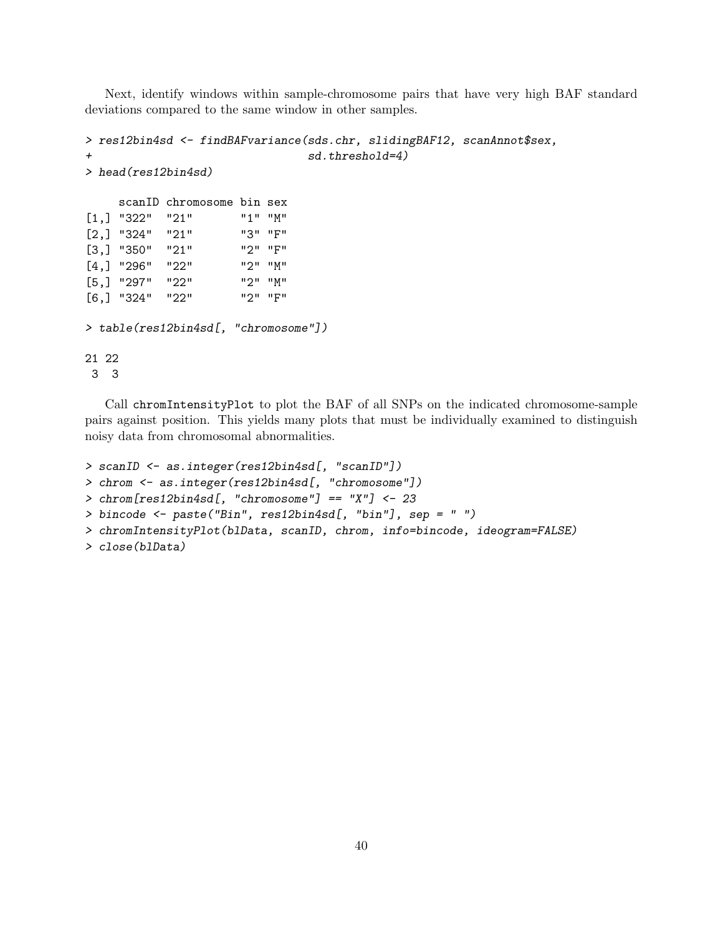Next, identify windows within sample-chromosome pairs that have very high BAF standard deviations compared to the same window in other samples.

```
> res12bin4sd <- findBAFvariance(sds.chr, slidingBAF12, scanAnnot$sex,
+ sd.threshold=4)
> head(res12bin4sd)
    scanID chromosome bin sex
[1,] "322" "21" "1" "M"
[2,] "324" "21" "3" "F"
[3,] "350" "21" "2" "F"
[4,] "296" "22" "2" "M"
[5,] "297" "22" "2" "M"
[6,] "324" "22" "2" "F"
> table(res12bin4sd[, "chromosome"])
21 22
3 3
```
Call chromIntensityPlot to plot the BAF of all SNPs on the indicated chromosome-sample pairs against position. This yields many plots that must be individually examined to distinguish noisy data from chromosomal abnormalities.

```
> scanID <- as.integer(res12bin4sd[, "scanID"])
> chrom <- as.integer(res12bin4sd[, "chromosome"])
> chrom[res12bin4sd[, "chromosome"] == "X"] <- 23
> bincode <- paste("Bin", res12bin4sd[, "bin"], sep = " ")
> chromIntensityPlot(blData, scanID, chrom, info=bincode, ideogram=FALSE)
> close(blData)
```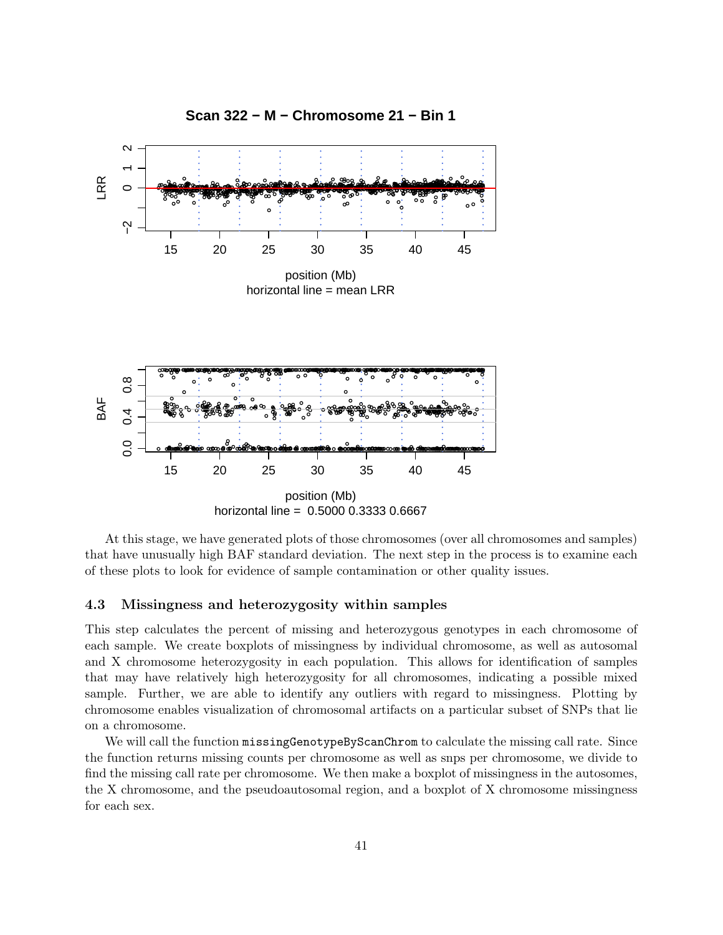

At this stage, we have generated plots of those chromosomes (over all chromosomes and samples) that have unusually high BAF standard deviation. The next step in the process is to examine each of these plots to look for evidence of sample contamination or other quality issues.

#### 4.3 Missingness and heterozygosity within samples

This step calculates the percent of missing and heterozygous genotypes in each chromosome of each sample. We create boxplots of missingness by individual chromosome, as well as autosomal and X chromosome heterozygosity in each population. This allows for identification of samples that may have relatively high heterozygosity for all chromosomes, indicating a possible mixed sample. Further, we are able to identify any outliers with regard to missingness. Plotting by chromosome enables visualization of chromosomal artifacts on a particular subset of SNPs that lie on a chromosome.

We will call the function missingGenotypeByScanChrom to calculate the missing call rate. Since the function returns missing counts per chromosome as well as snps per chromosome, we divide to find the missing call rate per chromosome. We then make a boxplot of missingness in the autosomes, the X chromosome, and the pseudoautosomal region, and a boxplot of X chromosome missingness for each sex.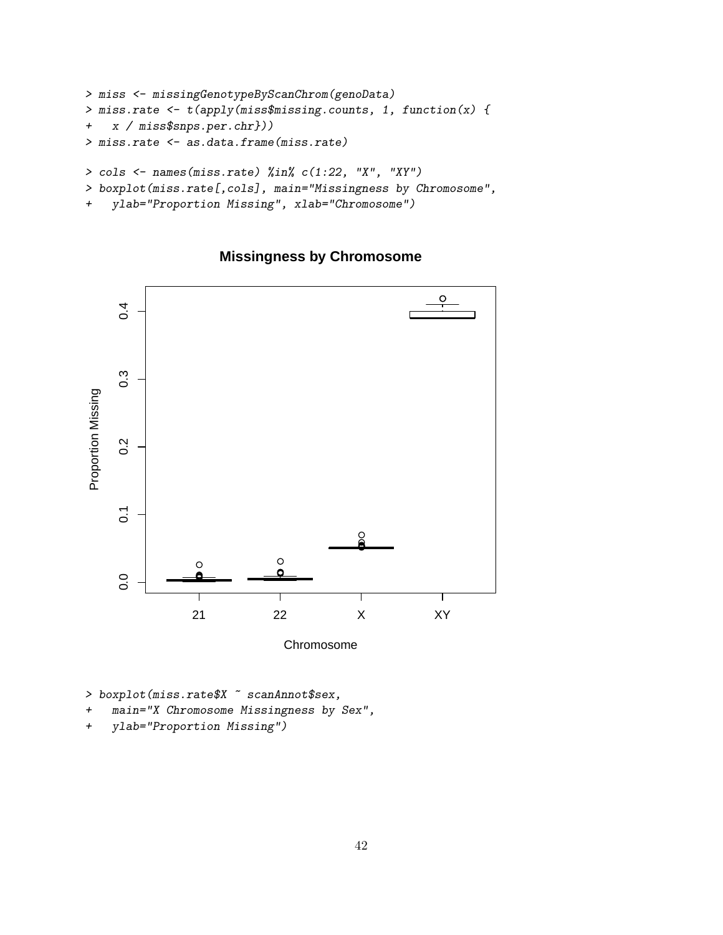```
> miss <- missingGenotypeByScanChrom(genoData)
> miss.rate <- t(apply(miss$missing.counts, 1, function(x) {
+ x / miss$snps.per.chr}))
> miss.rate <- as.data.frame(miss.rate)
> cols <- names(miss.rate) %in% c(1:22, "X", "XY")
> boxplot(miss.rate[,cols], main="Missingness by Chromosome",
```

```
+ ylab="Proportion Missing", xlab="Chromosome")
```
**Missingness by Chromosome**



Chromosome

> boxplot(miss.rate\$X ~ scanAnnot\$sex,

- + main="X Chromosome Missingness by Sex",
- + ylab="Proportion Missing")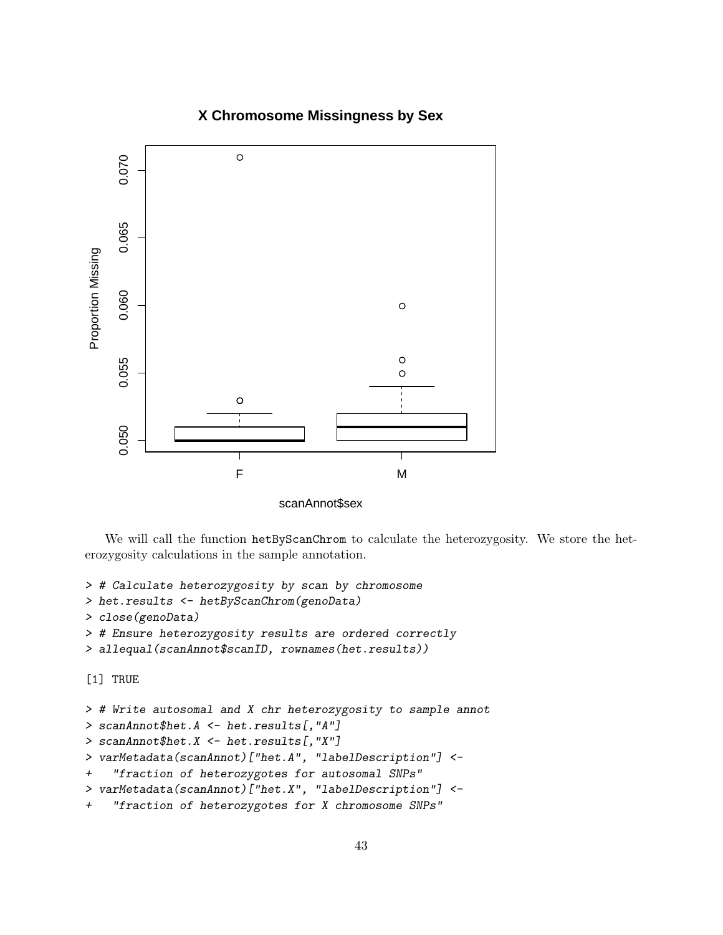# **X Chromosome Missingness by Sex**



scanAnnot\$sex

We will call the function hetByScanChrom to calculate the heterozygosity. We store the heterozygosity calculations in the sample annotation.

```
> # Calculate heterozygosity by scan by chromosome
```
> het.results <- hetByScanChrom(genoData)

```
> close(genoData)
```

```
> # Ensure heterozygosity results are ordered correctly
```

```
> allequal(scanAnnot$scanID, rownames(het.results))
```
[1] TRUE

```
> # Write autosomal and X chr heterozygosity to sample annot
> scanAnnot$het.A <- het.results[,"A"]
> scanAnnot$het.X <- het.results[,"X"]
> varMetadata(scanAnnot)["het.A", "labelDescription"] <-
+ "fraction of heterozygotes for autosomal SNPs"
> varMetadata(scanAnnot)["het.X", "labelDescription"] <-
+ "fraction of heterozygotes for X chromosome SNPs"
```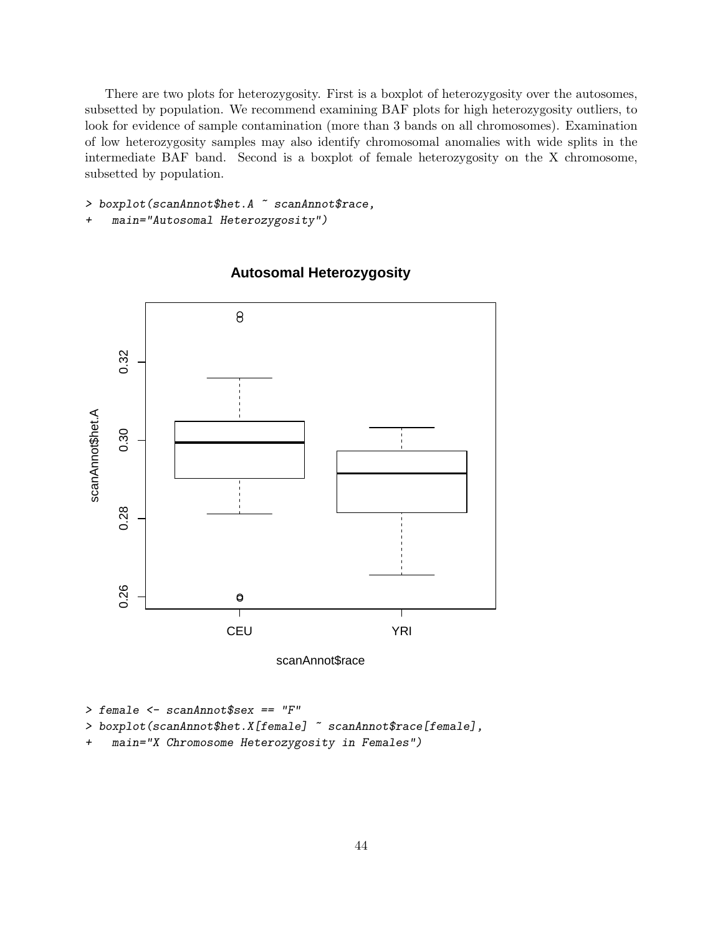There are two plots for heterozygosity. First is a boxplot of heterozygosity over the autosomes, subsetted by population. We recommend examining BAF plots for high heterozygosity outliers, to look for evidence of sample contamination (more than 3 bands on all chromosomes). Examination of low heterozygosity samples may also identify chromosomal anomalies with wide splits in the intermediate BAF band. Second is a boxplot of female heterozygosity on the X chromosome, subsetted by population.

```
> boxplot(scanAnnot$het.A ~ scanAnnot$race,
```

```
+ main="Autosomal Heterozygosity")
```


# **Autosomal Heterozygosity**

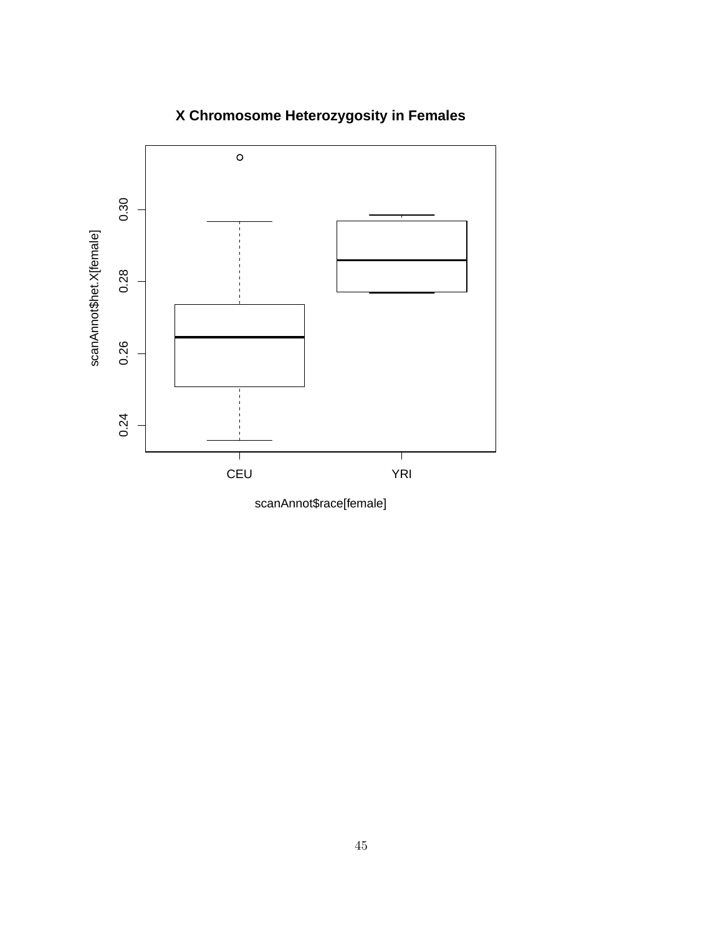

# **X Chromosome Heterozygosity in Females**

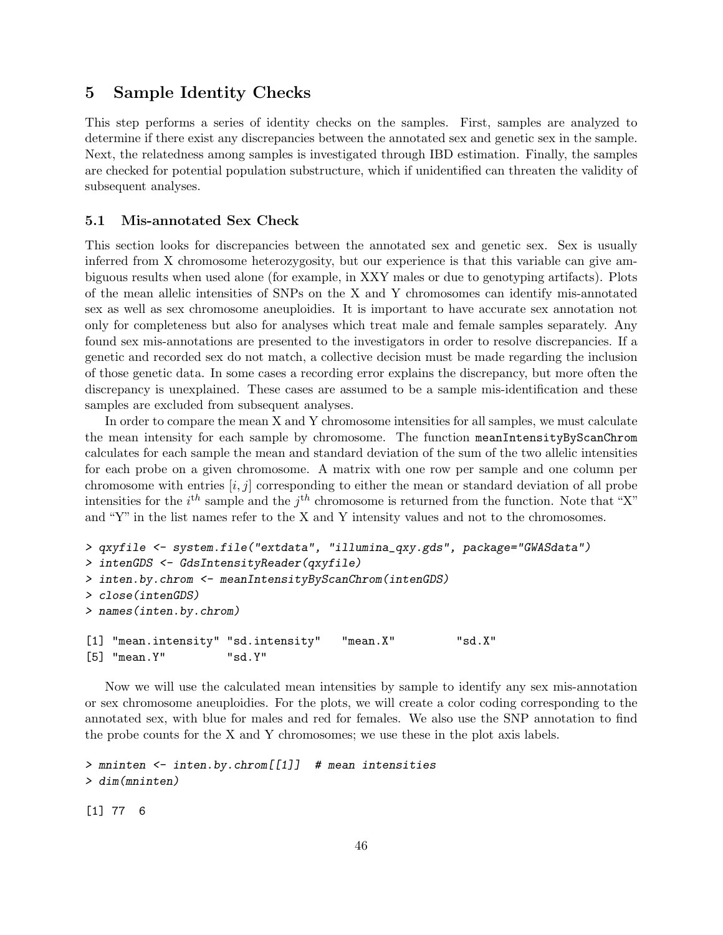# 5 Sample Identity Checks

This step performs a series of identity checks on the samples. First, samples are analyzed to determine if there exist any discrepancies between the annotated sex and genetic sex in the sample. Next, the relatedness among samples is investigated through IBD estimation. Finally, the samples are checked for potential population substructure, which if unidentified can threaten the validity of subsequent analyses.

#### 5.1 Mis-annotated Sex Check

This section looks for discrepancies between the annotated sex and genetic sex. Sex is usually inferred from X chromosome heterozygosity, but our experience is that this variable can give ambiguous results when used alone (for example, in XXY males or due to genotyping artifacts). Plots of the mean allelic intensities of SNPs on the X and Y chromosomes can identify mis-annotated sex as well as sex chromosome aneuploidies. It is important to have accurate sex annotation not only for completeness but also for analyses which treat male and female samples separately. Any found sex mis-annotations are presented to the investigators in order to resolve discrepancies. If a genetic and recorded sex do not match, a collective decision must be made regarding the inclusion of those genetic data. In some cases a recording error explains the discrepancy, but more often the discrepancy is unexplained. These cases are assumed to be a sample mis-identification and these samples are excluded from subsequent analyses.

In order to compare the mean X and Y chromosome intensities for all samples, we must calculate the mean intensity for each sample by chromosome. The function meanIntensityByScanChrom calculates for each sample the mean and standard deviation of the sum of the two allelic intensities for each probe on a given chromosome. A matrix with one row per sample and one column per chromosome with entries  $[i, j]$  corresponding to either the mean or standard deviation of all probe intensities for the  $i^{th}$  sample and the  $j^{th}$  chromosome is returned from the function. Note that "X" and "Y" in the list names refer to the X and Y intensity values and not to the chromosomes.

```
> qxyfile <- system.file("extdata", "illumina_qxy.gds", package="GWASdata")
> intenGDS <- GdsIntensityReader(qxyfile)
> inten.by.chrom <- meanIntensityByScanChrom(intenGDS)
> close(intenGDS)
> names(inten.by.chrom)
[1] "mean.intensity" "sd.intensity" "mean.X" "sd.X"
[5] "mean.Y" "sd.Y"
```
Now we will use the calculated mean intensities by sample to identify any sex mis-annotation or sex chromosome aneuploidies. For the plots, we will create a color coding corresponding to the annotated sex, with blue for males and red for females. We also use the SNP annotation to find the probe counts for the X and Y chromosomes; we use these in the plot axis labels.

```
> mninten <- inten.by.chrom[[1]] # mean intensities
> dim(mninten)
```
[1] 77 6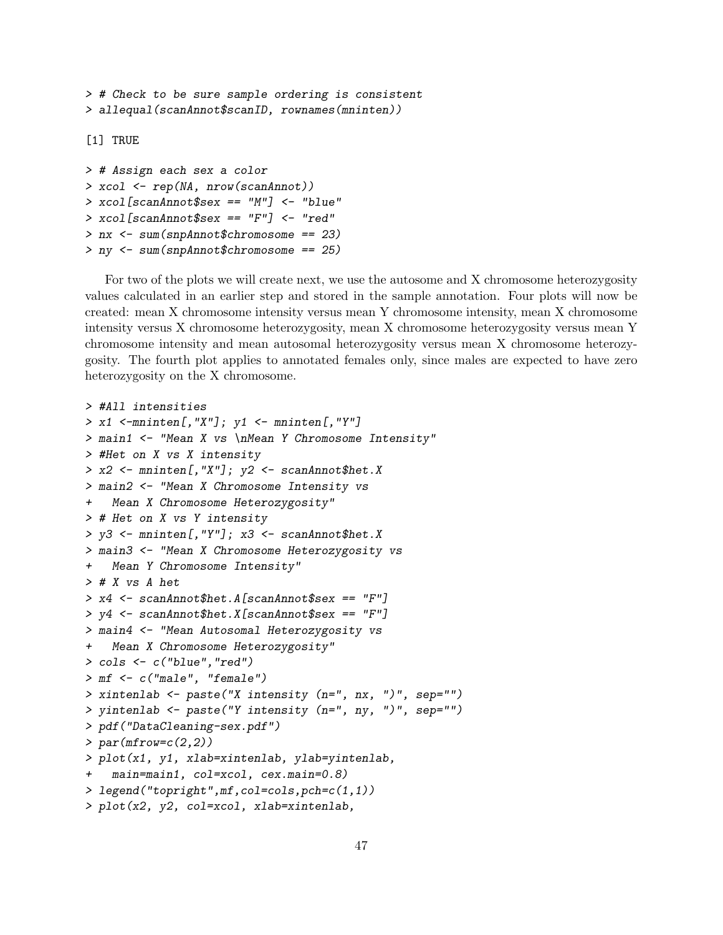```
> # Check to be sure sample ordering is consistent
> allequal(scanAnnot$scanID, rownames(mninten))
```
[1] TRUE

```
> # Assign each sex a color
> xcol <- rep(NA, nrow(scanAnnot))
> xcol[scanAnnot$sex == "M"] <- "blue"
> xcol[scanAnnot$sex == "F"] < - "red"> nx <- sum(snpAnnot$chromosome == 23)
> ny <- sum(snpAnnot$chromosome == 25)
```
For two of the plots we will create next, we use the autosome and X chromosome heterozygosity values calculated in an earlier step and stored in the sample annotation. Four plots will now be created: mean X chromosome intensity versus mean Y chromosome intensity, mean X chromosome intensity versus X chromosome heterozygosity, mean X chromosome heterozygosity versus mean Y chromosome intensity and mean autosomal heterozygosity versus mean X chromosome heterozygosity. The fourth plot applies to annotated females only, since males are expected to have zero heterozygosity on the X chromosome.

```
> #All intensities
> x1 <-mninten[,"X"]; y1 <- mninten[,"Y"]
> main1 <- "Mean X vs \nMean Y Chromosome Intensity"
> #Het on X vs X intensity
> x2 <- mninten[,"X"]; y2 <- scanAnnot$het.X
> main2 <- "Mean X Chromosome Intensity vs
+ Mean X Chromosome Heterozygosity"
> # Het on X vs Y intensity
> y3 <- mninten[,"Y"]; x3 <- scanAnnot$het.X
> main3 <- "Mean X Chromosome Heterozygosity vs
   Mean Y Chromosome Intensity"
> # X vs A het
> x4 <- scanAnnot$het.A[scanAnnot$sex == "F"]
> y4 <- scanAnnot$het.X[scanAnnot$sex == "F"]
> main4 <- "Mean Autosomal Heterozygosity vs
+ Mean X Chromosome Heterozygosity"
> cols <- c("blue","red")
> mf <- c("male", "female")
> xintenlab <- paste("X intensity (n=", nx, ")", sep="")
> yintenlab <- paste("Y intensity (n=", ny, ")", sep="")
> pdf("DataCleaning-sex.pdf")
> par(mfrow=c(2,2))> plot(x1, y1, xlab=xintenlab, ylab=yintenlab,
   main=main1, col=xcol, cex.main=0.8)
> legend("topright",mf,col=cols,pch=c(1,1))
> plot(x2, y2, col=xcol, xlab=xintenlab,
```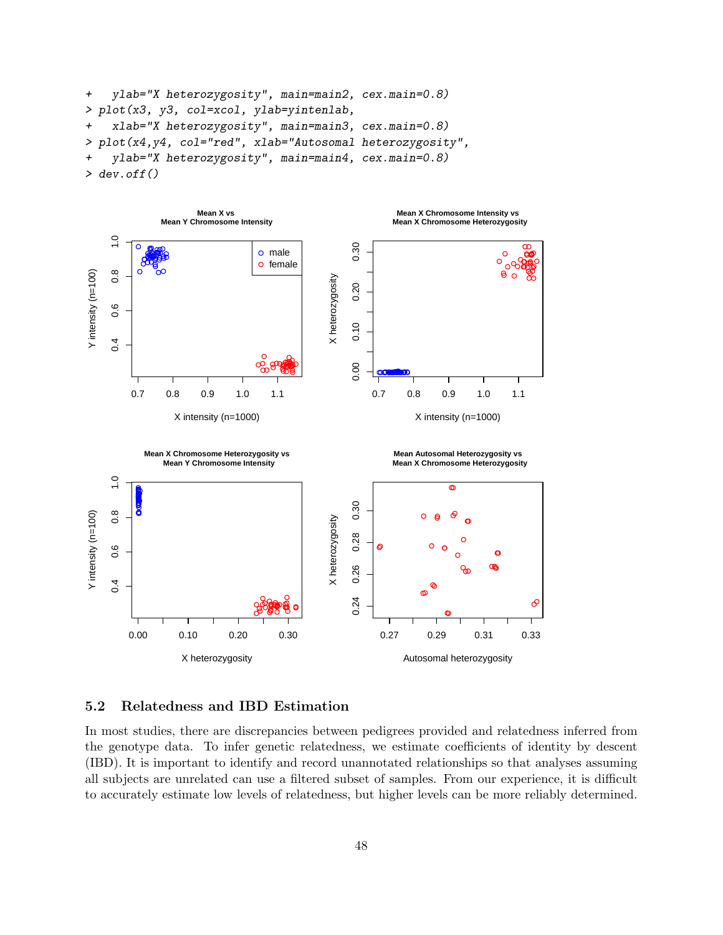```
+ ylab="X heterozygosity", main=main2, cex.main=0.8)
> plot(x3, y3, col=xcol, ylab=yintenlab,
+ xlab="X heterozygosity", main=main3, cex.main=0.8)
> plot(x4,y4, col="red", xlab="Autosomal heterozygosity",
   ylab="X heterozygosity", main=main4, cex.main=0.8)
> dev. of f()
```


#### 5.2 Relatedness and IBD Estimation

In most studies, there are discrepancies between pedigrees provided and relatedness inferred from the genotype data. To infer genetic relatedness, we estimate coefficients of identity by descent (IBD). It is important to identify and record unannotated relationships so that analyses assuming all subjects are unrelated can use a filtered subset of samples. From our experience, it is difficult to accurately estimate low levels of relatedness, but higher levels can be more reliably determined.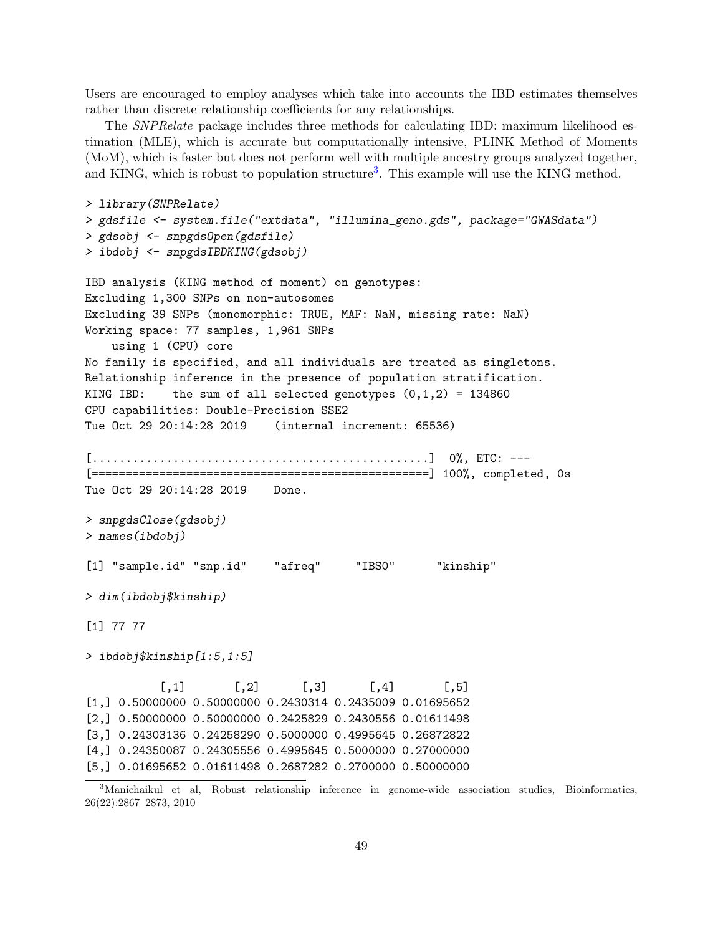Users are encouraged to employ analyses which take into accounts the IBD estimates themselves rather than discrete relationship coefficients for any relationships.

The SNPRelate package includes three methods for calculating IBD: maximum likelihood estimation (MLE), which is accurate but computationally intensive, PLINK Method of Moments (MoM), which is faster but does not perform well with multiple ancestry groups analyzed together, and KING, which is robust to population structure<sup>[3](#page-48-0)</sup>. This example will use the KING method.

```
> library(SNPRelate)
> gdsfile <- system.file("extdata", "illumina_geno.gds", package="GWASdata")
> gdsobj <- snpgdsOpen(gdsfile)
> ibdobj <- snpgdsIBDKING(gdsobj)
IBD analysis (KING method of moment) on genotypes:
Excluding 1,300 SNPs on non-autosomes
Excluding 39 SNPs (monomorphic: TRUE, MAF: NaN, missing rate: NaN)
Working space: 77 samples, 1,961 SNPs
   using 1 (CPU) core
No family is specified, and all individuals are treated as singletons.
Relationship inference in the presence of population stratification.
KING IBD: the sum of all selected genotypes (0,1,2) = 134860CPU capabilities: Double-Precision SSE2
Tue Oct 29 20:14:28 2019 (internal increment: 65536)
[..................................................] 0%, ETC: ---
[==================================================] 100%, completed, 0s
Tue Oct 29 20:14:28 2019   Done.
> snpgdsClose(gdsobj)
> names(ibdobj)
[1] "sample.id" "snp.id" "afreq" "IBS0" "kinship"
> dim(ibdobj$kinship)
[1] 77 77
> ibdobj$kinship[1:5,1:5]
           [0,1] [0,2] [0,3] [0,4] [0,5][1,] 0.50000000 0.50000000 0.2430314 0.2435009 0.01695652
[2,] 0.50000000 0.50000000 0.2425829 0.2430556 0.01611498
[3,] 0.24303136 0.24258290 0.5000000 0.4995645 0.26872822
[4,] 0.24350087 0.24305556 0.4995645 0.5000000 0.27000000
[5,] 0.01695652 0.01611498 0.2687282 0.2700000 0.50000000
```
<span id="page-48-0"></span><sup>3</sup>Manichaikul et al, Robust relationship inference in genome-wide association studies, Bioinformatics, 26(22):2867–2873, 2010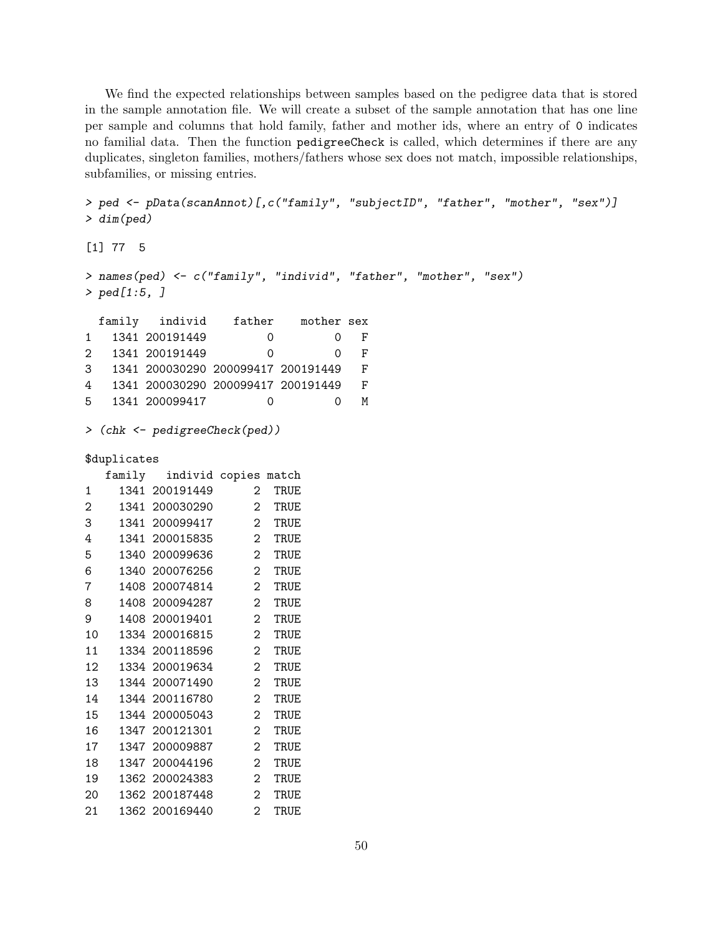We find the expected relationships between samples based on the pedigree data that is stored in the sample annotation file. We will create a subset of the sample annotation that has one line per sample and columns that hold family, father and mother ids, where an entry of 0 indicates no familial data. Then the function pedigreeCheck is called, which determines if there are any duplicates, singleton families, mothers/fathers whose sex does not match, impossible relationships, subfamilies, or missing entries.

```
> ped <- pData(scanAnnot)[,c("family", "subjectID", "father", "mother", "sex")]
> dim(ped)
[1] 77 5
> names(ped) <- c("family", "individ", "father", "mother", "sex")
> ped[1:5, ]
 family individ father mother sex
1 1341 200191449 0 0 F
2 1341 200191449 0 0 F
3 1341 200030290 200099417 200191449 F
4 1341 200030290 200099417 200191449 F
5 1341 200099417 0 0 M
> (chk <- pedigreeCheck(ped))
$duplicates
```

|    |      | family individ copies |                | match |
|----|------|-----------------------|----------------|-------|
| 1  |      | 1341 200191449        | 2              | TRUE  |
| 2  |      | 1341 200030290        | $\overline{2}$ | TRUE  |
| 3  |      | 1341 200099417        | 2              | TRUE  |
| 4  |      | 1341 200015835        | $\overline{2}$ | TRUE  |
| 5  | 1340 | 200099636             | 2              | TRUE  |
| 6  |      | 1340 200076256        | 2              | TRUE  |
| 7  |      | 1408 200074814        | 2              | TRUE  |
| 8  |      | 1408 200094287        | 2              | TRUE  |
| 9  |      | 1408 200019401        | $\overline{2}$ | TRUE  |
| 10 |      | 1334 200016815        | 2              | TRUE  |
| 11 |      | 1334 200118596        | 2              | TRUE  |
| 12 |      | 1334 200019634        | 2              | TRUE  |
| 13 |      | 1344 200071490        | 2              | TRUE  |
| 14 |      | 1344 200116780        | 2              | TRUE  |
| 15 |      | 1344 200005043        | 2              | TRUE  |
| 16 |      | 1347 200121301        | 2              | TRUE  |
| 17 |      | 1347 200009887        | 2              | TRUE  |
| 18 |      | 1347 200044196        | 2              | TRUE  |
| 19 |      | 1362 200024383        | 2              | TRUE  |
| 20 |      | 1362 200187448        | $\overline{2}$ | TRUE  |
| 21 |      | 1362 200169440        | 2              | TRUE  |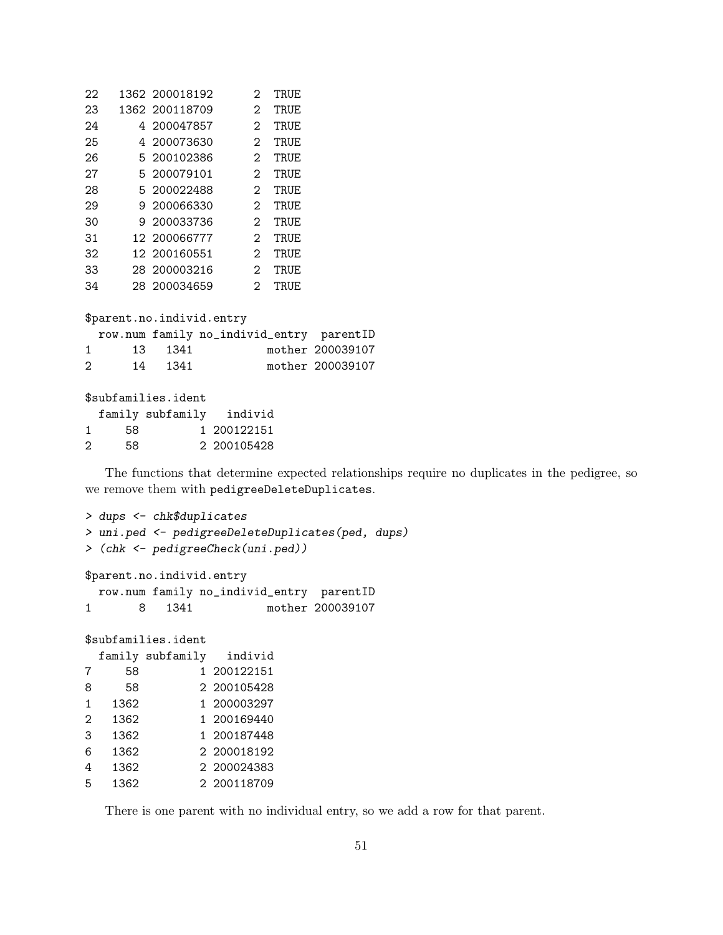| 22 | 1362 200018192 | 2                 | TRUE |
|----|----------------|-------------------|------|
| 23 | 1362 200118709 | 2                 | TRUE |
| 24 | 4 200047857    | 2                 | TRUE |
| 25 | 4 200073630    | 2                 | TRUE |
| 26 | 5 200102386    | 2                 | TRUE |
| 27 | 5 200079101    | 2                 | TRUE |
| 28 | 5 200022488    | 2                 | TRUE |
| 29 | 9 200066330    | $\mathcal{D}_{1}$ | TRUE |
| 30 | 9 200033736    | 2                 | TRUE |
| 31 | 12 200066777   | 2                 | TRUE |
| 32 | 12 200160551   | 2                 | TRUE |
| 33 | 28 200003216   | 2                 | TRUE |
| 34 | 28 200034659   | 2                 | TRUE |
|    |                |                   |      |

| \$parent.no.individ.entry   |  |         |                                          |                  |  |
|-----------------------------|--|---------|------------------------------------------|------------------|--|
|                             |  |         | row.num family no_individ_entry parentID |                  |  |
| $\mathbf{1}$                |  | 13 1341 |                                          | mother 200039107 |  |
| $\mathcal{D}_{\mathcal{L}}$ |  | 14 1341 |                                          | mother 200039107 |  |

\$subfamilies.ident family subfamily individ 1 58 1 200122151 2 58 2 200105428

The functions that determine expected relationships require no duplicates in the pedigree, so we remove them with pedigreeDeleteDuplicates.

```
> dups <- chk$duplicates
> uni.ped <- pedigreeDeleteDuplicates(ped, dups)
> (chk <- pedigreeCheck(uni.ped))
$parent.no.individ.entry
 row.num family no_individ_entry parentID
1 8 1341 mother 200039107
$subfamilies.ident
 family subfamily individ
7 58 1 200122151
8 58 2 200105428
1 1362 1 200003297
2 1362 1 200169440
3 1362 1 200187448
6 1362 2 200018192
4 1362 2 200024383
5 1362 2 200118709
```
There is one parent with no individual entry, so we add a row for that parent.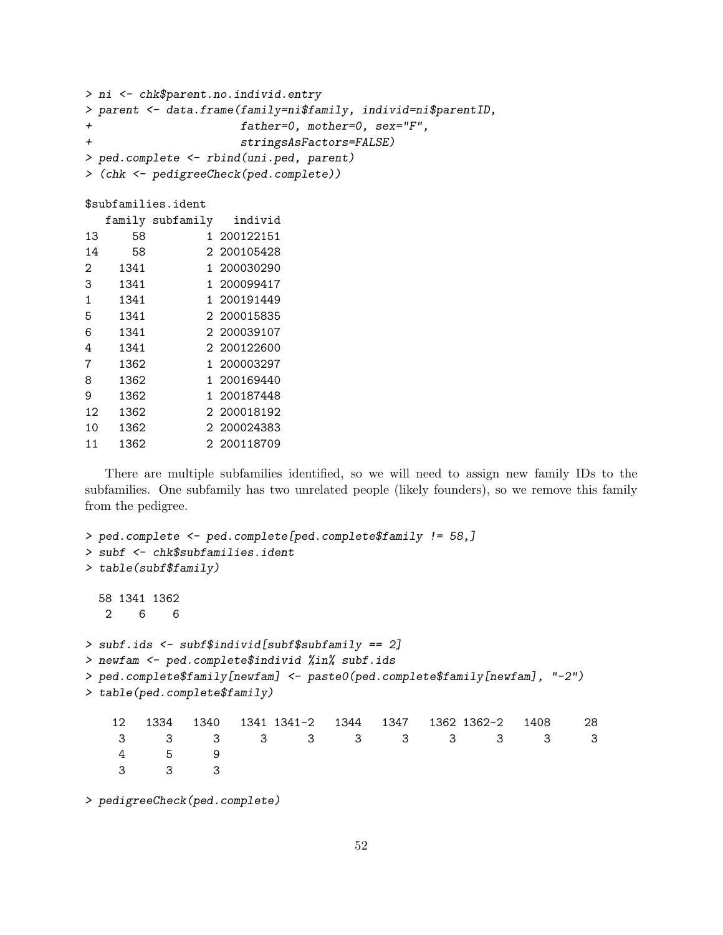```
> ni <- chk$parent.no.individ.entry
> parent <- data.frame(family=ni$family, individ=ni$parentID,
+ father=0, mother=0, sex="F",
+ stringsAsFactors=FALSE)
> ped.complete <- rbind(uni.ped, parent)
> (chk <- pedigreeCheck(ped.complete))
$subfamilies.ident
  family subfamily individ
13 58 1 200122151
14 58 2 200105428
2 1341 1 200030290
3 1341 1 200099417
1 1341 1 200191449
5 1341 2 200015835
6 1341 2 200039107
4 1341 2 200122600
7 1362 1 200003297
8 1362 1 200169440
9 1362 1 200187448
12 1362 2 200018192
10 1362 2 200024383
11 1362 2 200118709
```
There are multiple subfamilies identified, so we will need to assign new family IDs to the subfamilies. One subfamily has two unrelated people (likely founders), so we remove this family from the pedigree.

```
> ped.complete <- ped.complete[ped.complete$family != 58,]
> subf <- chk$subfamilies.ident
> table(subf$family)
 58 1341 1362
  2 6 6
> subf.ids <- subf$individ[subf$subfamily == 2]
> newfam <- ped.complete$individ %in% subf.ids
> ped.complete$family[newfam] <- paste0(ped.complete$family[newfam], "-2")
> table(ped.complete$family)
   12 1334 1340 1341 1341-2 1344 1347 1362 1362-2 1408 28
    3 3 3 3 3 3 3 3 3 3 3
    4 5 9
    3 3 3
```
> pedigreeCheck(ped.complete)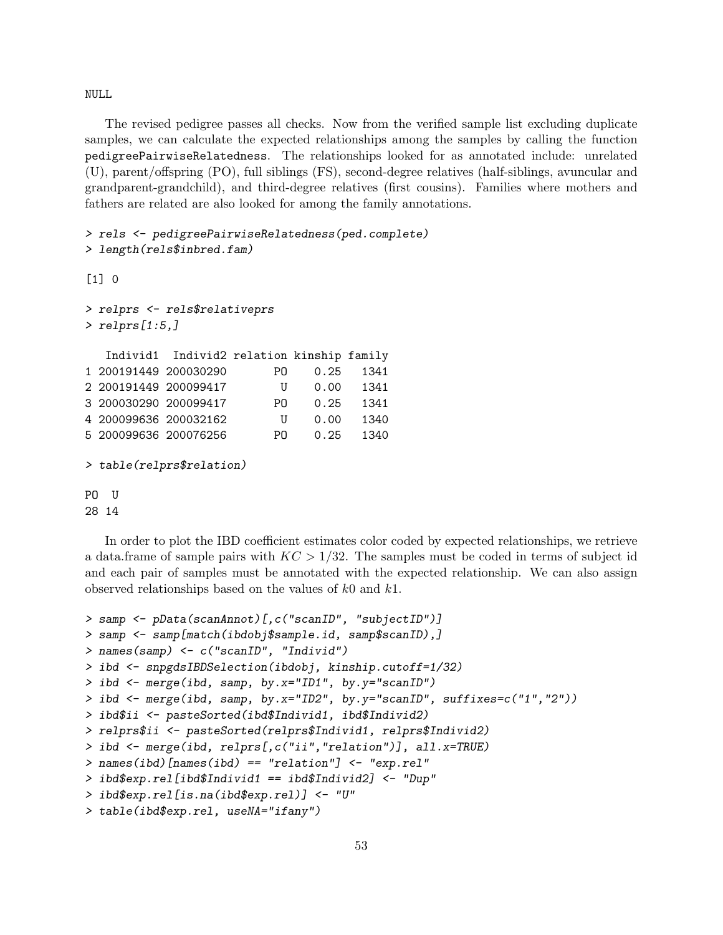NULL

The revised pedigree passes all checks. Now from the verified sample list excluding duplicate samples, we can calculate the expected relationships among the samples by calling the function pedigreePairwiseRelatedness. The relationships looked for as annotated include: unrelated (U), parent/offspring (PO), full siblings (FS), second-degree relatives (half-siblings, avuncular and grandparent-grandchild), and third-degree relatives (first cousins). Families where mothers and fathers are related are also looked for among the family annotations.

```
> rels <- pedigreePairwiseRelatedness(ped.complete)
> length(rels$inbred.fam)
```

```
[1] 0
```

```
> relprs <- rels$relativeprs
> relprs[1:5,]
  Individ1 Individ2 relation kinship family
1 200191449 200030290 PO 0.25 1341
2 200191449 200099417 U 0.00 1341
3 200030290 200099417 PO 0.25 1341
4 200099636 200032162 U 0.00 1340
5 200099636 200076256 PO 0.25 1340
```

```
> table(relprs$relation)
```
PO U 28 14

In order to plot the IBD coefficient estimates color coded by expected relationships, we retrieve a data.frame of sample pairs with  $KC > 1/32$ . The samples must be coded in terms of subject id and each pair of samples must be annotated with the expected relationship. We can also assign observed relationships based on the values of k0 and k1.

```
> samp <- pData(scanAnnot)[,c("scanID", "subjectID")]
> samp <- samp[match(ibdobj$sample.id, samp$scanID),]
> names(samp) <- c("scanID", "Individ")
> ibd <- snpgdsIBDSelection(ibdobj, kinship.cutoff=1/32)
> ibd <- merge(ibd, samp, by.x="ID1", by.y="scanID")
> ibd <- merge(ibd, samp, by.x="ID2", by.y="scanID", suffixes=c("1","2"))
> ibd$ii <- pasteSorted(ibd$Individ1, ibd$Individ2)
> relprs$ii <- pasteSorted(relprs$Individ1, relprs$Individ2)
> ibd <- merge(ibd, relprs[,c("ii","relation")], all.x=TRUE)
> names(ibd)[names(ibd) == "relation"] \leq "exp.rel"
> ibd$exp.rel[ibd$Individ1 == ibd$Individ2] <- "Dup"
> ibd$exp.rel[is.na(ibd$exp.rel)] <- "U"
> table(ibd$exp.rel, useNA="ifany")
```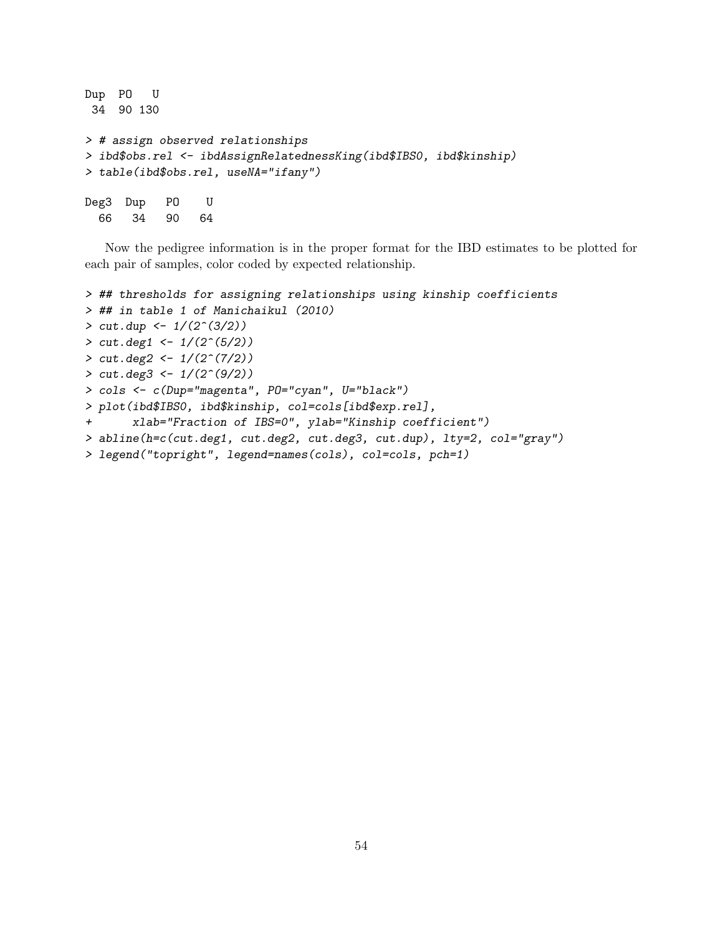```
Dup PO U
34 90 130
> # assign observed relationships
> ibd$obs.rel <- ibdAssignRelatednessKing(ibd$IBS0, ibd$kinship)
> table(ibd$obs.rel, useNA="ifany")
Deg3 Dup PO U
 66 34 90 64
```
Now the pedigree information is in the proper format for the IBD estimates to be plotted for each pair of samples, color coded by expected relationship.

```
> ## thresholds for assigning relationships using kinship coefficients
> ## in table 1 of Manichaikul (2010)
> cut. dup <- 1/(2^(3/2))> cut.deg1 < -1/(2^(5/2))> cut.deg2 < -1/(2^{(7/2)})> cut.deg3 \leftarrow 1/(2^(9/2))> cols <- c(Dup="magenta", PO="cyan", U="black")
> plot(ibd$IBS0, ibd$kinship, col=cols[ibd$exp.rel],
+ xlab="Fraction of IBS=0", ylab="Kinship coefficient")
> abline(h=c(cut.deg1, cut.deg2, cut.deg3, cut.dup), lty=2, col="gray")
> legend("topright", legend=names(cols), col=cols, pch=1)
```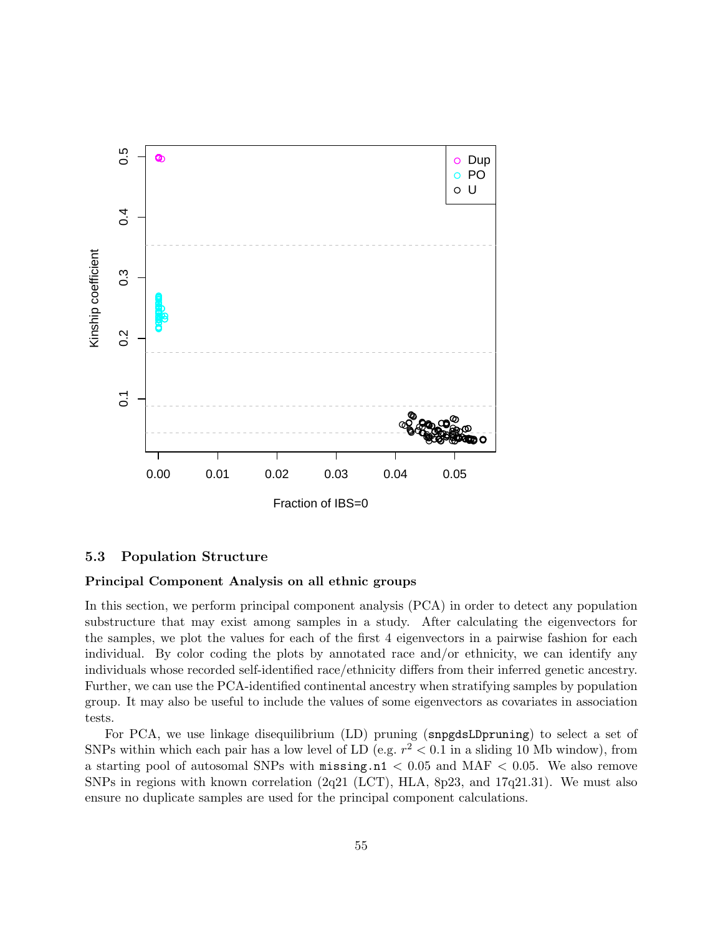

#### 5.3 Population Structure

#### Principal Component Analysis on all ethnic groups

In this section, we perform principal component analysis (PCA) in order to detect any population substructure that may exist among samples in a study. After calculating the eigenvectors for the samples, we plot the values for each of the first 4 eigenvectors in a pairwise fashion for each individual. By color coding the plots by annotated race and/or ethnicity, we can identify any individuals whose recorded self-identified race/ethnicity differs from their inferred genetic ancestry. Further, we can use the PCA-identified continental ancestry when stratifying samples by population group. It may also be useful to include the values of some eigenvectors as covariates in association tests.

For PCA, we use linkage disequilibrium (LD) pruning (snpgdsLDpruning) to select a set of SNPs within which each pair has a low level of LD (e.g.  $r^2 < 0.1$  in a sliding 10 Mb window), from a starting pool of autosomal SNPs with  $\text{missing} \cdot \text{n1} < 0.05$  and  $\text{MAF} < 0.05$ . We also remove SNPs in regions with known correlation (2q21 (LCT), HLA, 8p23, and 17q21.31). We must also ensure no duplicate samples are used for the principal component calculations.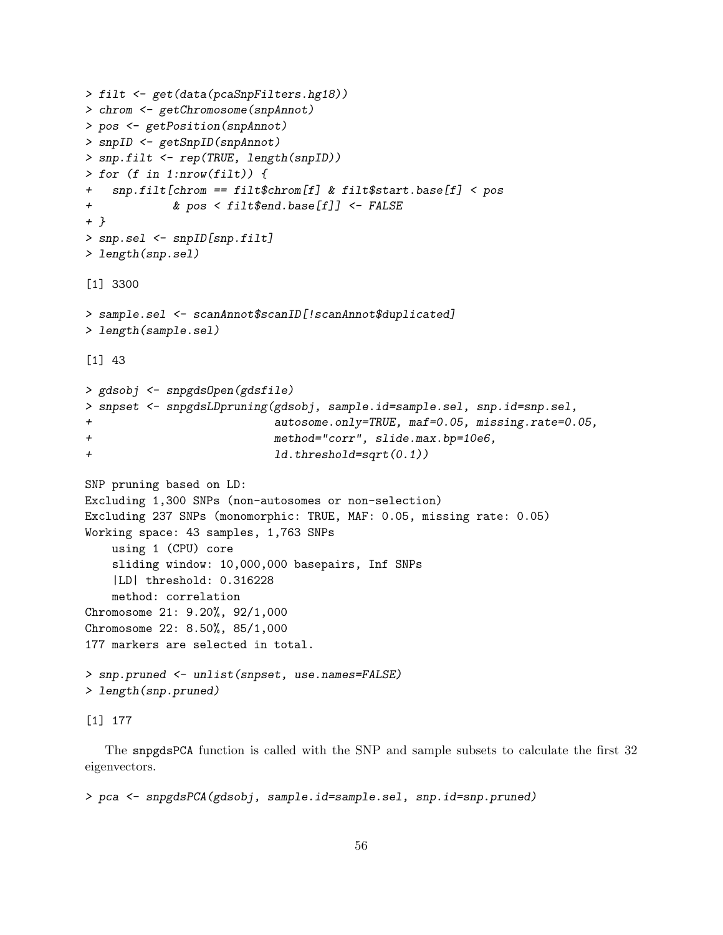```
> filt <- get(data(pcaSnpFilters.hg18))
> chrom <- getChromosome(snpAnnot)
> pos <- getPosition(snpAnnot)
> snpID <- getSnpID(snpAnnot)
> snp.filt <- rep(TRUE, length(snpID))
> for (f in 1:nrow(filt)) {
   snp.filt[chrom == filt$chrom[f] & filt$start.base[f] < pos
+ & pos < filt$end.base[f]] <- FALSE
+ }
> snp.sel <- snpID[snp.filt]
> length(snp.sel)
[1] 3300
> sample.sel <- scanAnnot$scanID[!scanAnnot$duplicated]
> length(sample.sel)
[1] 43
> gdsobj <- snpgdsOpen(gdsfile)
> snpset <- snpgdsLDpruning(gdsobj, sample.id=sample.sel, snp.id=snp.sel,
+ autosome.only=TRUE, maf=0.05, missing.rate=0.05,
+ method="corr", slide.max.bp=10e6,
+ ld.threshold=sqrt(0.1))
SNP pruning based on LD:
Excluding 1,300 SNPs (non-autosomes or non-selection)
Excluding 237 SNPs (monomorphic: TRUE, MAF: 0.05, missing rate: 0.05)
Working space: 43 samples, 1,763 SNPs
   using 1 (CPU) core
   sliding window: 10,000,000 basepairs, Inf SNPs
   |LD| threshold: 0.316228
   method: correlation
Chromosome 21: 9.20%, 92/1,000
Chromosome 22: 8.50%, 85/1,000
177 markers are selected in total.
> snp.pruned <- unlist(snpset, use.names=FALSE)
> length(snp.pruned)
```

```
[1] 177
```
The snpgdsPCA function is called with the SNP and sample subsets to calculate the first 32 eigenvectors.

> pca <- snpgdsPCA(gdsobj, sample.id=sample.sel, snp.id=snp.pruned)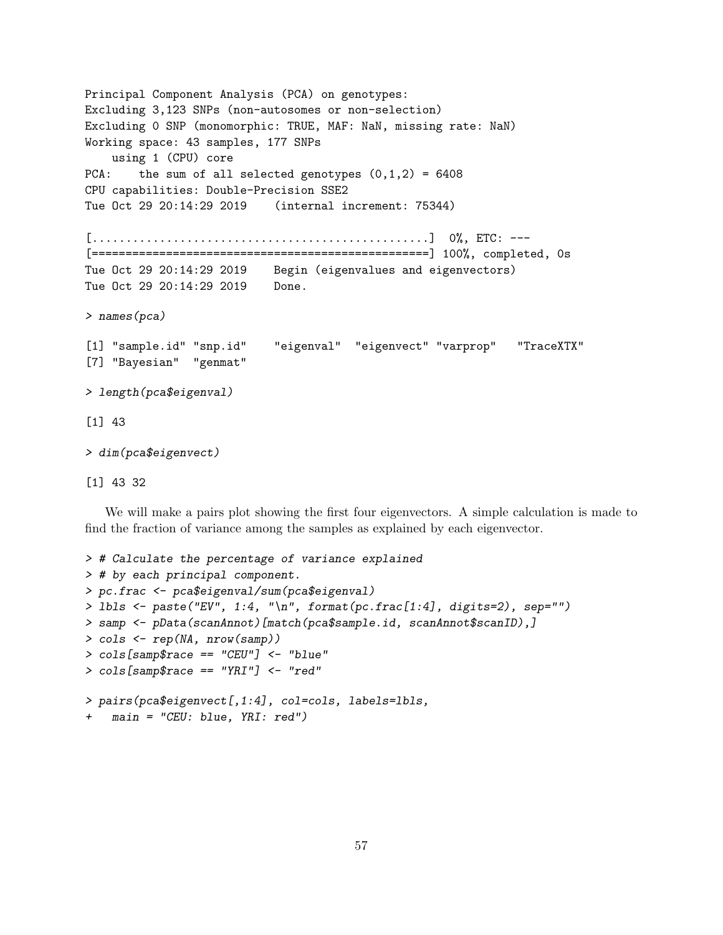Principal Component Analysis (PCA) on genotypes: Excluding 3,123 SNPs (non-autosomes or non-selection) Excluding 0 SNP (monomorphic: TRUE, MAF: NaN, missing rate: NaN) Working space: 43 samples, 177 SNPs using 1 (CPU) core PCA: the sum of all selected genotypes  $(0,1,2) = 6408$ CPU capabilities: Double-Precision SSE2 Tue Oct 29 20:14:29 2019 (internal increment: 75344) [..................................................] 0%, ETC: --- [==================================================] 100%, completed, 0s Tue Oct 29 20:14:29 2019 Begin (eigenvalues and eigenvectors) Tue Oct 29 20:14:29 2019 Done. > names(pca) [1] "sample.id" "snp.id" "eigenval" "eigenvect" "varprop" "TraceXTX" [7] "Bayesian" "genmat" > length(pca\$eigenval) [1] 43 > dim(pca\$eigenvect)

[1] 43 32

We will make a pairs plot showing the first four eigenvectors. A simple calculation is made to find the fraction of variance among the samples as explained by each eigenvector.

```
> # Calculate the percentage of variance explained
> # by each principal component.
> pc.frac <- pca$eigenval/sum(pca$eigenval)
> lbls <- paste("EV", 1:4, "\n", format(pc.frac[1:4], digits=2), sep="")
> samp <- pData(scanAnnot)[match(pca$sample.id, scanAnnot$scanID),]
> cols <- rep(NA, nrow(samp))
> cols[samp$race == "CEU"] <- "blue"
> cols[samp$race == "YRI"] <- "red"
> pairs(pca$eigenvect[,1:4], col=cols, labels=lbls,
+ main = "CEU: blue, YRI: red")
```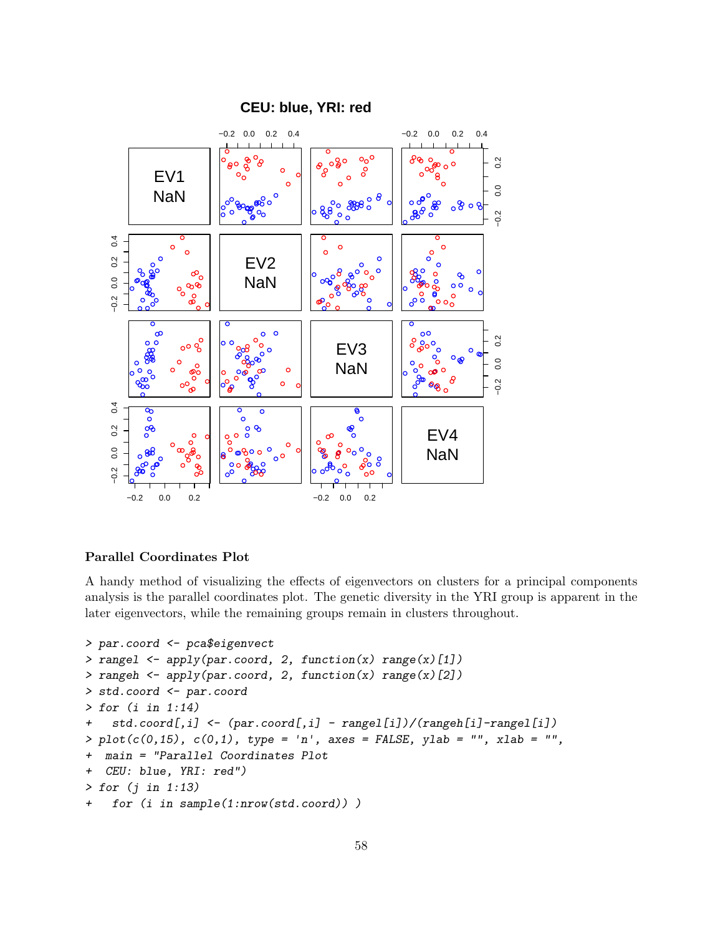



#### Parallel Coordinates Plot

A handy method of visualizing the effects of eigenvectors on clusters for a principal components analysis is the parallel coordinates plot. The genetic diversity in the YRI group is apparent in the later eigenvectors, while the remaining groups remain in clusters throughout.

```
> par.coord <- pca$eigenvect
> rangel \leq apply(par.coord, 2, function(x) range(x)[1])
> rangeh <- apply(par.coord, 2, function(x) range(x)[2])
> std.coord <- par.coord
> for (i in 1:14)
+ std.coord[,i] <- (par.coord[,i] - rangel[i])/(rangeh[i]-rangel[i])
> plot(c(0, 15), c(0, 1), type = 'n', axes = FALSE, ylab = '''', xlab = '''',+ main = "Parallel Coordinates Plot
+ CEU: blue, YRI: red")
> for (j in 1:13)
+ for (i in sample(1:nrow(std.coord)) )
```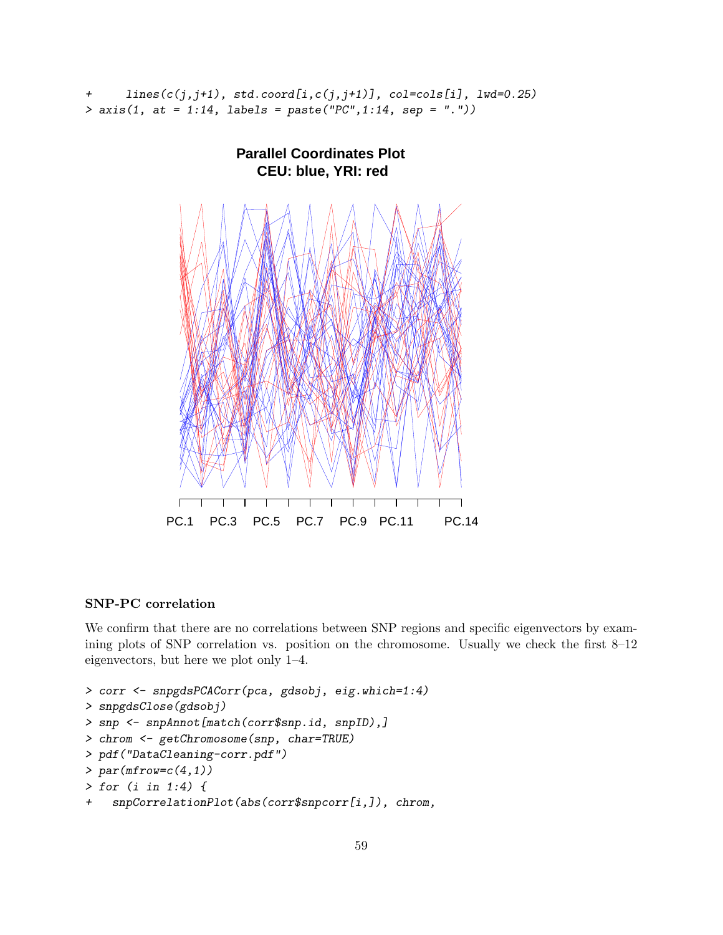```
+ lines(c(j,j+1), std.coord[i,c(j,j+1)], col=cols[i], lwd=0.25)
> axis(1, at = 1:14, labels = paste("PC",1:14, sep = "."))
```


### SNP-PC correlation

We confirm that there are no correlations between SNP regions and specific eigenvectors by examining plots of SNP correlation vs. position on the chromosome. Usually we check the first 8–12 eigenvectors, but here we plot only 1–4.

```
> corr <- snpgdsPCACorr(pca, gdsobj, eig.which=1:4)
> snpgdsClose(gdsobj)
> snp <- snpAnnot[match(corr$snp.id, snpID),]
> chrom <- getChromosome(snp, char=TRUE)
> pdf("DataCleaning-corr.pdf")
> par(mfrow=c(4,1))> for (i in 1:4) {
+ snpCorrelationPlot(abs(corr$snpcorr[i,]), chrom,
```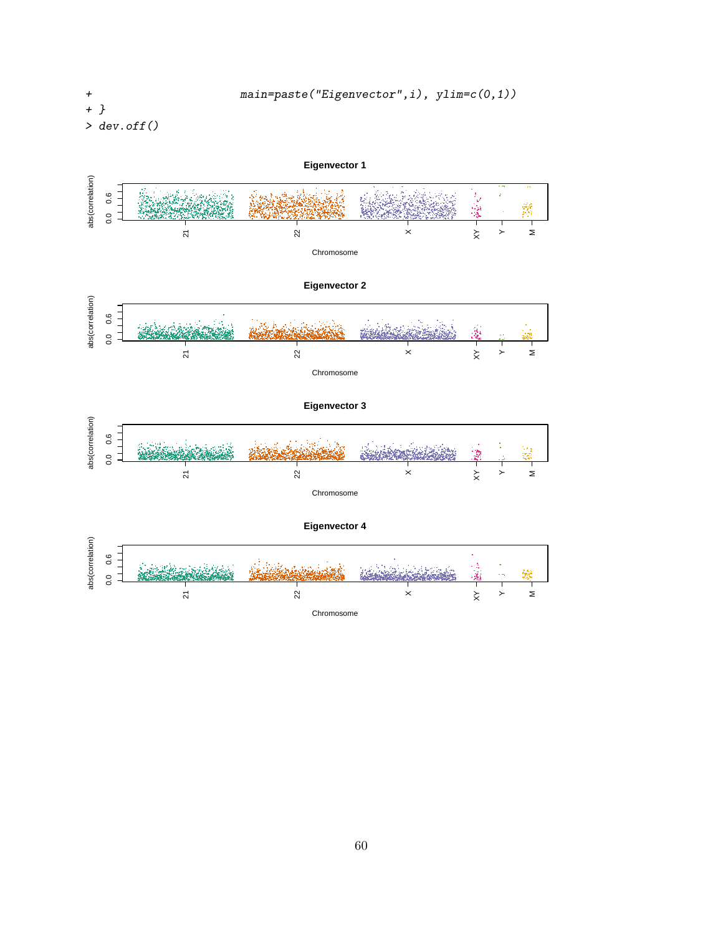+ } > dev.off()

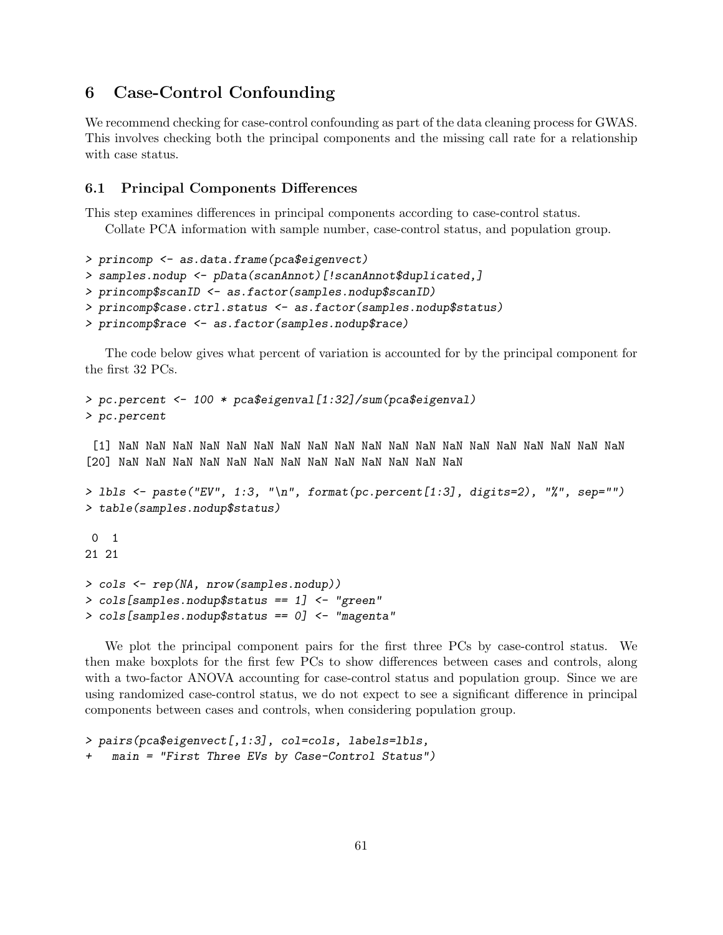# 6 Case-Control Confounding

We recommend checking for case-control confounding as part of the data cleaning process for GWAS. This involves checking both the principal components and the missing call rate for a relationship with case status.

### <span id="page-60-0"></span>6.1 Principal Components Differences

This step examines differences in principal components according to case-control status.

Collate PCA information with sample number, case-control status, and population group.

```
> princomp <- as.data.frame(pca$eigenvect)
> samples.nodup <- pData(scanAnnot)[!scanAnnot$duplicated,]
> princomp$scanID <- as.factor(samples.nodup$scanID)
> princomp$case.ctrl.status <- as.factor(samples.nodup$status)
> princomp$race <- as.factor(samples.nodup$race)
```
The code below gives what percent of variation is accounted for by the principal component for the first 32 PCs.

```
> pc.percent <- 100 * pca$eigenval[1:32]/sum(pca$eigenval)
> pc.percent
 [1] NaN NaN NaN NaN NaN NaN NaN NaN NaN NaN NaN NaN NaN NaN NaN NaN NaN NaN NaN
[20] NaN NaN NaN NaN NaN NaN NaN NaN NaN NaN NaN NaN NaN
> lbls <- paste("EV", 1:3, "\n", format(pc.percent[1:3], digits=2), "%", sep="")
> table(samples.nodup$status)
0 1
21 21
> cols <- rep(NA, nrow(samples.nodup))
> cols[samples.nodup$status == 1] <- "green"
> cols[samples.nodup$status == 0] <- "magenta"
```
We plot the principal component pairs for the first three PCs by case-control status. We then make boxplots for the first few PCs to show differences between cases and controls, along with a two-factor ANOVA accounting for case-control status and population group. Since we are using randomized case-control status, we do not expect to see a significant difference in principal components between cases and controls, when considering population group.

```
> pairs(pca$eigenvect[,1:3], col=cols, labels=lbls,
   main = "First Three EVs by Case-Control Status")
```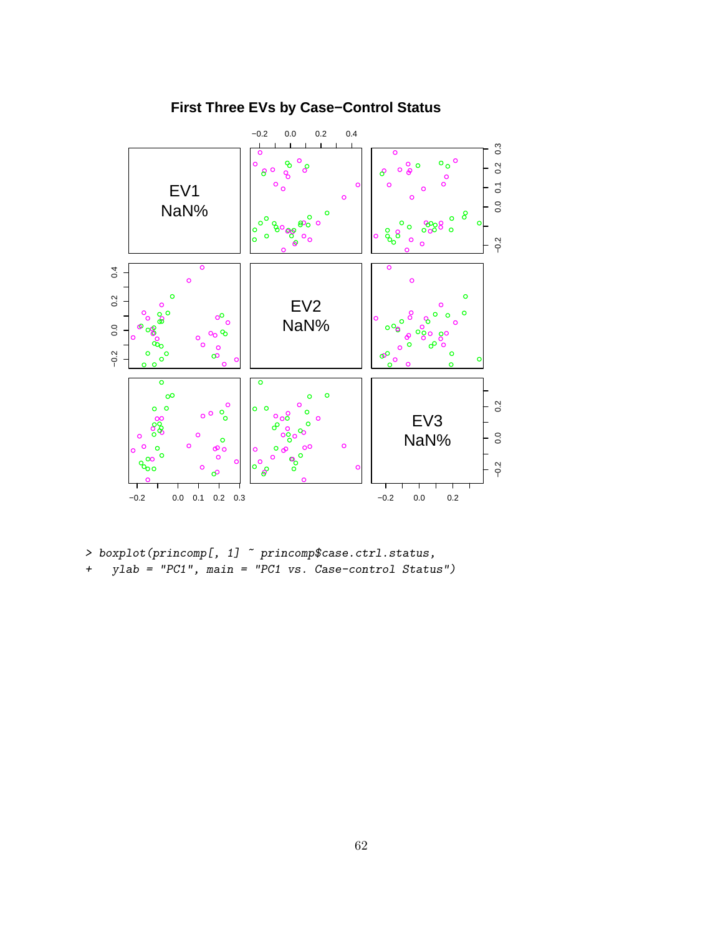

# **First Three EVs by Case−Control Status**

 $\rightarrow$  boxplot(princomp[, 1]  $\tilde{~}$  princomp\$case.ctrl.status,

+ ylab = "PC1", main = "PC1 vs. Case-control Status")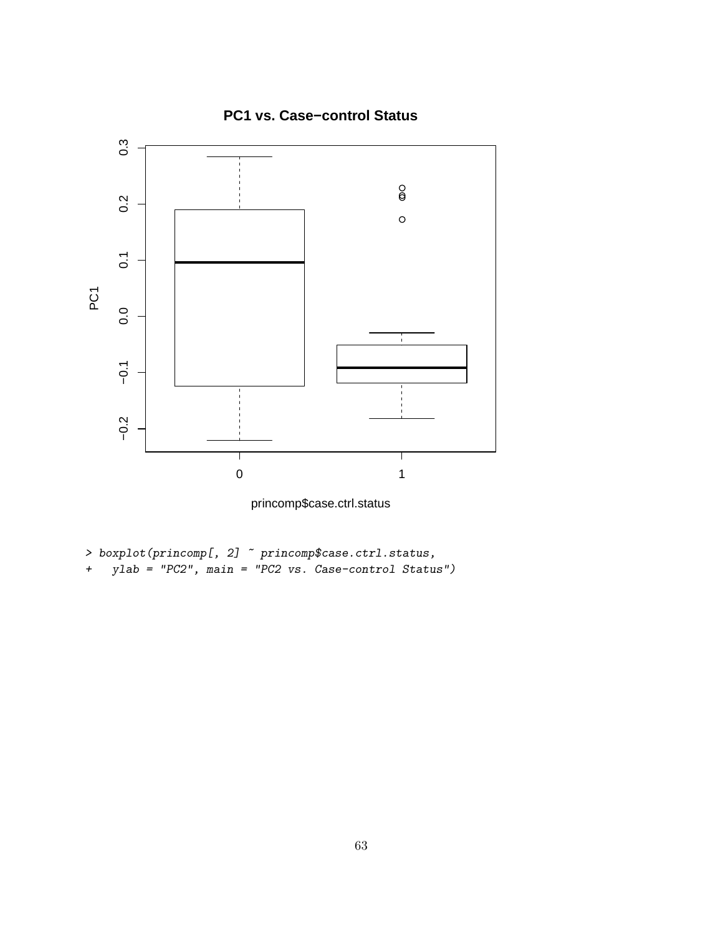

princomp\$case.ctrl.status

- $\rightarrow$  boxplot(princomp[, 2]  $\tilde{~}$  princomp\$case.ctrl.status,
- + ylab = "PC2", main = "PC2 vs. Case-control Status")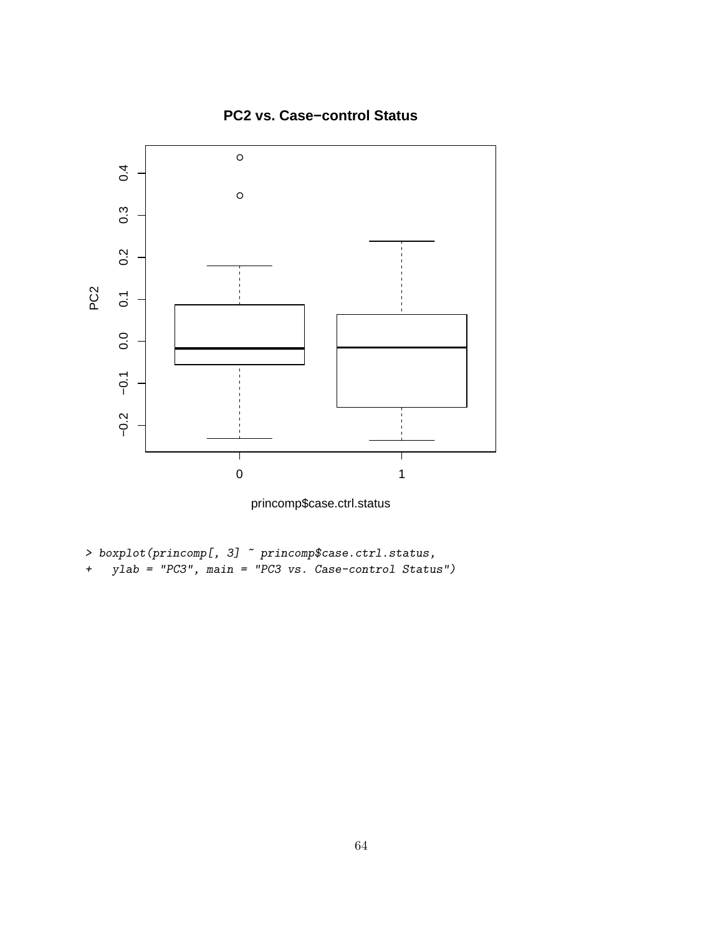

**PC2 vs. Case−control Status**

princomp\$case.ctrl.status

- $\rightarrow$  boxplot(princomp[, 3]  $\tilde{~}$  princomp\$case.ctrl.status,
- + ylab = "PC3", main = "PC3 vs. Case-control Status")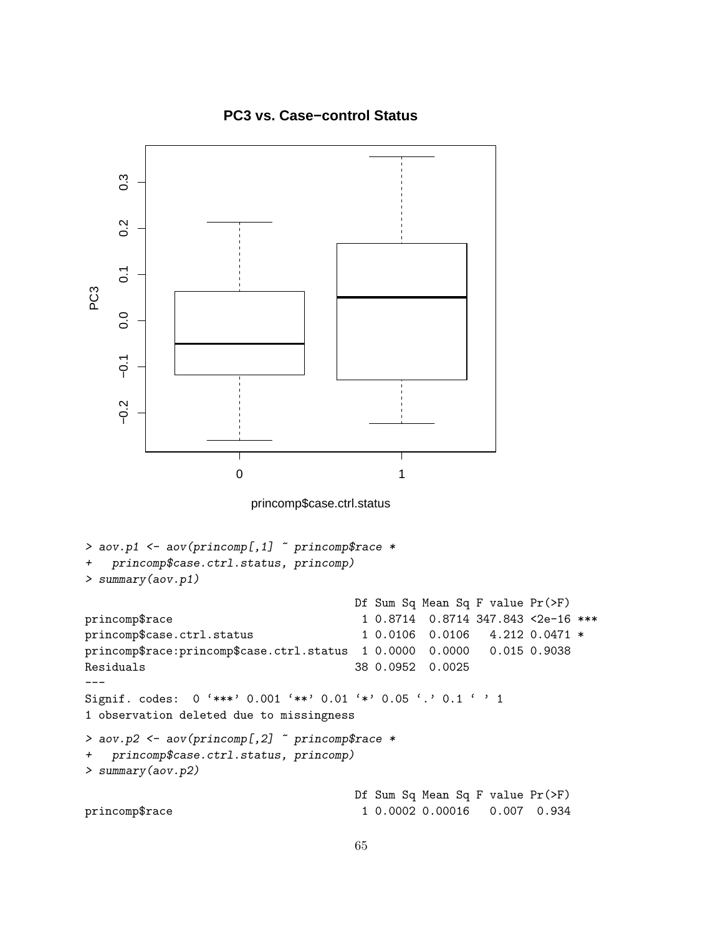### **PC3 vs. Case−control Status**

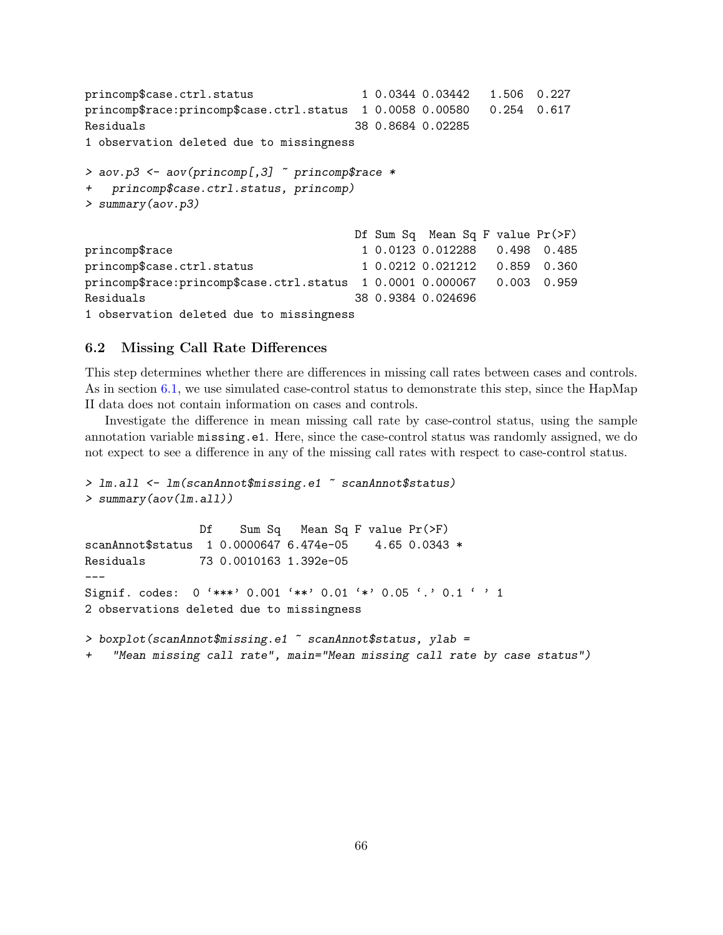```
princomp$case.ctrl.status 1 0.0344 0.03442 1.506 0.227
princomp$race:princomp$case.ctrl.status 1 0.0058 0.00580 0.254 0.617
Residuals 38 0.8684 0.02285
1 observation deleted due to missingness
> aov.p3 <- aov(princomp[,3] ~ princomp$race *
+ princomp$case.ctrl.status, princomp)
> summary(aov.p3)
                                Df Sum Sq Mean Sq F value Pr(>F)
princomp$race 1 0.0123 0.012288 0.498 0.485
princomp$case.ctrl.status 1 0.0212 0.021212 0.859 0.360
princomp$race:princomp$case.ctrl.status 1 0.0001 0.000067 0.003 0.959
Residuals 38 0.9384 0.024696
1 observation deleted due to missingness
```
#### 6.2 Missing Call Rate Differences

This step determines whether there are differences in missing call rates between cases and controls. As in section [6.1,](#page-60-0) we use simulated case-control status to demonstrate this step, since the HapMap II data does not contain information on cases and controls.

Investigate the difference in mean missing call rate by case-control status, using the sample annotation variable missing.e1. Here, since the case-control status was randomly assigned, we do not expect to see a difference in any of the missing call rates with respect to case-control status.

```
> lm.all <- lm(scanAnnot$missing.e1 ~ scanAnnot$status)
> summary(aov(lm.all))
                Df Sum Sq Mean Sq F value Pr(>F)
scanAnnot$status  1 0.0000647 6.474e-05  4.65 0.0343 *
Residuals 73 0.0010163 1.392e-05
Signif. codes: 0 '***' 0.001 '**' 0.01 '*' 0.05 '.' 0.1 ' ' 1
2 observations deleted due to missingness
> boxplot(scanAnnot$missing.e1 " scanAnnot$status, ylab =
    "Mean missing call rate", main="Mean missing call rate by case status")
```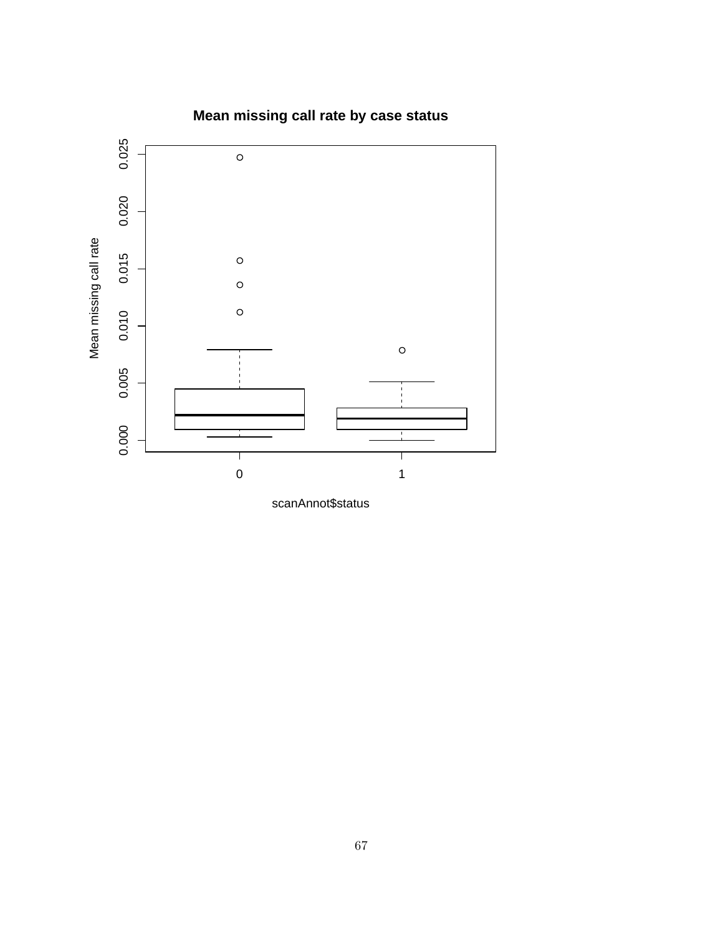



scanAnnot\$status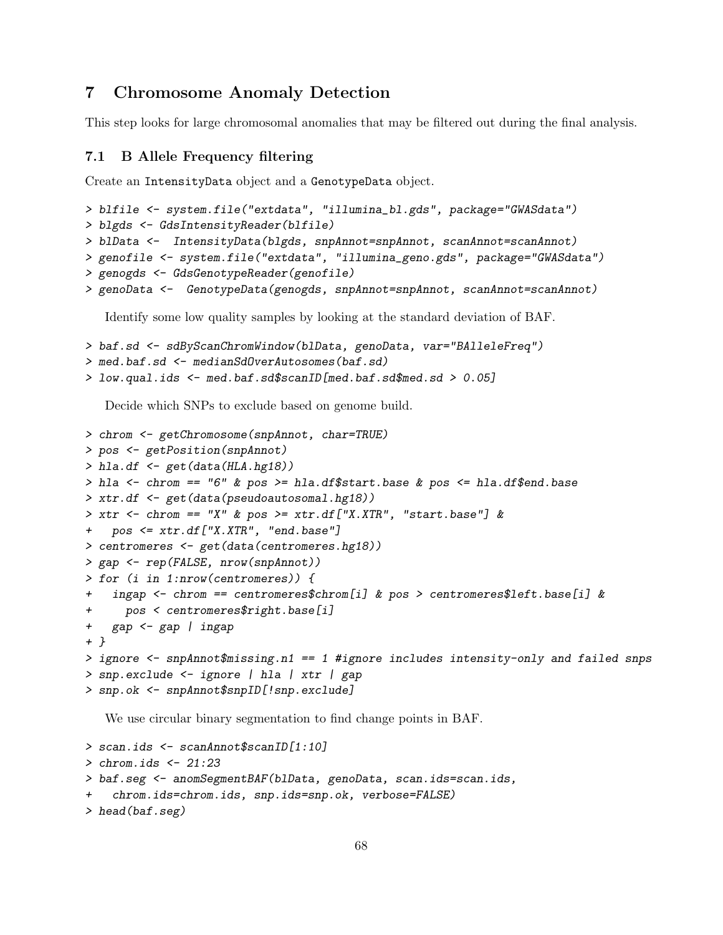# 7 Chromosome Anomaly Detection

This step looks for large chromosomal anomalies that may be filtered out during the final analysis.

### 7.1 B Allele Frequency filtering

Create an IntensityData object and a GenotypeData object.

```
> blfile <- system.file("extdata", "illumina_bl.gds", package="GWASdata")
> blgds <- GdsIntensityReader(blfile)
> blData <- IntensityData(blgds, snpAnnot=snpAnnot, scanAnnot=scanAnnot)
> genofile <- system.file("extdata", "illumina_geno.gds", package="GWASdata")
> genogds <- GdsGenotypeReader(genofile)
> genoData <- GenotypeData(genogds, snpAnnot=snpAnnot, scanAnnot=scanAnnot)
```
Identify some low quality samples by looking at the standard deviation of BAF.

```
> baf.sd <- sdByScanChromWindow(blData, genoData, var="BAlleleFreq")
```

```
> med.baf.sd <- medianSdOverAutosomes(baf.sd)
```

```
> low.qual.ids <- med.baf.sd$scanID[med.baf.sd$med.sd > 0.05]
```
Decide which SNPs to exclude based on genome build.

```
> chrom <- getChromosome(snpAnnot, char=TRUE)
> pos <- getPosition(snpAnnot)
> hla.df <- get(data(HLA.hg18))
> hla <- chrom == "6" & pos >= hla.df$start.base & pos <= hla.df$end.base
> xtr.df <- get(data(pseudoautosomal.hg18))
> xtr \le - chrom == "X" & pos >= xtr.df["X.XTR", "start.base"] &
+ pos <= xtr.df["X.XTR", "end.base"]
> centromeres <- get(data(centromeres.hg18))
> gap <- rep(FALSE, nrow(snpAnnot))
> for (i in 1:nrow(centromeres)) {
+ ingap <- chrom == centromeres$chrom[i] & pos > centromeres$left.base[i] &
+ pos < centromeres$right.base[i]
+ gap <- gap | ingap
+ }
> ignore <- snpAnnot$missing.n1 == 1 #ignore includes intensity-only and failed snps
> snp.exclude <- ignore | hla | xtr | gap
> snp.ok <- snpAnnot$snpID[!snp.exclude]
```
We use circular binary segmentation to find change points in BAF.

```
> scan.ids <- scanAnnot$scanID[1:10]
> chrom.ids <- 21:23
> baf.seg <- anomSegmentBAF(blData, genoData, scan.ids=scan.ids,
+ chrom.ids=chrom.ids, snp.ids=snp.ok, verbose=FALSE)
> head(baf.seg)
```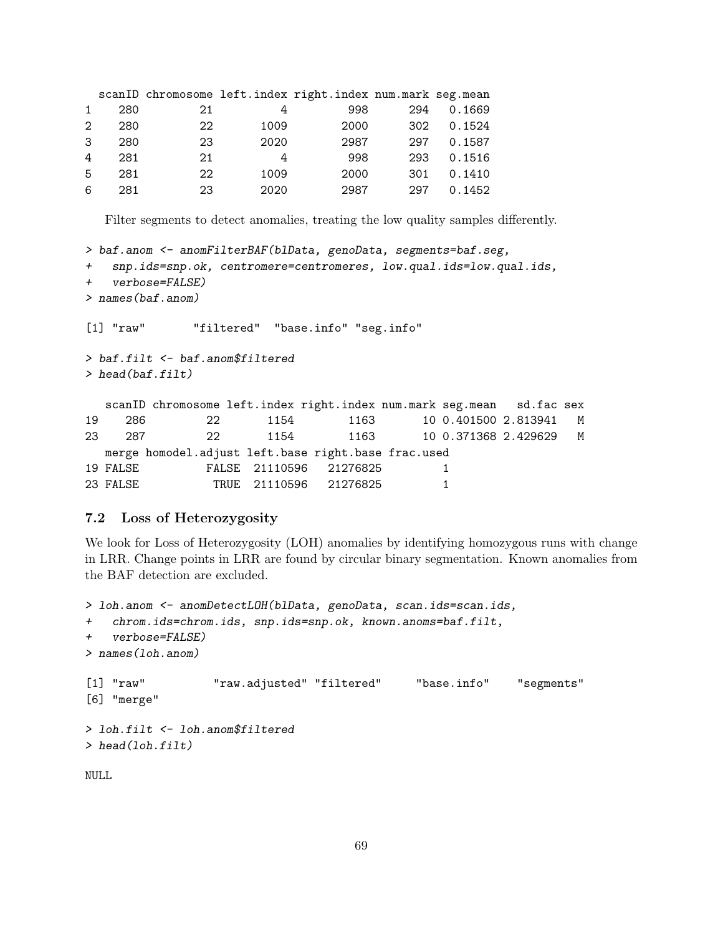|               |     |    |      | scanID chromosome left.index right.index num.mark seg.mean |     |        |
|---------------|-----|----|------|------------------------------------------------------------|-----|--------|
| $\mathbf{1}$  | 280 | 21 |      | 998                                                        | 294 | 0.1669 |
| $2^{\circ}$   | 280 | 22 | 1009 | 2000                                                       | 302 | 0.1524 |
| $\mathcal{S}$ | 280 | 23 | 2020 | 2987                                                       | 297 | 0.1587 |
| 4             | 281 | 21 | 4    | 998                                                        | 293 | 0.1516 |
| .5            | 281 | 22 | 1009 | 2000                                                       | 301 | 0.1410 |
| 6             | 281 | 23 | 2020 | 2987                                                       | 297 | 0.1452 |

Filter segments to detect anomalies, treating the low quality samples differently.

```
> baf.anom <- anomFilterBAF(blData, genoData, segments=baf.seg,
+ snp.ids=snp.ok, centromere=centromeres, low.qual.ids=low.qual.ids,
+ verbose=FALSE)
> names(baf.anom)
[1] "raw" "filtered" "base.info" "seg.info"
> baf.filt <- baf.anom$filtered
> head(baf.filt)
  scanID chromosome left.index right.index num.mark seg.mean sd.fac sex
19 286 22 1154 1163 10 0.401500 2.813941 M
23 287 22 1154 1163 10 0.371368 2.429629 M
  merge homodel.adjust left.base right.base frac.used
19 FALSE FALSE 21110596 21276825 1
23 FALSE TRUE 21110596 21276825 1
```
### 7.2 Loss of Heterozygosity

We look for Loss of Heterozygosity (LOH) anomalies by identifying homozygous runs with change in LRR. Change points in LRR are found by circular binary segmentation. Known anomalies from the BAF detection are excluded.

```
> loh.anom <- anomDetectLOH(blData, genoData, scan.ids=scan.ids,
+ chrom.ids=chrom.ids, snp.ids=snp.ok, known.anoms=baf.filt,
+ verbose=FALSE)
> names(loh.anom)
[1] "raw" "raw.adjusted" "filtered" "base.info" "segments"
[6] "merge"
> loh.filt <- loh.anom$filtered
> head(loh.filt)
NULL
```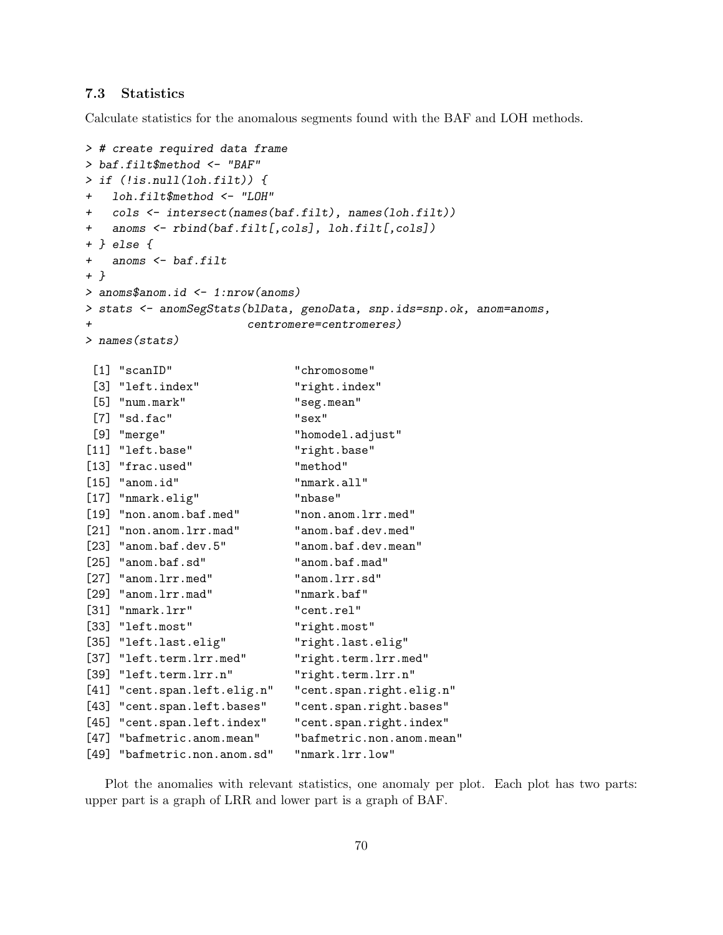#### 7.3 Statistics

Calculate statistics for the anomalous segments found with the BAF and LOH methods.

```
> # create required data frame
> baf.filt$method <- "BAF"
> if (!is.null(loh.filt)) {
   1oh.filt$method <- "LOH"
+ cols <- intersect(names(baf.filt), names(loh.filt))
+ anoms <- rbind(baf.filt[,cols], loh.filt[,cols])
+ } else {
+ anoms <- baf.filt
+ }
> anoms$anom.id <- 1:nrow(anoms)
> stats <- anomSegStats(blData, genoData, snp.ids=snp.ok, anom=anoms,
                    centromere=centromeres)
> names(stats)
[1] "scanID" "chromosome"
 [3] "left.index" "right.index"
 [5] "num.mark" "seg.mean"
 [7] "sd.fac" "sex"
[9] "merge" "homodel.adjust"
[11] "left.base" "right.base"
[13] "frac.used" "method"
[15] "anom.id" "nmark.all"
[17] "nmark.elig" "nbase"
[19] "non.anom.baf.med" "non.anom.lrr.med"
[21] "non.anom.lrr.mad" "anom.baf.dev.med"
[23] "anom.baf.dev.5" "anom.baf.dev.mean"
[25] "anom.baf.sd" "anom.baf.mad"
[27] "anom.lrr.med" "anom.lrr.sd"
[29] "anom.lrr.mad" "nmark.baf"
[31] "nmark.lrr" "cent.rel"
[33] "left.most" "right.most"
[35] "left.last.elig" "right.last.elig"
[37] "left.term.lrr.med" "right.term.lrr.med"
[39] "left.term.lrr.n" "right.term.lrr.n"
[41] "cent.span.left.elig.n" "cent.span.right.elig.n"
[43] "cent.span.left.bases" "cent.span.right.bases"
[45] "cent.span.left.index" "cent.span.right.index"
[47] "bafmetric.anom.mean" "bafmetric.non.anom.mean"
[49] "bafmetric.non.anom.sd" "nmark.lrr.low"
```
Plot the anomalies with relevant statistics, one anomaly per plot. Each plot has two parts: upper part is a graph of LRR and lower part is a graph of BAF.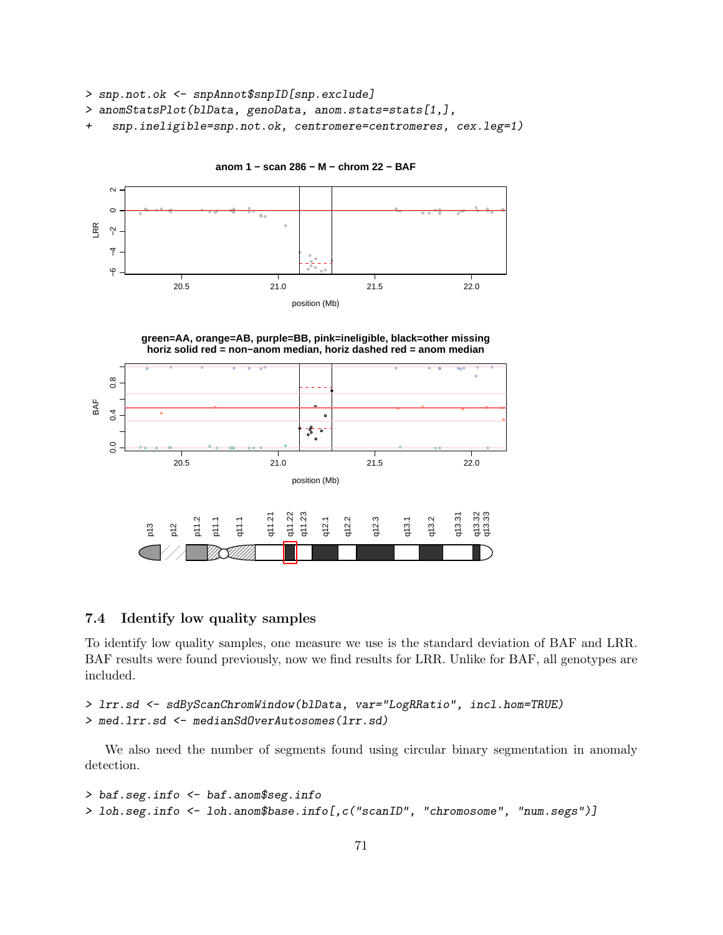```
> snp.not.ok <- snpAnnot$snpID[snp.exclude]
```
> anomStatsPlot(blData, genoData, anom.stats=stats[1,],

+ snp.ineligible=snp.not.ok, centromere=centromeres, cex.leg=1)



**anom 1 − scan 286 − M − chrom 22 − BAF**

**green=AA, orange=AB, purple=BB, pink=ineligible, black=other missing horiz solid red = non−anom median, horiz dashed red = anom median**



#### 7.4 Identify low quality samples

To identify low quality samples, one measure we use is the standard deviation of BAF and LRR. BAF results were found previously, now we find results for LRR. Unlike for BAF, all genotypes are included.

```
> lrr.sd <- sdByScanChromWindow(blData, var="LogRRatio", incl.hom=TRUE)
> med.lrr.sd <- medianSdOverAutosomes(lrr.sd)
```
We also need the number of segments found using circular binary segmentation in anomaly detection.

```
> baf.seg.info <- baf.anom$seg.info
> loh.seg.info <- loh.anom$base.info[,c("scanID", "chromosome", "num.segs")]
```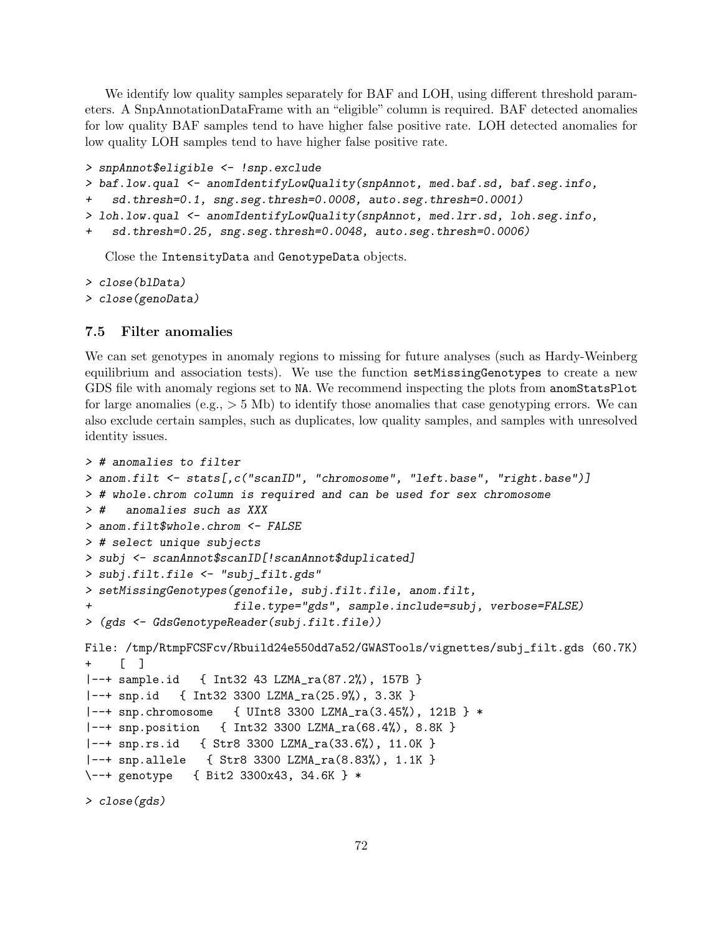We identify low quality samples separately for BAF and LOH, using different threshold parameters. A SnpAnnotationDataFrame with an "eligible" column is required. BAF detected anomalies for low quality BAF samples tend to have higher false positive rate. LOH detected anomalies for low quality LOH samples tend to have higher false positive rate.

```
> snpAnnot$eligible <- !snp.exclude
```

```
> baf.low.qual <- anomIdentifyLowQuality(snpAnnot, med.baf.sd, baf.seg.info,
```

```
+ sd.thresh=0.1, sng.seg.thresh=0.0008, auto.seg.thresh=0.0001)
```

```
> loh.low.qual <- anomIdentifyLowQuality(snpAnnot, med.lrr.sd, loh.seg.info,
```

```
+ sd.thresh=0.25, sng.seg.thresh=0.0048, auto.seg.thresh=0.0006)
```
Close the IntensityData and GenotypeData objects.

```
> close(blData)
> close(genoData)
```
#### 7.5 Filter anomalies

We can set genotypes in anomaly regions to missing for future analyses (such as Hardy-Weinberg equilibrium and association tests). We use the function setMissingGenotypes to create a new GDS file with anomaly regions set to NA. We recommend inspecting the plots from anomStatsPlot for large anomalies (e.g.,  $> 5$  Mb) to identify those anomalies that case genotyping errors. We can also exclude certain samples, such as duplicates, low quality samples, and samples with unresolved identity issues.

```
> # anomalies to filter
> anom.filt <- stats[,c("scanID", "chromosome", "left.base", "right.base")]
> # whole.chrom column is required and can be used for sex chromosome
> # anomalies such as XXX
> anom.filt$whole.chrom <- FALSE
> # select unique subjects
> subj <- scanAnnot$scanID[!scanAnnot$duplicated]
> subj.filt.file <- "subj_filt.gds"
> setMissingGenotypes(genofile, subj.filt.file, anom.filt,
+ file.type="gds", sample.include=subj, verbose=FALSE)
> (gds <- GdsGenotypeReader(subj.filt.file))
File: /tmp/RtmpFCSFcv/Rbuild24e550dd7a52/GWASTools/vignettes/subj_filt.gds (60.7K)
+ [ ]
|--+ sample.id { Int32 43 LZMA_ra(87.2%), 157B }
|--+ snp.id { Int32 3300 LZMA_ra(25.9%), 3.3K }
|--+ snp.chromosome { UInt8 3300 LZMA_ra(3.45%), 121B } *
|--+ snp.position { Int32 3300 LZMA_ra(68.4%), 8.8K }
|--+ snp.rs.id { Str8 3300 LZMA_ra(33.6%), 11.0K }
|--+ snp.allele { Str8 3300 LZMA_ra(8.83%), 1.1K }
\--+ genotype { Bit2 3300x43, 34.6K } *
```

```
> close(gds)
```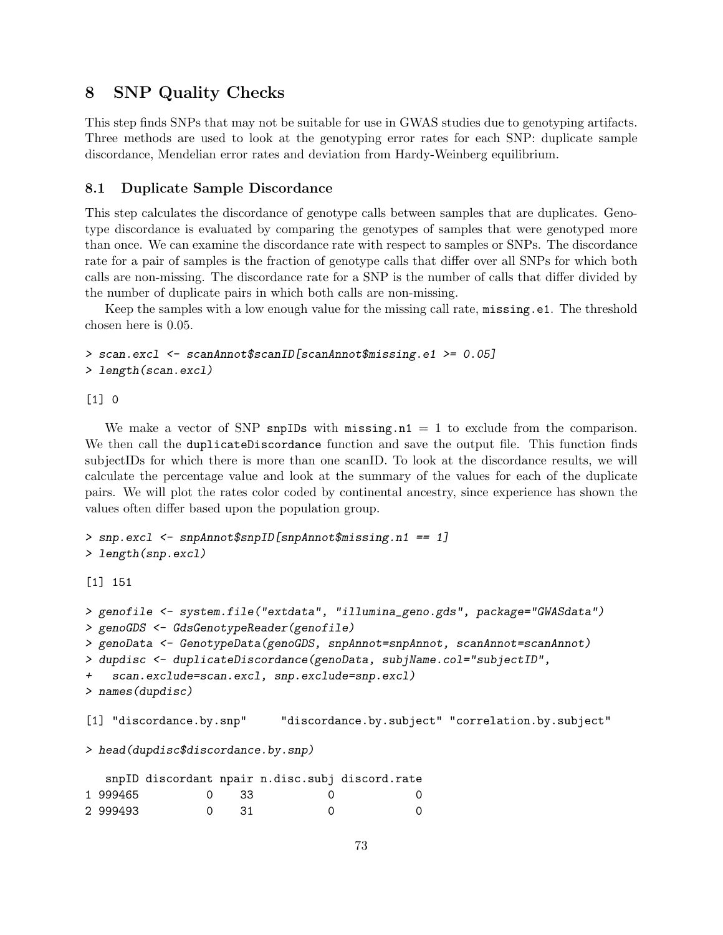# 8 SNP Quality Checks

This step finds SNPs that may not be suitable for use in GWAS studies due to genotyping artifacts. Three methods are used to look at the genotyping error rates for each SNP: duplicate sample discordance, Mendelian error rates and deviation from Hardy-Weinberg equilibrium.

### 8.1 Duplicate Sample Discordance

This step calculates the discordance of genotype calls between samples that are duplicates. Genotype discordance is evaluated by comparing the genotypes of samples that were genotyped more than once. We can examine the discordance rate with respect to samples or SNPs. The discordance rate for a pair of samples is the fraction of genotype calls that differ over all SNPs for which both calls are non-missing. The discordance rate for a SNP is the number of calls that differ divided by the number of duplicate pairs in which both calls are non-missing.

Keep the samples with a low enough value for the missing call rate, missing.e1. The threshold chosen here is 0.05.

```
> scan.excl <- scanAnnot$scanID[scanAnnot$missing.e1 >= 0.05]
> length(scan.excl)
```
[1] 0

We make a vector of SNP snpIDs with missing.n1 = 1 to exclude from the comparison. We then call the duplicateDiscordance function and save the output file. This function finds subjectIDs for which there is more than one scanID. To look at the discordance results, we will calculate the percentage value and look at the summary of the values for each of the duplicate pairs. We will plot the rates color coded by continental ancestry, since experience has shown the values often differ based upon the population group.

```
> snp.excl <- snpAnnot$snpID[snpAnnot$missing.n1 == 1]
> length(snp.excl)
```
[1] 151

```
> genofile <- system.file("extdata", "illumina_geno.gds", package="GWASdata")
> genoGDS <- GdsGenotypeReader(genofile)
> genoData <- GenotypeData(genoGDS, snpAnnot=snpAnnot, scanAnnot=scanAnnot)
> dupdisc <- duplicateDiscordance(genoData, subjName.col="subjectID",
+ scan.exclude=scan.excl, snp.exclude=snp.excl)
> names(dupdisc)
[1] "discordance.by.snp" "discordance.by.subject" "correlation.by.subject"
> head(dupdisc$discordance.by.snp)
   snpID discordant npair n.disc.subj discord.rate
```

|          |                                           |               | snpil discordant npair n.disc.subj discord.rate |
|----------|-------------------------------------------|---------------|-------------------------------------------------|
| 1 999465 | $\begin{array}{ccc} & 0 & 33 \end{array}$ |               |                                                 |
| 2 999493 |                                           | $0 \times 31$ |                                                 |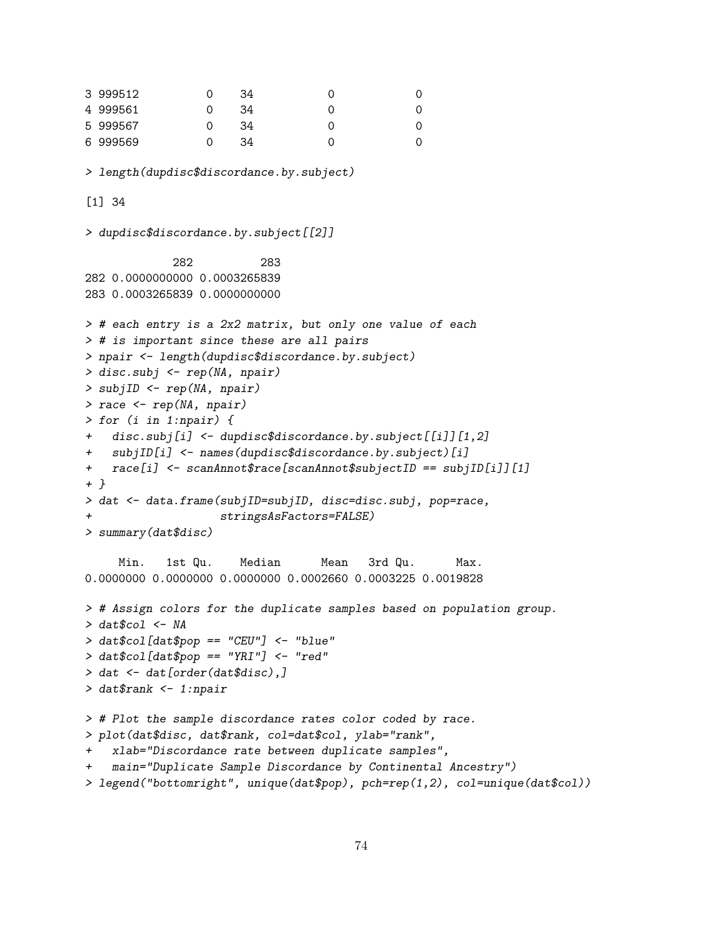```
3 999512 0 34 0 0
4 999561 0 34 0 0
5 999567 0 34 0 0
6 999569 0 34 0 0
> length(dupdisc$discordance.by.subject)
[1] 34
> dupdisc$discordance.by.subject[[2]]
           282 283
282 0.0000000000 0.0003265839
283 0.0003265839 0.0000000000
> # each entry is a 2x2 matrix, but only one value of each
> # is important since these are all pairs
> npair <- length(dupdisc$discordance.by.subject)
> disc.subj <- rep(NA, npair)
> subjID <- rep(NA, npair)
> race <- rep(NA, npair)
> for (i in 1:npair) {
+ disc.subj[i] <- dupdisc$discordance.by.subject[[i]][1,2]
+ subjID[i] <- names(dupdisc$discordance.by.subject)[i]
+ race[i] <- scanAnnot$race[scanAnnot$subjectID == subjID[i]][1]
+ }
> dat <- data.frame(subjID=subjID, disc=disc.subj, pop=race,
                  stringsAsFactors=FALSE)
> summary(dat$disc)
    Min. 1st Qu. Median Mean 3rd Qu. Max.
0.0000000 0.0000000 0.0000000 0.0002660 0.0003225 0.0019828
> # Assign colors for the duplicate samples based on population group.
> dat$col <- NA
> dat$col[dat$pop == "CEU"] <- "blue"
> dat$col[dat$pop == "YRI"] <- "red"
> dat <- dat[order(dat$disc),]
> dat$rank <- 1:npair
> # Plot the sample discordance rates color coded by race.
> plot(dat$disc, dat$rank, col=dat$col, ylab="rank",
   + xlab="Discordance rate between duplicate samples",
   main="Duplicate Sample Discordance by Continental Ancestry")
> legend("bottomright", unique(dat$pop), pch=rep(1,2), col=unique(dat$col))
```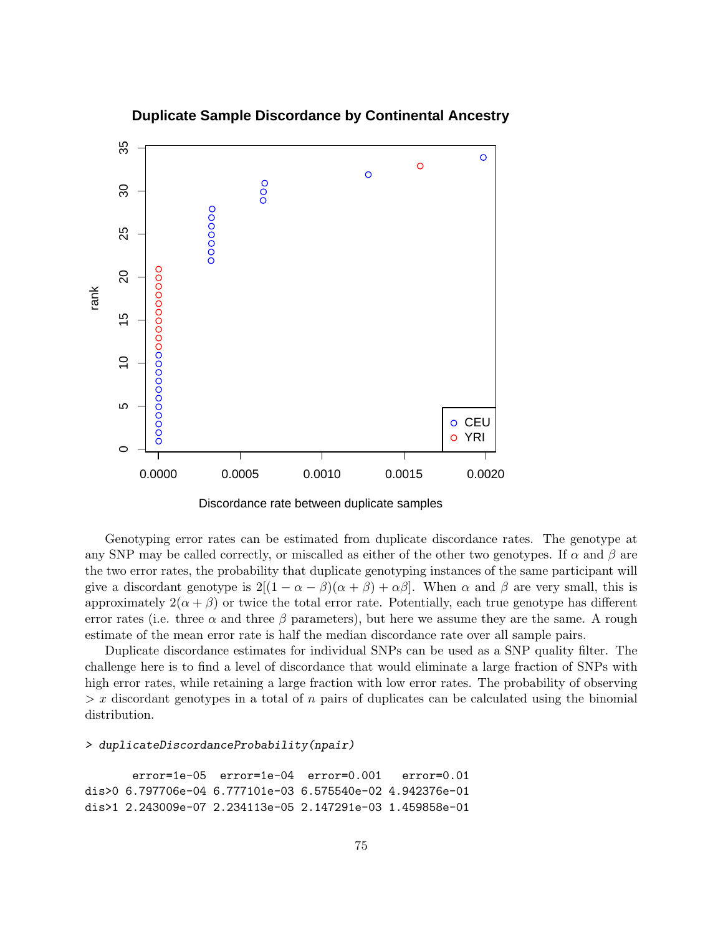

**Duplicate Sample Discordance by Continental Ancestry**

Discordance rate between duplicate samples

Genotyping error rates can be estimated from duplicate discordance rates. The genotype at any SNP may be called correctly, or miscalled as either of the other two genotypes. If  $\alpha$  and  $\beta$  are the two error rates, the probability that duplicate genotyping instances of the same participant will give a discordant genotype is  $2[(1 - \alpha - \beta)(\alpha + \beta) + \alpha\beta]$ . When  $\alpha$  and  $\beta$  are very small, this is approximately  $2(\alpha + \beta)$  or twice the total error rate. Potentially, each true genotype has different error rates (i.e. three  $\alpha$  and three  $\beta$  parameters), but here we assume they are the same. A rough estimate of the mean error rate is half the median discordance rate over all sample pairs.

Duplicate discordance estimates for individual SNPs can be used as a SNP quality filter. The challenge here is to find a level of discordance that would eliminate a large fraction of SNPs with high error rates, while retaining a large fraction with low error rates. The probability of observing  $> x$  discordant genotypes in a total of n pairs of duplicates can be calculated using the binomial distribution.

#### > duplicateDiscordanceProbability(npair)

```
error=1e-05 error=1e-04 error=0.001 error=0.01
dis>0 6.797706e-04 6.777101e-03 6.575540e-02 4.942376e-01
dis>1 2.243009e-07 2.234113e-05 2.147291e-03 1.459858e-01
```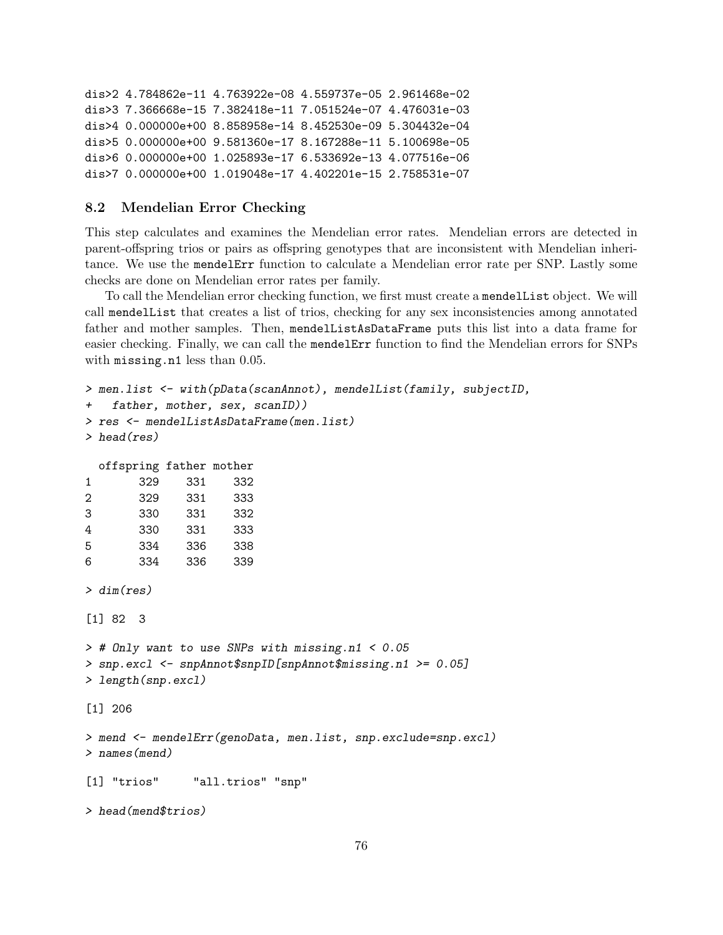```
dis>2 4.784862e-11 4.763922e-08 4.559737e-05 2.961468e-02
dis>3 7.366668e-15 7.382418e-11 7.051524e-07 4.476031e-03
dis>4 0.000000e+00 8.858958e-14 8.452530e-09 5.304432e-04
dis>5 0.000000e+00 9.581360e-17 8.167288e-11 5.100698e-05
dis>6 0.000000e+00 1.025893e-17 6.533692e-13 4.077516e-06
dis>7 0.000000e+00 1.019048e-17 4.402201e-15 2.758531e-07
```
## 8.2 Mendelian Error Checking

This step calculates and examines the Mendelian error rates. Mendelian errors are detected in parent-offspring trios or pairs as offspring genotypes that are inconsistent with Mendelian inheritance. We use the mendelErr function to calculate a Mendelian error rate per SNP. Lastly some checks are done on Mendelian error rates per family.

To call the Mendelian error checking function, we first must create a mendelList object. We will call mendelList that creates a list of trios, checking for any sex inconsistencies among annotated father and mother samples. Then, mendelListAsDataFrame puts this list into a data frame for easier checking. Finally, we can call the mendelErr function to find the Mendelian errors for SNPs with missing.n1 less than 0.05.

```
> men.list <- with(pData(scanAnnot), mendelList(family, subjectID,
+ father, mother, sex, scanID))
> res <- mendelListAsDataFrame(men.list)
> head(res)
 offspring father mother
1 329 331 332
2 329 331 333
3 330 331 332
4 330 331 333
5 334 336 338
6 334 336 339
> dim(res)
[1] 82 3
> # Only want to use SNPs with missing.n1 < 0.05
> snp.excl <- snpAnnot$snpID[snpAnnot$missing.n1 >= 0.05]
> length(snp.excl)
[1] 206
> mend <- mendelErr(genoData, men.list, snp.exclude=snp.excl)
> names(mend)
[1] "trios" "all.trios" "snp"
> head(mend$trios)
```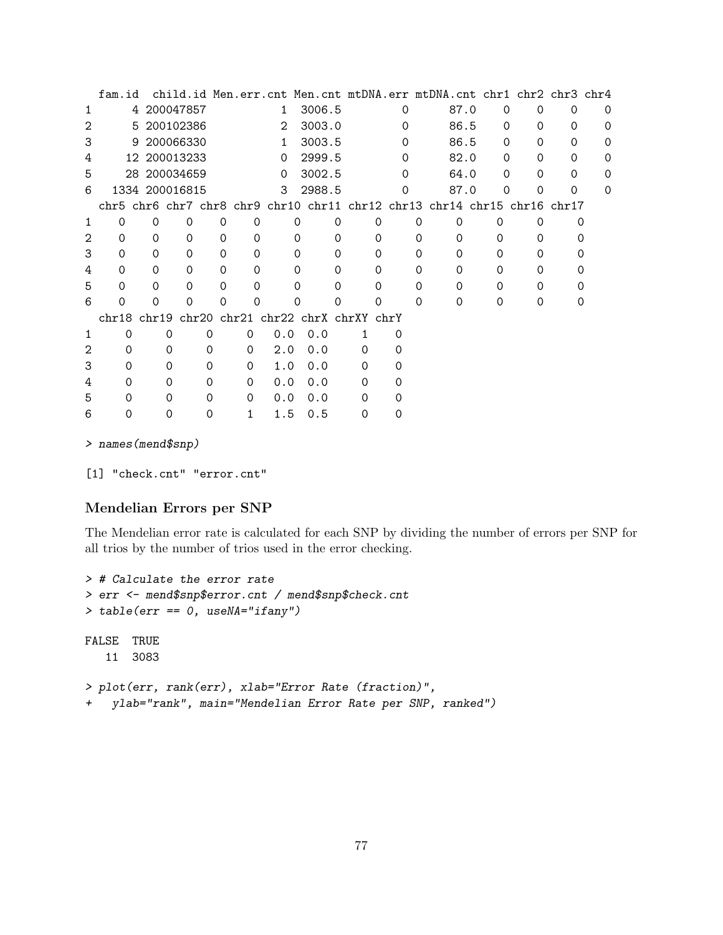|   | fam.id   |              |                          |          |                                   |                    |        |          |   |          |          |          | child.id Men.err.cnt Men.cnt mtDNA.err mtDNA.cnt chr1 chr2 chr3 chr4     |          |          |          |          |          |
|---|----------|--------------|--------------------------|----------|-----------------------------------|--------------------|--------|----------|---|----------|----------|----------|--------------------------------------------------------------------------|----------|----------|----------|----------|----------|
| 1 |          | 4 200047857  |                          |          | $\mathbf{1}$                      |                    | 3006.5 |          |   |          | $\Omega$ |          | 87.0                                                                     |          | 0        | $\Omega$ | 0        | $\Omega$ |
| 2 |          | 5 200102386  |                          |          | 2                                 |                    | 3003.0 |          | 0 |          |          |          | 86.5                                                                     |          | 0        | $\Omega$ | 0        | $\Omega$ |
| 3 |          | 9 200066330  |                          |          | 1.                                |                    | 3003.5 |          |   |          | 0        | 86.5     |                                                                          |          | 0        | 0        | 0        | $\Omega$ |
| 4 |          |              | 12 200013233<br>$\Omega$ |          |                                   | 2999.5<br>$\Omega$ |        |          |   | 82.0     |          | $\Omega$ | $\Omega$                                                                 | $\Omega$ | 0        |          |          |          |
| 5 |          | 28 200034659 |                          |          | $\Omega$                          |                    |        | 3002.5   |   | $\Omega$ |          |          | 64.0                                                                     |          | $\Omega$ | $\Omega$ | $\Omega$ | $\Omega$ |
| 6 |          |              | 1334 200016815           |          | 3                                 | 2988.5             |        | Ω        |   |          | 87.0     |          | 0                                                                        | 0        | 0        | $\Omega$ |          |          |
|   |          |              |                          |          |                                   |                    |        |          |   |          |          |          | chr5 chr6 chr7 chr8 chr9 chr10 chr11 chr12 chr13 chr14 chr15 chr16 chr17 |          |          |          |          |          |
| 1 | 0        | 0            | 0                        | 0        | 0                                 |                    | 0      | 0        |   | 0        |          | 0        | 0                                                                        |          | O        | Ω        |          | O)       |
| 2 | $\Omega$ | $\Omega$     | $\Omega$                 | $\Omega$ | 0                                 |                    | 0      | 0        |   | 0        |          | 0        | 0                                                                        |          | 0        | 0        |          |          |
| 3 | 0        | $\Omega$     | $\Omega$                 | 0        | $\Omega$                          |                    | Ω      | $\Omega$ |   | $\Omega$ |          | 0        | $\Omega$                                                                 |          | 0        | Ω        |          |          |
| 4 | $\Omega$ | $\Omega$     | $\Omega$                 | $\Omega$ | $\Omega$                          |                    | 0      | $\Omega$ |   | $\Omega$ |          | $\Omega$ | $\Omega$                                                                 |          | 0        | Ω        |          |          |
| 5 | $\Omega$ | $\Omega$     | $\Omega$                 | $\Omega$ | 0                                 |                    | Ω      | 0        |   | $\Omega$ |          | $\Omega$ | $\Omega$                                                                 |          | $\Omega$ | Ω        |          |          |
| 6 | Ω        | Ω            | ი                        | 0        | 0                                 |                    | 0      |          |   | 0        |          | $\Omega$ | $\Omega$                                                                 |          | $\Omega$ | $\Omega$ |          | O        |
|   | chr18    | chr19        |                          |          | chr20 chr21 chr22 chrX chrXY chrY |                    |        |          |   |          |          |          |                                                                          |          |          |          |          |          |
| 1 | $\Omega$ |              | 0                        | $\Omega$ | 0                                 | 0.0                | 0.0    |          | 1 |          | $\Omega$ |          |                                                                          |          |          |          |          |          |
| 2 | $\Omega$ |              | $\Omega$                 | $\Omega$ | $\Omega$                          | 2.0                | 0.0    |          | 0 |          | $\Omega$ |          |                                                                          |          |          |          |          |          |
| 3 | 0        |              | 0                        | $\Omega$ | 0                                 | 1.0                | 0.0    |          | 0 |          | $\Omega$ |          |                                                                          |          |          |          |          |          |
| 4 | Ω        |              | 0                        | $\Omega$ | $\Omega$                          | 0.0                | 0.0    |          | 0 |          | $\Omega$ |          |                                                                          |          |          |          |          |          |
| 5 | Ω        |              | 0                        | $\Omega$ | $\Omega$                          | 0.0                | 0.0    |          | 0 |          | $\Omega$ |          |                                                                          |          |          |          |          |          |
| 6 | 0        |              | Ω                        |          | 1                                 | 1.5                | 0.5    |          | Ω |          |          |          |                                                                          |          |          |          |          |          |

> names(mend\$snp)

[1] "check.cnt" "error.cnt"

### Mendelian Errors per SNP

The Mendelian error rate is calculated for each SNP by dividing the number of errors per SNP for all trios by the number of trios used in the error checking.

```
> # Calculate the error rate
> err <- mend$snp$error.cnt / mend$snp$check.cnt
> table(err == 0, useNA="ifany")
FALSE TRUE
   11 3083
> plot(err, rank(err), xlab="Error Rate (fraction)",
+ ylab="rank", main="Mendelian Error Rate per SNP, ranked")
```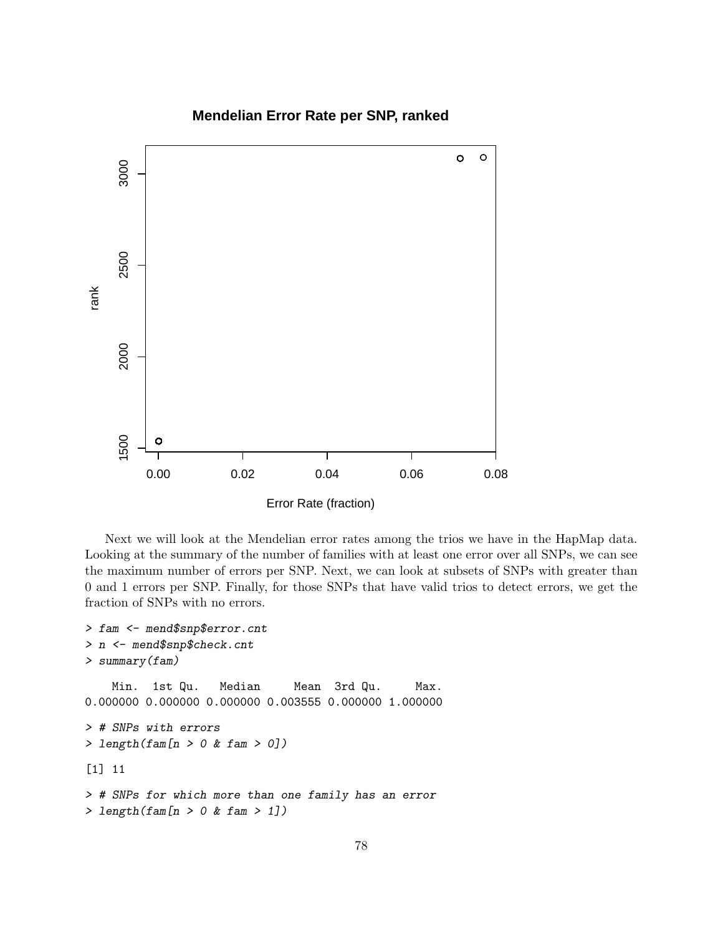## **Mendelian Error Rate per SNP, ranked**



Next we will look at the Mendelian error rates among the trios we have in the HapMap data. Looking at the summary of the number of families with at least one error over all SNPs, we can see the maximum number of errors per SNP. Next, we can look at subsets of SNPs with greater than 0 and 1 errors per SNP. Finally, for those SNPs that have valid trios to detect errors, we get the fraction of SNPs with no errors.

```
> fam <- mend$snp$error.cnt
> n <- mend$snp$check.cnt
> summary(fam)
   Min. 1st Qu. Median Mean 3rd Qu. Max.
0.000000 0.000000 0.000000 0.003555 0.000000 1.000000
> # SNPs with errors
> length(fam[n > 0 & fam > 0])
[1] 11
> # SNPs for which more than one family has an error
> length(fam[n > 0 & fam > 1])
```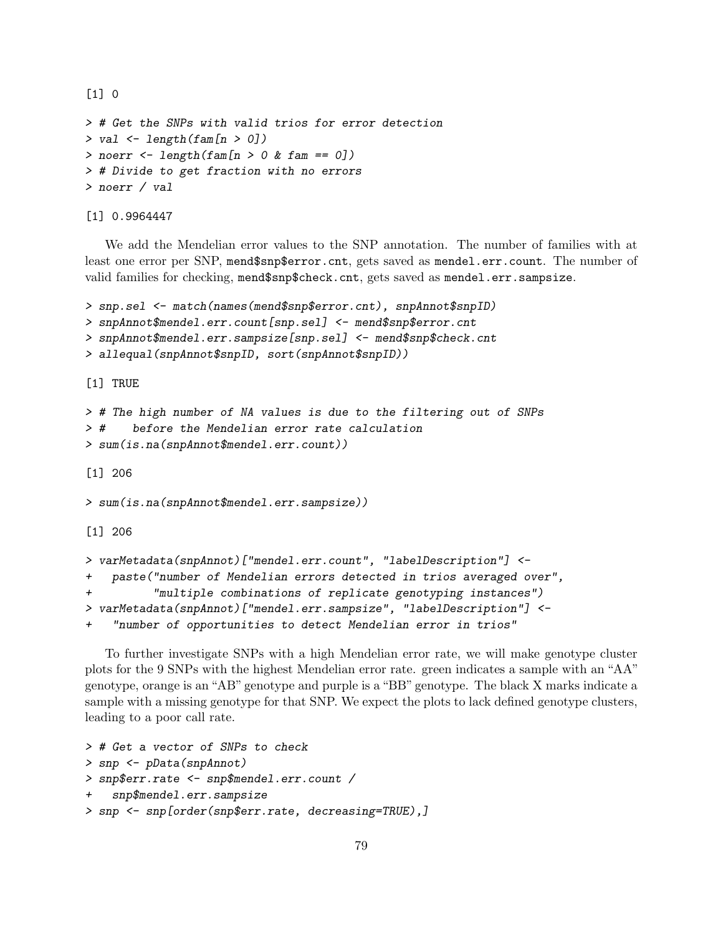```
> # Get the SNPs with valid trios for error detection
> val \leq length(fam[n > 0])
> noerr <- length(fam[n > 0 & fam == 0])
> # Divide to get fraction with no errors
> noerr / val
```
[1] 0.9964447

[1] 0

We add the Mendelian error values to the SNP annotation. The number of families with at least one error per SNP, mend\$snp\$error.cnt, gets saved as mendel.err.count. The number of valid families for checking, mend\$snp\$check.cnt, gets saved as mendel.err.sampsize.

```
> snp.sel <- match(names(mend$snp$error.cnt), snpAnnot$snpID)
> snpAnnot$mendel.err.count[snp.sel] <- mend$snp$error.cnt
> snpAnnot$mendel.err.sampsize[snp.sel] <- mend$snp$check.cnt
> allequal(snpAnnot$snpID, sort(snpAnnot$snpID))
[1] TRUE
> # The high number of NA values is due to the filtering out of SNPs
> # before the Mendelian error rate calculation
> sum(is.na(snpAnnot$mendel.err.count))
[1] 206
> sum(is.na(snpAnnot$mendel.err.sampsize))
[1] 206
> varMetadata(snpAnnot)["mendel.err.count", "labelDescription"] <-
+ paste("number of Mendelian errors detected in trios averaged over",
          "multiple combinations of replicate genotyping instances")
> varMetadata(snpAnnot)["mendel.err.sampsize", "labelDescription"] <-
```
+ "number of opportunities to detect Mendelian error in trios"

To further investigate SNPs with a high Mendelian error rate, we will make genotype cluster plots for the 9 SNPs with the highest Mendelian error rate. green indicates a sample with an "AA" genotype, orange is an "AB" genotype and purple is a "BB" genotype. The black X marks indicate a sample with a missing genotype for that SNP. We expect the plots to lack defined genotype clusters, leading to a poor call rate.

```
> # Get a vector of SNPs to check
> snp <- pData(snpAnnot)
> snp$err.rate <- snp$mendel.err.count /
+ snp$mendel.err.sampsize
> snp <- snp[order(snp$err.rate, decreasing=TRUE),]
```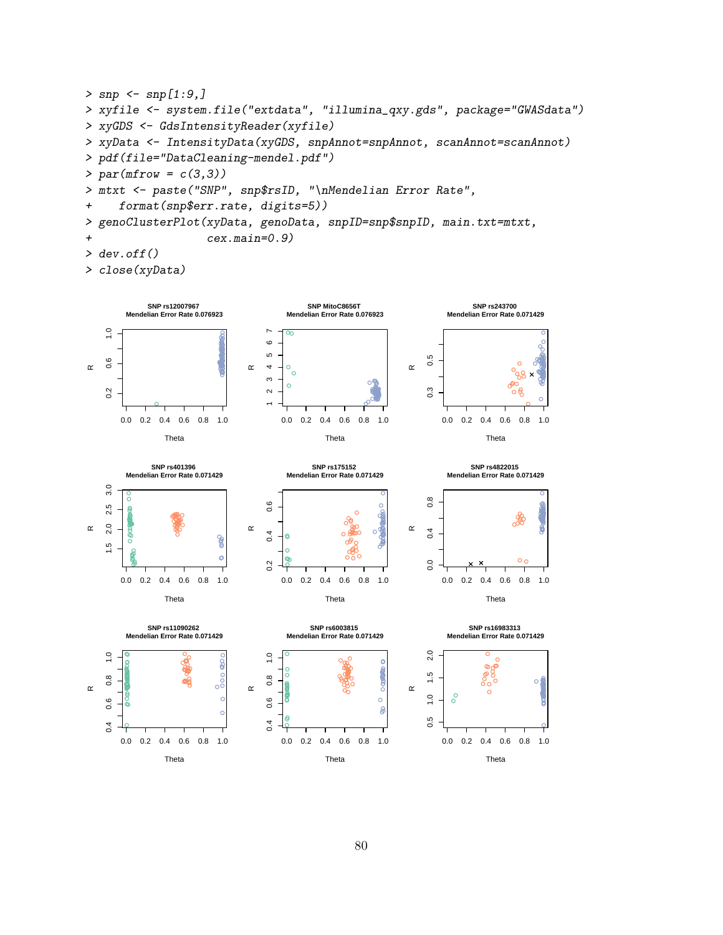```
> snp <- snp[1:9,]
> xyfile <- system.file("extdata", "illumina_qxy.gds", package="GWASdata")
> xyGDS <- GdsIntensityReader(xyfile)
> xyData <- IntensityData(xyGDS, snpAnnot=snpAnnot, scanAnnot=scanAnnot)
> pdf(file="DataCleaning-mendel.pdf")
> par(mfrow = c(3,3))> mtxt <- paste("SNP", snp$rsID, "\nMendelian Error Rate",
+ format(snp$err.rate, digits=5))
> genoClusterPlot(xyData, genoData, snpID=snp$snpID, main.txt=mtxt,
+ cex.main=0.9)
> dev.off()
```

```
> close(xyData)
```
0.0 0.2 0.4 0.6 0.8 1.0

 $0.4$ 

Theta



0.0 0.2 0.4 0.6 0.8 1.0

80

Theta

 $\overline{0}$ 

0.0 0.2 0.4 0.6 0.8 1.0

Theta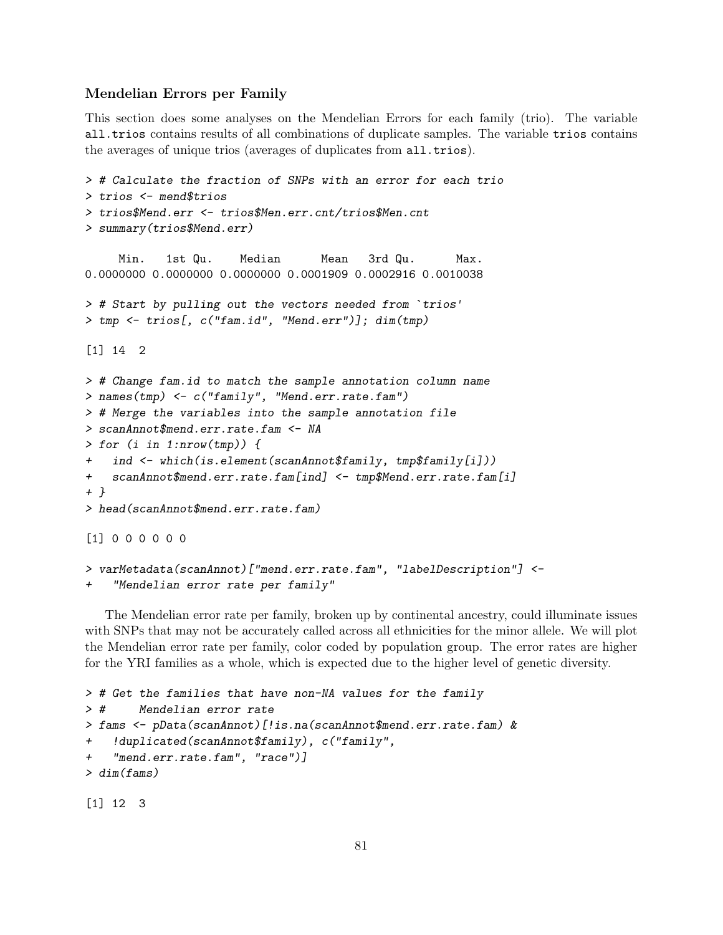### Mendelian Errors per Family

This section does some analyses on the Mendelian Errors for each family (trio). The variable all.trios contains results of all combinations of duplicate samples. The variable trios contains the averages of unique trios (averages of duplicates from all.trios).

```
> # Calculate the fraction of SNPs with an error for each trio
> trios <- mend$trios
> trios$Mend.err <- trios$Men.err.cnt/trios$Men.cnt
> summary(trios$Mend.err)
    Min. 1st Qu. Median Mean 3rd Qu. Max.
0.0000000 0.0000000 0.0000000 0.0001909 0.0002916 0.0010038
> # Start by pulling out the vectors needed from `trios'
> tmp <- trios[, c("fam.id", "Mend.err")]; dim(tmp)
[1] 14 2
> # Change fam.id to match the sample annotation column name
> names(tmp) <- c("family", "Mend.err.rate.fam")
> # Merge the variables into the sample annotation file
> scanAnnot$mend.err.rate.fam <- NA
> for (i in 1:nrow(tmp)) {
    ind <- which(is.element(scanAnnot$family, tmp$family[i]))
+ scanAnnot$mend.err.rate.fam[ind] <- tmp$Mend.err.rate.fam[i]
+ }
> head(scanAnnot$mend.err.rate.fam)
[1] 0 0 0 0 0 0
> varMetadata(scanAnnot)["mend.err.rate.fam", "labelDescription"] <-
    "Mendelian error rate per family"
```
The Mendelian error rate per family, broken up by continental ancestry, could illuminate issues with SNPs that may not be accurately called across all ethnicities for the minor allele. We will plot the Mendelian error rate per family, color coded by population group. The error rates are higher for the YRI families as a whole, which is expected due to the higher level of genetic diversity.

```
> # Get the families that have non-NA values for the family
> # Mendelian error rate
> fams <- pData(scanAnnot)[!is.na(scanAnnot$mend.err.rate.fam) &
    !duplicated(scanAnnot$family), c("family",
    "mend.err.rate.fam", "race")]
> dim(fams)
```
[1] 12 3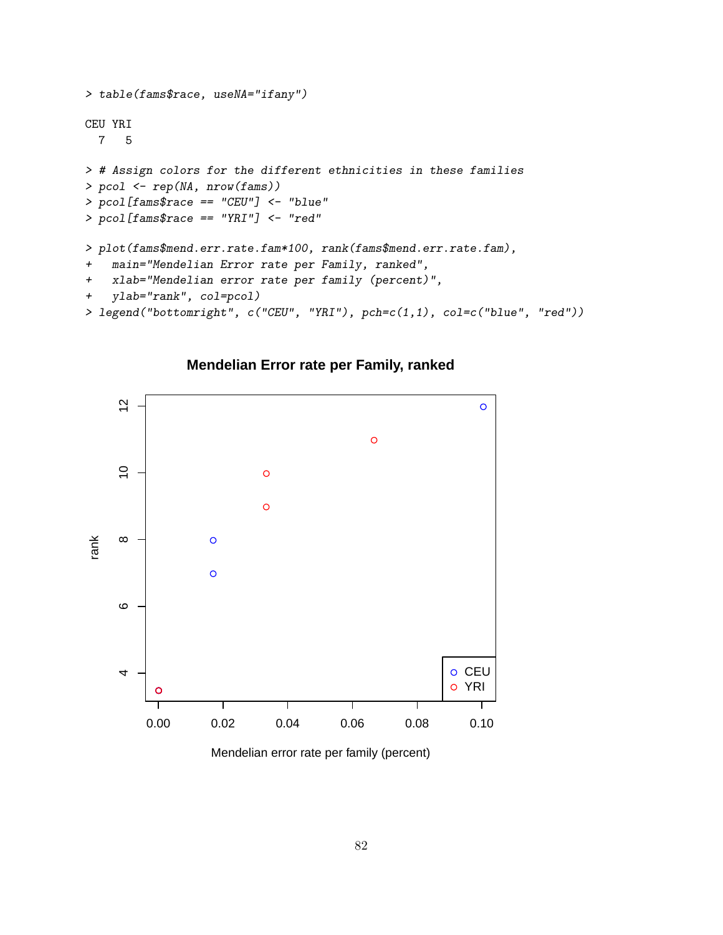```
> table(fams$race, useNA="ifany")
CEU YRI
 7 5
> # Assign colors for the different ethnicities in these families
> pcol <- rep(NA, nrow(fams))
> pcol[fams$race == "CEU"] <- "blue"
> pcol[fams$race == "YRI"] <- "red"
> plot(fams$mend.err.rate.fam*100, rank(fams$mend.err.rate.fam),
+ main="Mendelian Error rate per Family, ranked",
+ xlab="Mendelian error rate per family (percent)",
+ ylab="rank", col=pcol)
> legend("bottomright", c("CEU", "YRI"), pch=c(1,1), col=c("blue", "red"))
```
**Mendelian Error rate per Family, ranked**



Mendelian error rate per family (percent)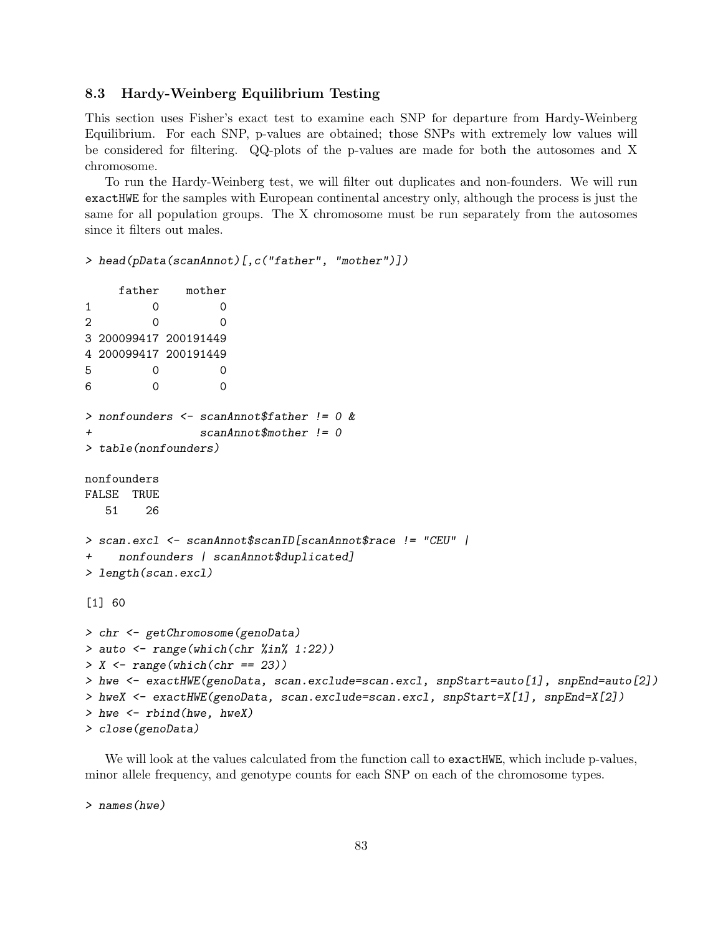### 8.3 Hardy-Weinberg Equilibrium Testing

This section uses Fisher's exact test to examine each SNP for departure from Hardy-Weinberg Equilibrium. For each SNP, p-values are obtained; those SNPs with extremely low values will be considered for filtering. QQ-plots of the p-values are made for both the autosomes and X chromosome.

To run the Hardy-Weinberg test, we will filter out duplicates and non-founders. We will run exactHWE for the samples with European continental ancestry only, although the process is just the same for all population groups. The X chromosome must be run separately from the autosomes since it filters out males.

```
> head(pData(scanAnnot)[,c("father", "mother")])
```

```
father mother
1 0 0
2 0 0
3 200099417 200191449
4 200099417 200191449
5 0 0
6 0 0
> nonfounders <- scanAnnot$father != 0 &
+ scanAnnot$mother != 0
> table(nonfounders)
nonfounders
FALSE TRUE
  51 26
> scan.excl <- scanAnnot$scanID[scanAnnot$race != "CEU" |
+ nonfounders | scanAnnot$duplicated]
> length(scan.excl)
[1] 60
> chr <- getChromosome(genoData)
> auto <- range(which(chr %in% 1:22))
> X \leftarrow range(which(chr == 23))> hwe <- exactHWE(genoData, scan.exclude=scan.excl, snpStart=auto[1], snpEnd=auto[2])
> hweX <- exactHWE(genoData, scan.exclude=scan.excl, snpStart=X[1], snpEnd=X[2])
> hwe <- rbind(hwe, hweX)
> close(genoData)
```
We will look at the values calculated from the function call to exact HWE, which include p-values, minor allele frequency, and genotype counts for each SNP on each of the chromosome types.

> names(hwe)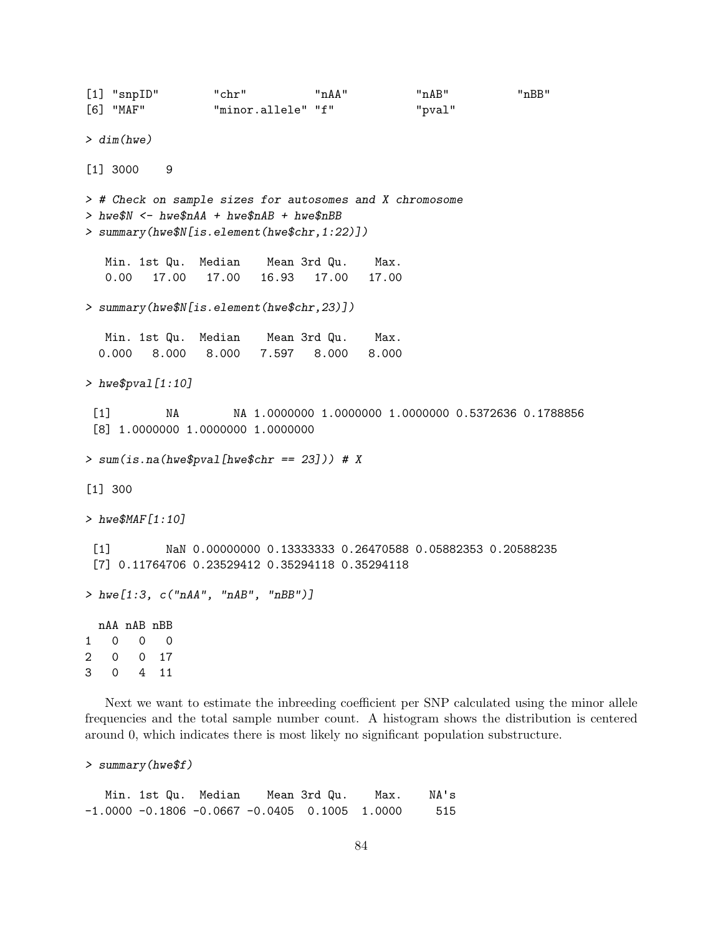[1] "snpID" "chr" "nAA" "nAB" "nBB" [6] "MAF" "minor.allele" "f" "pval" > dim(hwe) [1] 3000 9 > # Check on sample sizes for autosomes and X chromosome > hwe\$N <- hwe\$nAA + hwe\$nAB + hwe\$nBB > summary(hwe\$N[is.element(hwe\$chr,1:22)]) Min. 1st Qu. Median Mean 3rd Qu. Max. 0.00 17.00 17.00 16.93 17.00 17.00 > summary(hwe\$N[is.element(hwe\$chr,23)]) Min. 1st Qu. Median Mean 3rd Qu. Max. 0.000 8.000 8.000 7.597 8.000 8.000 > hwe\$pval[1:10] [1] NA NA 1.0000000 1.0000000 1.0000000 0.5372636 0.1788856 [8] 1.0000000 1.0000000 1.0000000  $>$  sum(is.na(hwe\$pval[hwe\$chr == 23])) # X [1] 300 > hwe\$MAF[1:10] [1] NaN 0.00000000 0.13333333 0.26470588 0.05882353 0.20588235 [7] 0.11764706 0.23529412 0.35294118 0.35294118 > hwe[1:3, c("nAA", "nAB", "nBB")] nAA nAB nBB 1 0 0 0 2 0 0 17 3 0 4 11

Next we want to estimate the inbreeding coefficient per SNP calculated using the minor allele frequencies and the total sample number count. A histogram shows the distribution is centered around 0, which indicates there is most likely no significant population substructure.

```
> summary(hwe$f)
```
Min. 1st Qu. Median Mean 3rd Qu. Max. NA's  $-1.0000 -0.1806 -0.0667 -0.0405 0.1005 1.0000 515$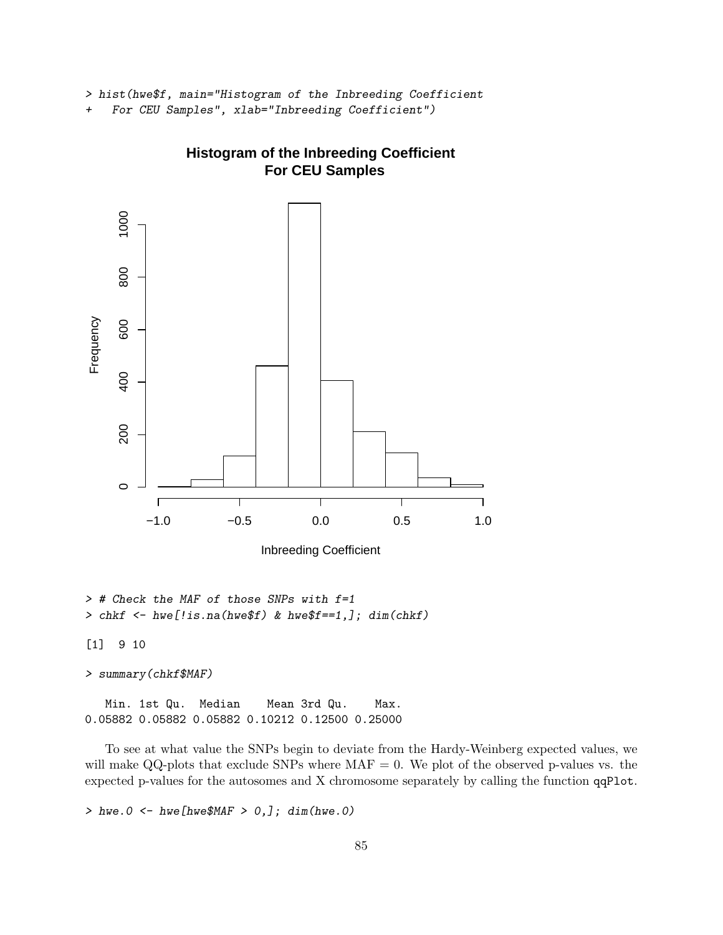> hist(hwe\$f, main="Histogram of the Inbreeding Coefficient

+ For CEU Samples", xlab="Inbreeding Coefficient")



# **Histogram of the Inbreeding Coefficient For CEU Samples**

Inbreeding Coefficient

> # Check the MAF of those SNPs with f=1 >  $chkf$  <-  $hwef!is.na(hweff)$  &  $hweff==1,$ ];  $dim(chkf)$ 

[1] 9 10

> summary(chkf\$MAF)

Min. 1st Qu. Median Mean 3rd Qu. Max. 0.05882 0.05882 0.05882 0.10212 0.12500 0.25000

To see at what value the SNPs begin to deviate from the Hardy-Weinberg expected values, we will make QQ-plots that exclude SNPs where  $MAF = 0$ . We plot of the observed p-values vs. the expected p-values for the autosomes and X chromosome separately by calling the function qqPlot.

> hwe.0 <- hwe[hwe\$MAF >  $0,$ ]; dim(hwe.0)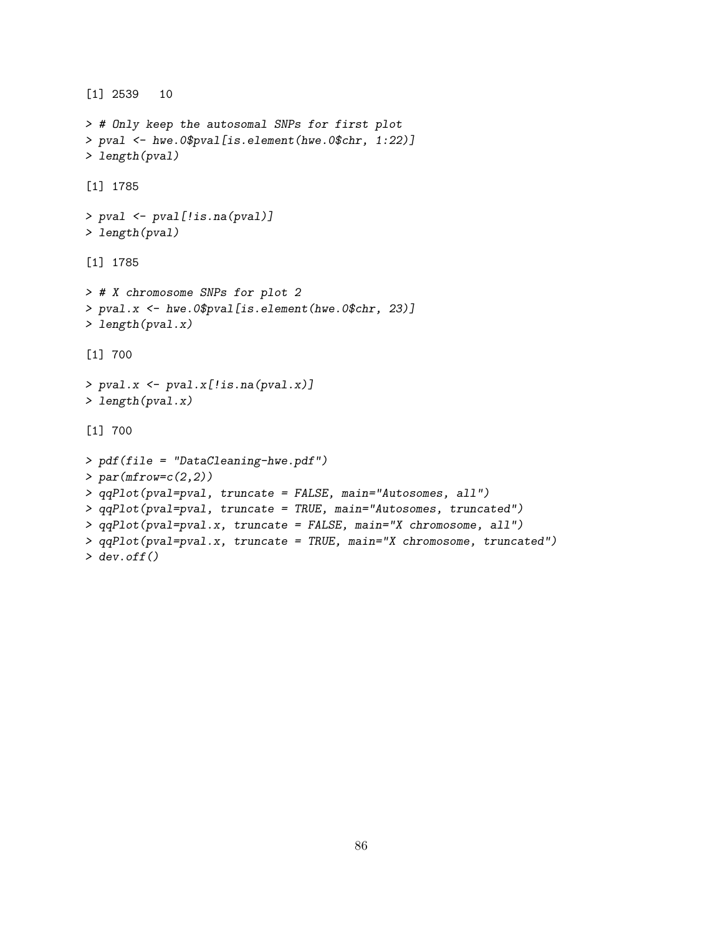```
[1] 2539 10
> # Only keep the autosomal SNPs for first plot
> pval <- hwe.0$pval[is.element(hwe.0$chr, 1:22)]
> length(pval)
[1] 1785
> pval <- pval[!is.na(pval)]
> length(pval)
[1] 1785
> # X chromosome SNPs for plot 2
> pval.x <- hwe.0$pval[is.element(hwe.0$chr, 23)]
> length(pval.x)
[1] 700
> pval.x <- pval.x[!is.na(pval.x)]
> length(pval.x)
[1] 700
> pdf(file = "DataCleaning-hwe.pdf")
> par(mfrow=c(2,2))> qqPlot(pval=pval, truncate = FALSE, main="Autosomes, all")
> qqPlot(pval=pval, truncate = TRUE, main="Autosomes, truncated")
> qqPlot(pval=pval.x, truncate = FALSE, main="X chromosome, all")
> qqPlot(pval=pval.x, truncate = TRUE, main="X chromosome, truncated")
> dev.off()
```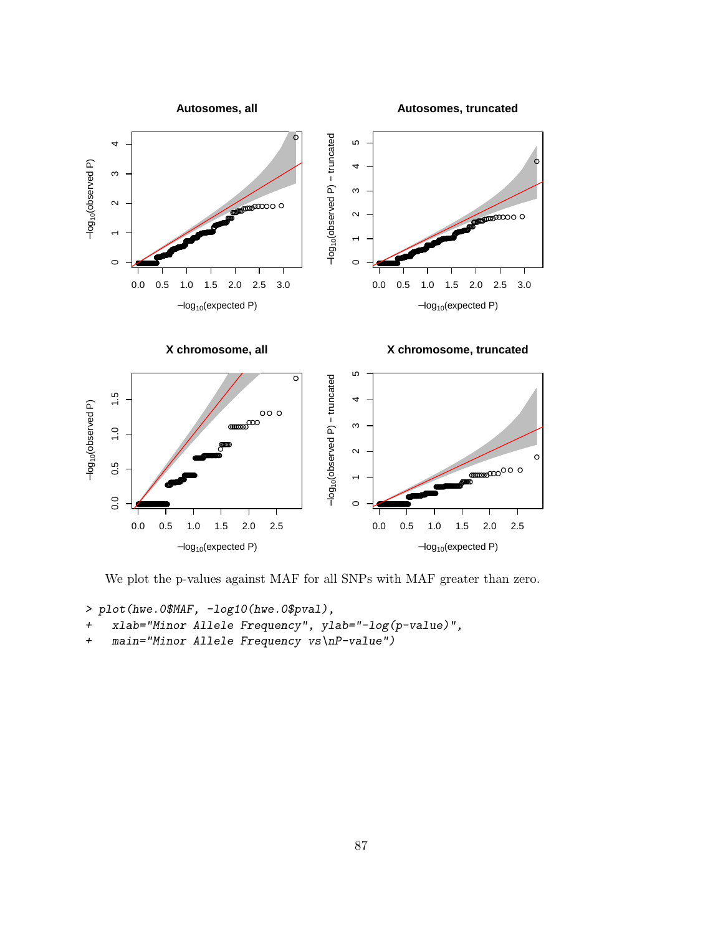

We plot the p-values against MAF for all SNPs with MAF greater than zero.

```
> plot(hwe.0$MAF, -log10(hwe.0$pval),
```
- + xlab="Minor Allele Frequency", ylab="-log(p-value)",
- + main="Minor Allele Frequency vs\nP-value")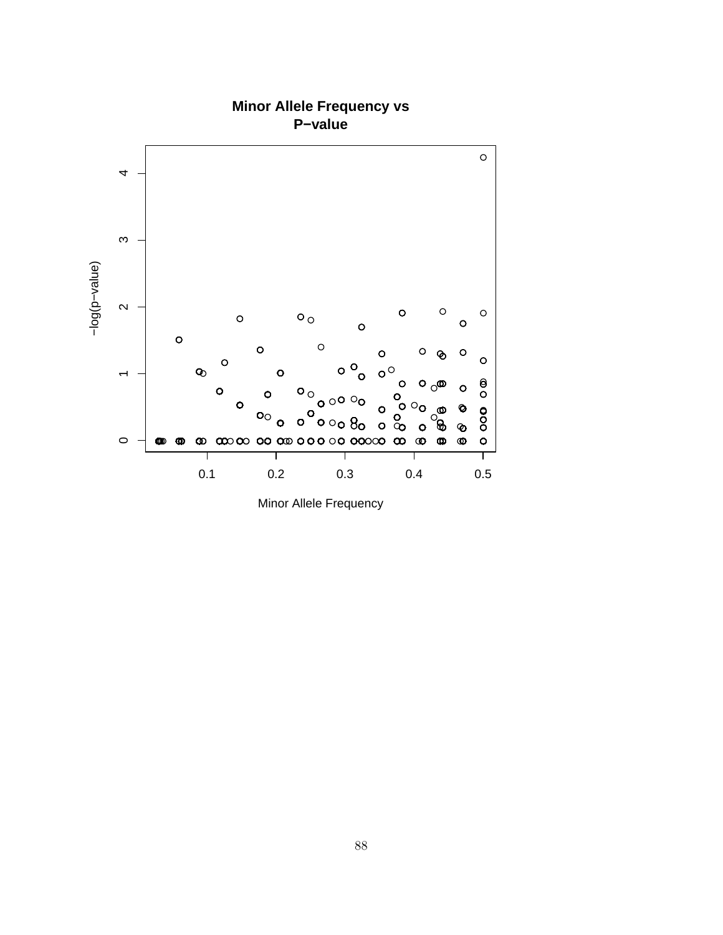

Minor Allele Frequency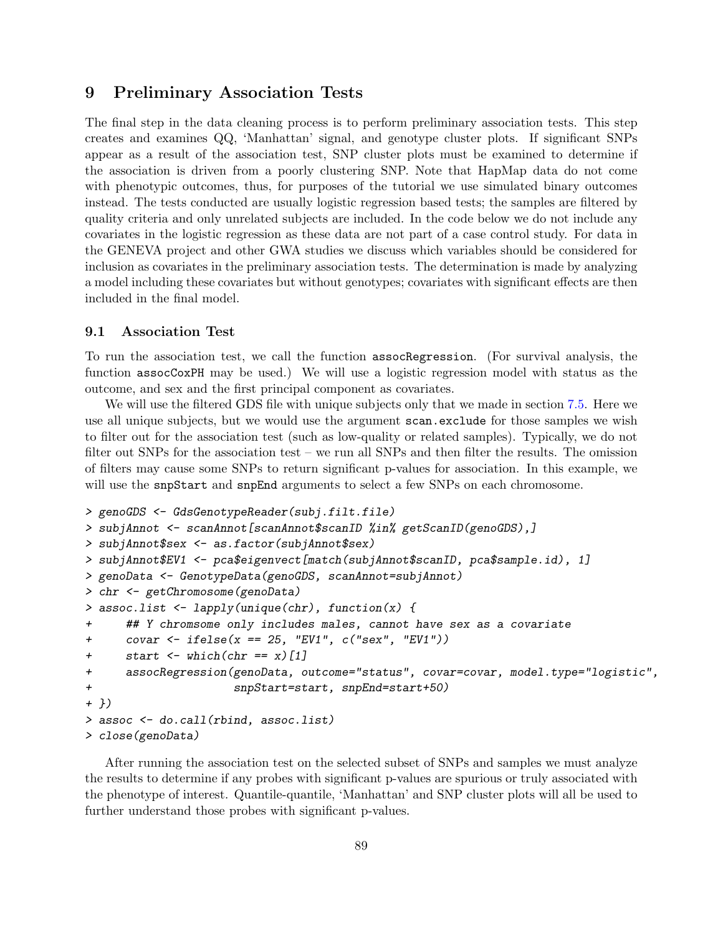# 9 Preliminary Association Tests

The final step in the data cleaning process is to perform preliminary association tests. This step creates and examines QQ, 'Manhattan' signal, and genotype cluster plots. If significant SNPs appear as a result of the association test, SNP cluster plots must be examined to determine if the association is driven from a poorly clustering SNP. Note that HapMap data do not come with phenotypic outcomes, thus, for purposes of the tutorial we use simulated binary outcomes instead. The tests conducted are usually logistic regression based tests; the samples are filtered by quality criteria and only unrelated subjects are included. In the code below we do not include any covariates in the logistic regression as these data are not part of a case control study. For data in the GENEVA project and other GWA studies we discuss which variables should be considered for inclusion as covariates in the preliminary association tests. The determination is made by analyzing a model including these covariates but without genotypes; covariates with significant effects are then included in the final model.

#### 9.1 Association Test

To run the association test, we call the function assocRegression. (For survival analysis, the function assocCoxPH may be used.) We will use a logistic regression model with status as the outcome, and sex and the first principal component as covariates.

We will use the filtered GDS file with unique subjects only that we made in section [7.5.](#page-71-0) Here we use all unique subjects, but we would use the argument scan.exclude for those samples we wish to filter out for the association test (such as low-quality or related samples). Typically, we do not filter out SNPs for the association test – we run all SNPs and then filter the results. The omission of filters may cause some SNPs to return significant p-values for association. In this example, we will use the snpStart and snpEnd arguments to select a few SNPs on each chromosome.

```
> genoGDS <- GdsGenotypeReader(subj.filt.file)
> subjAnnot <- scanAnnot[scanAnnot$scanID %in% getScanID(genoGDS),]
> subjAnnot$sex <- as.factor(subjAnnot$sex)
> subjAnnot$EV1 <- pca$eigenvect[match(subjAnnot$scanID, pca$sample.id), 1]
> genoData <- GenotypeData(genoGDS, scanAnnot=subjAnnot)
> chr <- getChromosome(genoData)
> assoc.list <- lapply(unique(chr), function(x) {
+ ## Y chromsome only includes males, cannot have sex as a covariate
+ covar <- ifelse(x == 25, "EV1", c("sex", "EV1"))
+ start \leftarrow which(chr == x)[1]
+ assocRegression(genoData, outcome="status", covar=covar, model.type="logistic",
+ snpStart=start, snpEnd=start+50)
+ })
> assoc <- do.call(rbind, assoc.list)
> close(genoData)
```
After running the association test on the selected subset of SNPs and samples we must analyze the results to determine if any probes with significant p-values are spurious or truly associated with the phenotype of interest. Quantile-quantile, 'Manhattan' and SNP cluster plots will all be used to further understand those probes with significant p-values.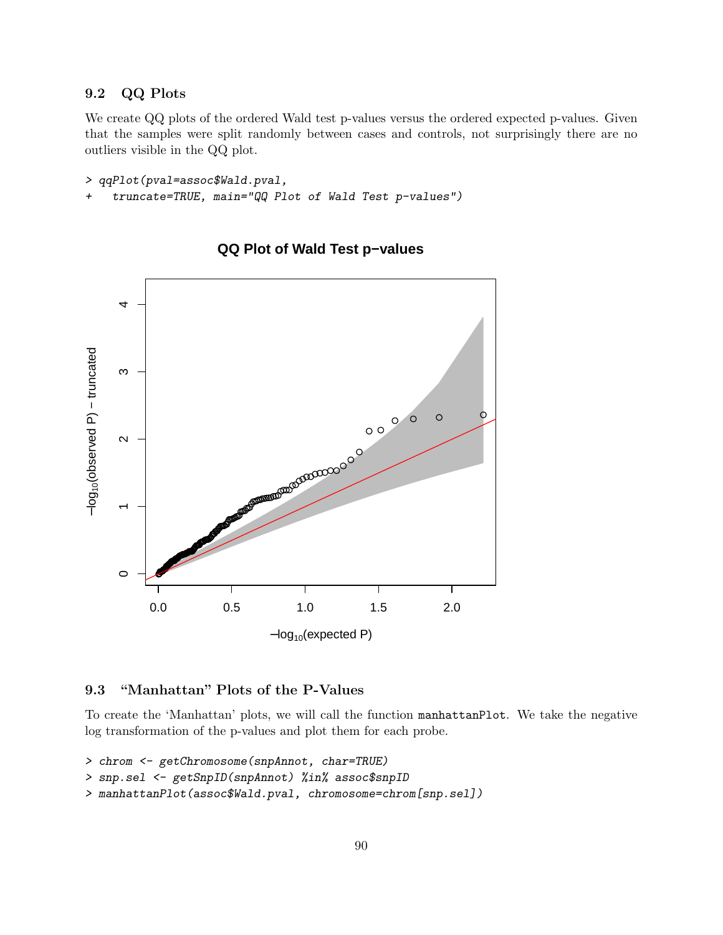## 9.2 QQ Plots

We create QQ plots of the ordered Wald test p-values versus the ordered expected p-values. Given that the samples were split randomly between cases and controls, not surprisingly there are no outliers visible in the QQ plot.

```
> qqPlot(pval=assoc$Wald.pval,
+ truncate=TRUE, main="QQ Plot of Wald Test p-values")
```


## **QQ Plot of Wald Test p−values**

## 9.3 "Manhattan" Plots of the P-Values

To create the 'Manhattan' plots, we will call the function manhattanPlot. We take the negative log transformation of the p-values and plot them for each probe.

```
> chrom <- getChromosome(snpAnnot, char=TRUE)
```

```
> snp.sel <- getSnpID(snpAnnot) %in% assoc$snpID
```

```
> manhattanPlot(assoc$Wald.pval, chromosome=chrom[snp.sel])
```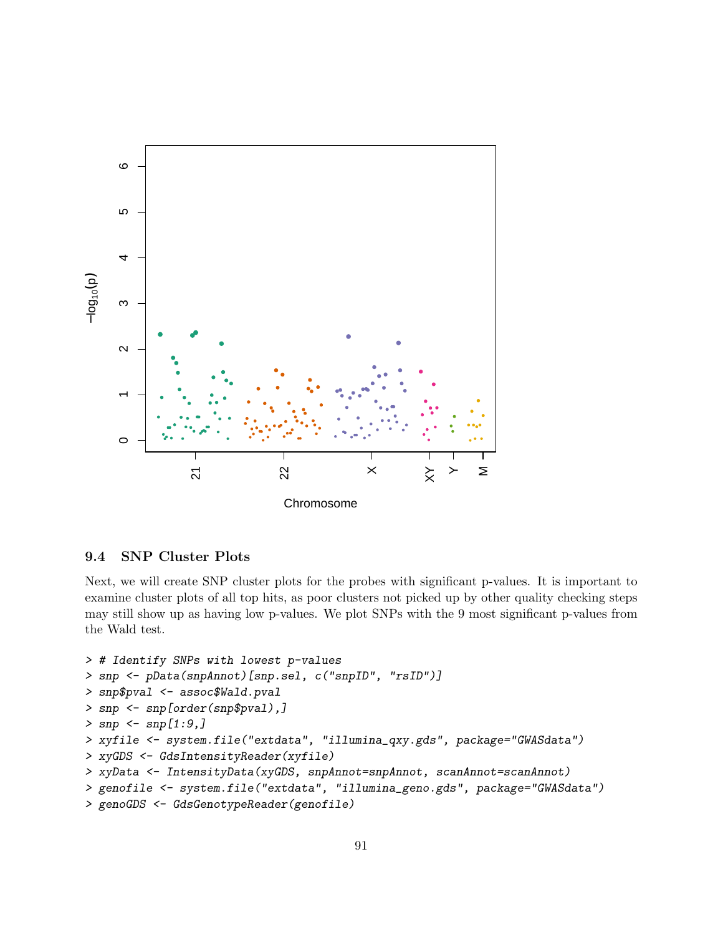

## 9.4 SNP Cluster Plots

Next, we will create SNP cluster plots for the probes with significant p-values. It is important to examine cluster plots of all top hits, as poor clusters not picked up by other quality checking steps may still show up as having low p-values. We plot SNPs with the 9 most significant p-values from the Wald test.

```
> # Identify SNPs with lowest p-values
> snp <- pData(snpAnnot)[snp.sel, c("snpID", "rsID")]
> snp$pval <- assoc$Wald.pval
> snp <- snp[order(snp$pval),]
> snp \leq snp[1:9,]> xyfile <- system.file("extdata", "illumina_qxy.gds", package="GWASdata")
> xyGDS <- GdsIntensityReader(xyfile)
> xyData <- IntensityData(xyGDS, snpAnnot=snpAnnot, scanAnnot=scanAnnot)
> genofile <- system.file("extdata", "illumina_geno.gds", package="GWASdata")
> genoGDS <- GdsGenotypeReader(genofile)
```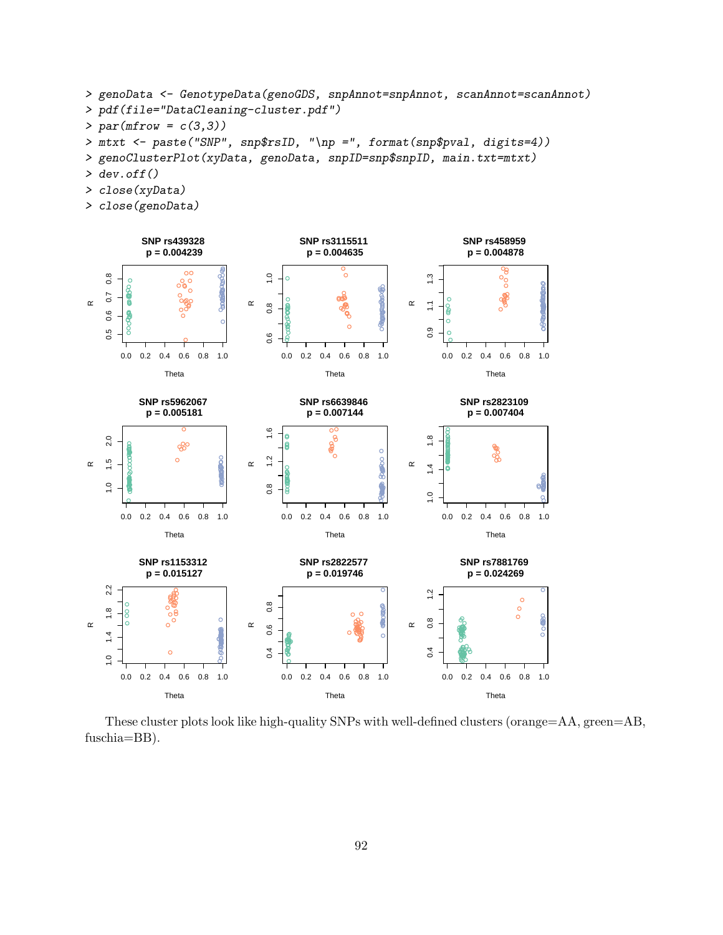```
> genoData <- GenotypeData(genoGDS, snpAnnot=snpAnnot, scanAnnot=scanAnnot)
> pdf(file="DataCleaning-cluster.pdf")
> par(mfrow = c(3,3))> mtxt <- paste("SNP", snp$rsID, "\np =", format(snp$pval, digits=4))
> genoClusterPlot(xyData, genoData, snpID=snp$snpID, main.txt=mtxt)
> dev. of f()
```
- > close(xyData)
- > close(genoData)



These cluster plots look like high-quality SNPs with well-defined clusters (orange=AA, green=AB, fuschia=BB).